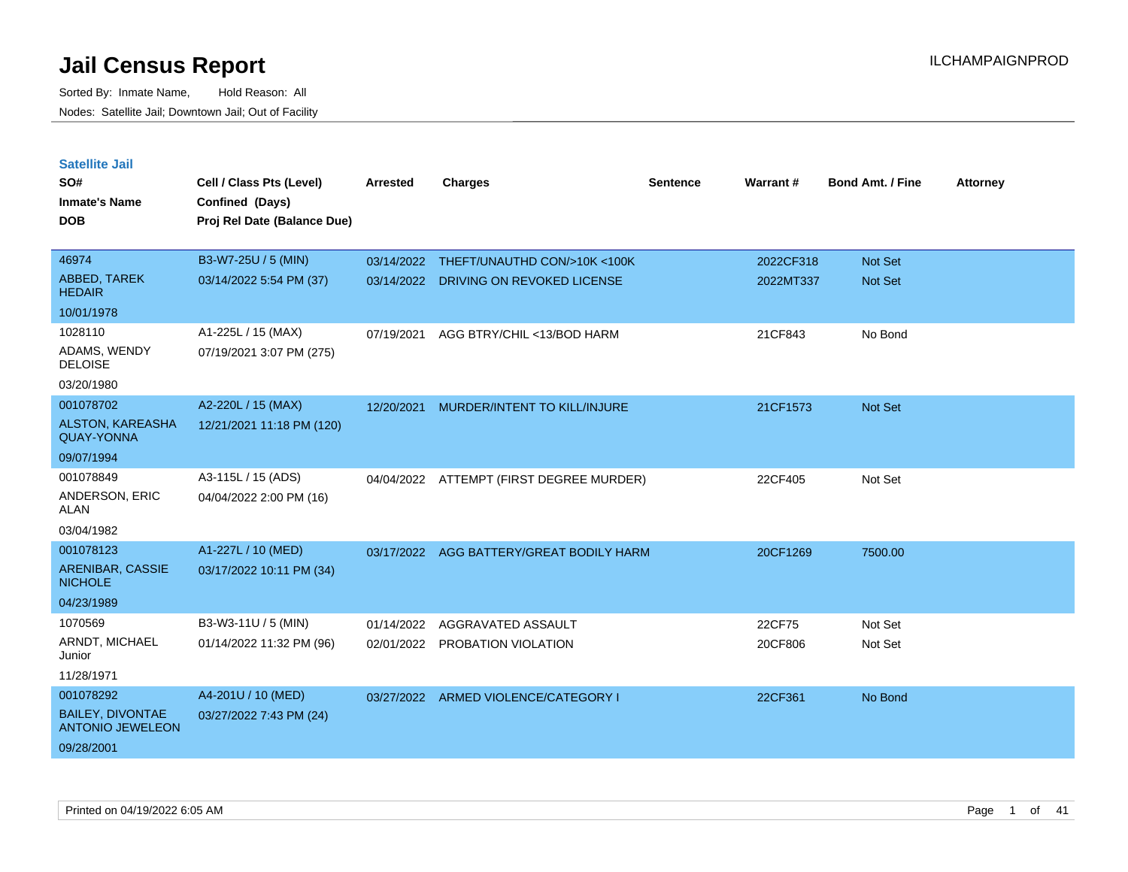| <b>Satellite Jail</b>                              |                             |            |                                          |                 |           |                         |                 |
|----------------------------------------------------|-----------------------------|------------|------------------------------------------|-----------------|-----------|-------------------------|-----------------|
| SO#                                                | Cell / Class Pts (Level)    | Arrested   | <b>Charges</b>                           | <b>Sentence</b> | Warrant#  | <b>Bond Amt. / Fine</b> | <b>Attorney</b> |
| Inmate's Name                                      | Confined (Days)             |            |                                          |                 |           |                         |                 |
| <b>DOB</b>                                         | Proj Rel Date (Balance Due) |            |                                          |                 |           |                         |                 |
|                                                    |                             |            |                                          |                 |           |                         |                 |
| 46974                                              | B3-W7-25U / 5 (MIN)         |            | 03/14/2022 THEFT/UNAUTHD CON/>10K <100K  |                 | 2022CF318 | <b>Not Set</b>          |                 |
| ABBED, TAREK<br><b>HEDAIR</b>                      | 03/14/2022 5:54 PM (37)     | 03/14/2022 | DRIVING ON REVOKED LICENSE               |                 | 2022MT337 | Not Set                 |                 |
| 10/01/1978                                         |                             |            |                                          |                 |           |                         |                 |
| 1028110                                            | A1-225L / 15 (MAX)          | 07/19/2021 | AGG BTRY/CHIL <13/BOD HARM               |                 | 21CF843   | No Bond                 |                 |
| ADAMS, WENDY<br><b>DELOISE</b>                     | 07/19/2021 3:07 PM (275)    |            |                                          |                 |           |                         |                 |
| 03/20/1980                                         |                             |            |                                          |                 |           |                         |                 |
| 001078702                                          | A2-220L / 15 (MAX)          | 12/20/2021 | MURDER/INTENT TO KILL/INJURE             |                 | 21CF1573  | Not Set                 |                 |
| <b>ALSTON, KAREASHA</b><br><b>QUAY-YONNA</b>       | 12/21/2021 11:18 PM (120)   |            |                                          |                 |           |                         |                 |
| 09/07/1994                                         |                             |            |                                          |                 |           |                         |                 |
| 001078849                                          | A3-115L / 15 (ADS)          |            | 04/04/2022 ATTEMPT (FIRST DEGREE MURDER) |                 | 22CF405   | Not Set                 |                 |
| ANDERSON, ERIC<br>ALAN                             | 04/04/2022 2:00 PM (16)     |            |                                          |                 |           |                         |                 |
| 03/04/1982                                         |                             |            |                                          |                 |           |                         |                 |
| 001078123                                          | A1-227L / 10 (MED)          | 03/17/2022 | AGG BATTERY/GREAT BODILY HARM            |                 | 20CF1269  | 7500.00                 |                 |
| ARENIBAR, CASSIE<br><b>NICHOLE</b>                 | 03/17/2022 10:11 PM (34)    |            |                                          |                 |           |                         |                 |
| 04/23/1989                                         |                             |            |                                          |                 |           |                         |                 |
| 1070569                                            | B3-W3-11U / 5 (MIN)         | 01/14/2022 | AGGRAVATED ASSAULT                       |                 | 22CF75    | Not Set                 |                 |
| ARNDT, MICHAEL<br>Junior                           | 01/14/2022 11:32 PM (96)    |            | 02/01/2022 PROBATION VIOLATION           |                 | 20CF806   | Not Set                 |                 |
| 11/28/1971                                         |                             |            |                                          |                 |           |                         |                 |
| 001078292                                          | A4-201U / 10 (MED)          |            | 03/27/2022 ARMED VIOLENCE/CATEGORY I     |                 | 22CF361   | No Bond                 |                 |
| <b>BAILEY, DIVONTAE</b><br><b>ANTONIO JEWELEON</b> | 03/27/2022 7:43 PM (24)     |            |                                          |                 |           |                         |                 |
| 09/28/2001                                         |                             |            |                                          |                 |           |                         |                 |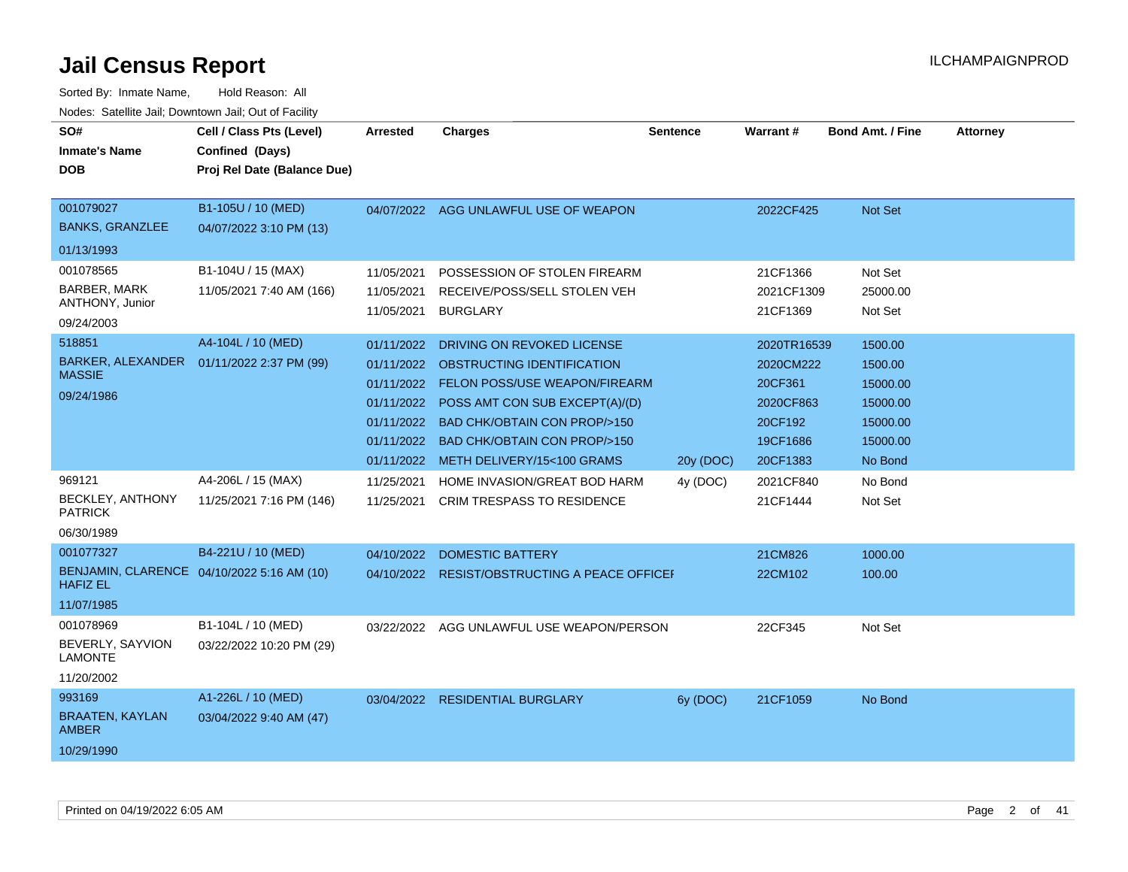| SO#<br><b>Inmate's Name</b><br><b>DOB</b>                      | Cell / Class Pts (Level)<br>Confined (Days)<br>Proj Rel Date (Balance Due) | <b>Arrested</b>                                                                                | <b>Charges</b>                                                                                                                                                                                                                                | <b>Sentence</b> | <b>Warrant#</b>                                                                     | <b>Bond Amt. / Fine</b>                                                       | <b>Attorney</b> |
|----------------------------------------------------------------|----------------------------------------------------------------------------|------------------------------------------------------------------------------------------------|-----------------------------------------------------------------------------------------------------------------------------------------------------------------------------------------------------------------------------------------------|-----------------|-------------------------------------------------------------------------------------|-------------------------------------------------------------------------------|-----------------|
| 001079027<br><b>BANKS, GRANZLEE</b>                            | B1-105U / 10 (MED)<br>04/07/2022 3:10 PM (13)                              |                                                                                                | 04/07/2022 AGG UNLAWFUL USE OF WEAPON                                                                                                                                                                                                         |                 | 2022CF425                                                                           | Not Set                                                                       |                 |
| 01/13/1993                                                     |                                                                            |                                                                                                |                                                                                                                                                                                                                                               |                 |                                                                                     |                                                                               |                 |
| 001078565<br>BARBER, MARK<br>ANTHONY, Junior<br>09/24/2003     | B1-104U / 15 (MAX)<br>11/05/2021 7:40 AM (166)                             | 11/05/2021<br>11/05/2021<br>11/05/2021                                                         | POSSESSION OF STOLEN FIREARM<br>RECEIVE/POSS/SELL STOLEN VEH<br><b>BURGLARY</b>                                                                                                                                                               |                 | 21CF1366<br>2021CF1309<br>21CF1369                                                  | Not Set<br>25000.00<br>Not Set                                                |                 |
| 518851<br>BARKER, ALEXANDER<br><b>MASSIE</b><br>09/24/1986     | A4-104L / 10 (MED)<br>01/11/2022 2:37 PM (99)                              | 01/11/2022<br>01/11/2022<br>01/11/2022<br>01/11/2022<br>01/11/2022<br>01/11/2022<br>01/11/2022 | DRIVING ON REVOKED LICENSE<br>OBSTRUCTING IDENTIFICATION<br>FELON POSS/USE WEAPON/FIREARM<br>POSS AMT CON SUB EXCEPT(A)/(D)<br><b>BAD CHK/OBTAIN CON PROP/&gt;150</b><br><b>BAD CHK/OBTAIN CON PROP/&gt;150</b><br>METH DELIVERY/15<100 GRAMS | 20y (DOC)       | 2020TR16539<br>2020CM222<br>20CF361<br>2020CF863<br>20CF192<br>19CF1686<br>20CF1383 | 1500.00<br>1500.00<br>15000.00<br>15000.00<br>15000.00<br>15000.00<br>No Bond |                 |
| 969121<br>BECKLEY, ANTHONY<br><b>PATRICK</b><br>06/30/1989     | A4-206L / 15 (MAX)<br>11/25/2021 7:16 PM (146)                             | 11/25/2021<br>11/25/2021                                                                       | HOME INVASION/GREAT BOD HARM<br><b>CRIM TRESPASS TO RESIDENCE</b>                                                                                                                                                                             | 4y (DOC)        | 2021CF840<br>21CF1444                                                               | No Bond<br>Not Set                                                            |                 |
| 001077327<br><b>HAFIZ EL</b><br>11/07/1985                     | B4-221U / 10 (MED)<br>BENJAMIN, CLARENCE 04/10/2022 5:16 AM (10)           | 04/10/2022<br>04/10/2022                                                                       | <b>DOMESTIC BATTERY</b><br><b>RESIST/OBSTRUCTING A PEACE OFFICEF</b>                                                                                                                                                                          |                 | 21CM826<br>22CM102                                                                  | 1000.00<br>100.00                                                             |                 |
| 001078969<br>BEVERLY, SAYVION<br><b>LAMONTE</b><br>11/20/2002  | B1-104L / 10 (MED)<br>03/22/2022 10:20 PM (29)                             | 03/22/2022                                                                                     | AGG UNLAWFUL USE WEAPON/PERSON                                                                                                                                                                                                                |                 | 22CF345                                                                             | Not Set                                                                       |                 |
| 993169<br><b>BRAATEN, KAYLAN</b><br><b>AMBER</b><br>10/29/1990 | A1-226L / 10 (MED)<br>03/04/2022 9:40 AM (47)                              | 03/04/2022                                                                                     | <b>RESIDENTIAL BURGLARY</b>                                                                                                                                                                                                                   | 6y (DOC)        | 21CF1059                                                                            | No Bond                                                                       |                 |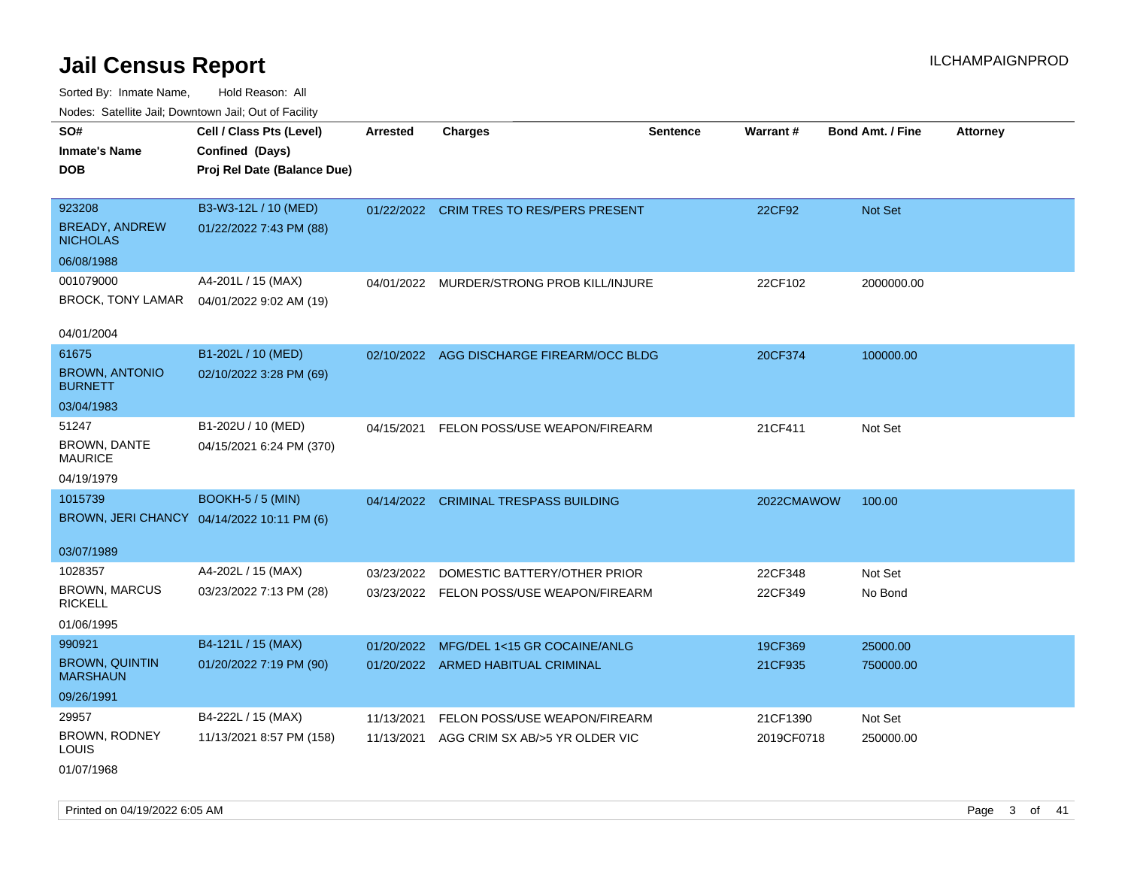Sorted By: Inmate Name, Hold Reason: All

| Nodes: Satellite Jail; Downtown Jail; Out of Facility |                                            |                 |                                          |                 |                 |                  |                 |
|-------------------------------------------------------|--------------------------------------------|-----------------|------------------------------------------|-----------------|-----------------|------------------|-----------------|
| SO#                                                   | Cell / Class Pts (Level)                   | <b>Arrested</b> | <b>Charges</b>                           | <b>Sentence</b> | <b>Warrant#</b> | Bond Amt. / Fine | <b>Attorney</b> |
| <b>Inmate's Name</b>                                  | Confined (Days)                            |                 |                                          |                 |                 |                  |                 |
| <b>DOB</b>                                            | Proj Rel Date (Balance Due)                |                 |                                          |                 |                 |                  |                 |
|                                                       |                                            |                 |                                          |                 |                 |                  |                 |
| 923208                                                | B3-W3-12L / 10 (MED)                       |                 | 01/22/2022 CRIM TRES TO RES/PERS PRESENT |                 | 22CF92          | Not Set          |                 |
| <b>BREADY, ANDREW</b><br><b>NICHOLAS</b>              | 01/22/2022 7:43 PM (88)                    |                 |                                          |                 |                 |                  |                 |
| 06/08/1988                                            |                                            |                 |                                          |                 |                 |                  |                 |
| 001079000                                             | A4-201L / 15 (MAX)                         | 04/01/2022      | MURDER/STRONG PROB KILL/INJURE           |                 | 22CF102         | 2000000.00       |                 |
| <b>BROCK, TONY LAMAR</b>                              | 04/01/2022 9:02 AM (19)                    |                 |                                          |                 |                 |                  |                 |
|                                                       |                                            |                 |                                          |                 |                 |                  |                 |
| 04/01/2004                                            |                                            |                 |                                          |                 |                 |                  |                 |
| 61675                                                 | B1-202L / 10 (MED)                         | 02/10/2022      | AGG DISCHARGE FIREARM/OCC BLDG           |                 | 20CF374         | 100000.00        |                 |
| <b>BROWN, ANTONIO</b><br><b>BURNETT</b>               | 02/10/2022 3:28 PM (69)                    |                 |                                          |                 |                 |                  |                 |
| 03/04/1983                                            |                                            |                 |                                          |                 |                 |                  |                 |
| 51247                                                 | B1-202U / 10 (MED)                         | 04/15/2021      | FELON POSS/USE WEAPON/FIREARM            |                 | 21CF411         | Not Set          |                 |
| <b>BROWN, DANTE</b><br><b>MAURICE</b>                 | 04/15/2021 6:24 PM (370)                   |                 |                                          |                 |                 |                  |                 |
| 04/19/1979                                            |                                            |                 |                                          |                 |                 |                  |                 |
| 1015739                                               | <b>BOOKH-5 / 5 (MIN)</b>                   |                 | 04/14/2022 CRIMINAL TRESPASS BUILDING    |                 | 2022CMAWOW      | 100.00           |                 |
|                                                       | BROWN, JERI CHANCY 04/14/2022 10:11 PM (6) |                 |                                          |                 |                 |                  |                 |
|                                                       |                                            |                 |                                          |                 |                 |                  |                 |
| 03/07/1989                                            |                                            |                 |                                          |                 |                 |                  |                 |
| 1028357                                               | A4-202L / 15 (MAX)                         | 03/23/2022      | DOMESTIC BATTERY/OTHER PRIOR             |                 | 22CF348         | Not Set          |                 |
| <b>BROWN, MARCUS</b><br><b>RICKELL</b>                | 03/23/2022 7:13 PM (28)                    |                 | 03/23/2022 FELON POSS/USE WEAPON/FIREARM |                 | 22CF349         | No Bond          |                 |
| 01/06/1995                                            |                                            |                 |                                          |                 |                 |                  |                 |
| 990921                                                | B4-121L / 15 (MAX)                         | 01/20/2022      | MFG/DEL 1<15 GR COCAINE/ANLG             |                 | 19CF369         | 25000.00         |                 |
| <b>BROWN, QUINTIN</b><br><b>MARSHAUN</b>              | 01/20/2022 7:19 PM (90)                    |                 | 01/20/2022 ARMED HABITUAL CRIMINAL       |                 | 21CF935         | 750000.00        |                 |
| 09/26/1991                                            |                                            |                 |                                          |                 |                 |                  |                 |
| 29957                                                 | B4-222L / 15 (MAX)                         | 11/13/2021      | FELON POSS/USE WEAPON/FIREARM            |                 | 21CF1390        | Not Set          |                 |
| BROWN, RODNEY<br>LOUIS                                | 11/13/2021 8:57 PM (158)                   | 11/13/2021      | AGG CRIM SX AB/>5 YR OLDER VIC           |                 | 2019CF0718      | 250000.00        |                 |

01/07/1968

Printed on 04/19/2022 6:05 AM Page 3 of 41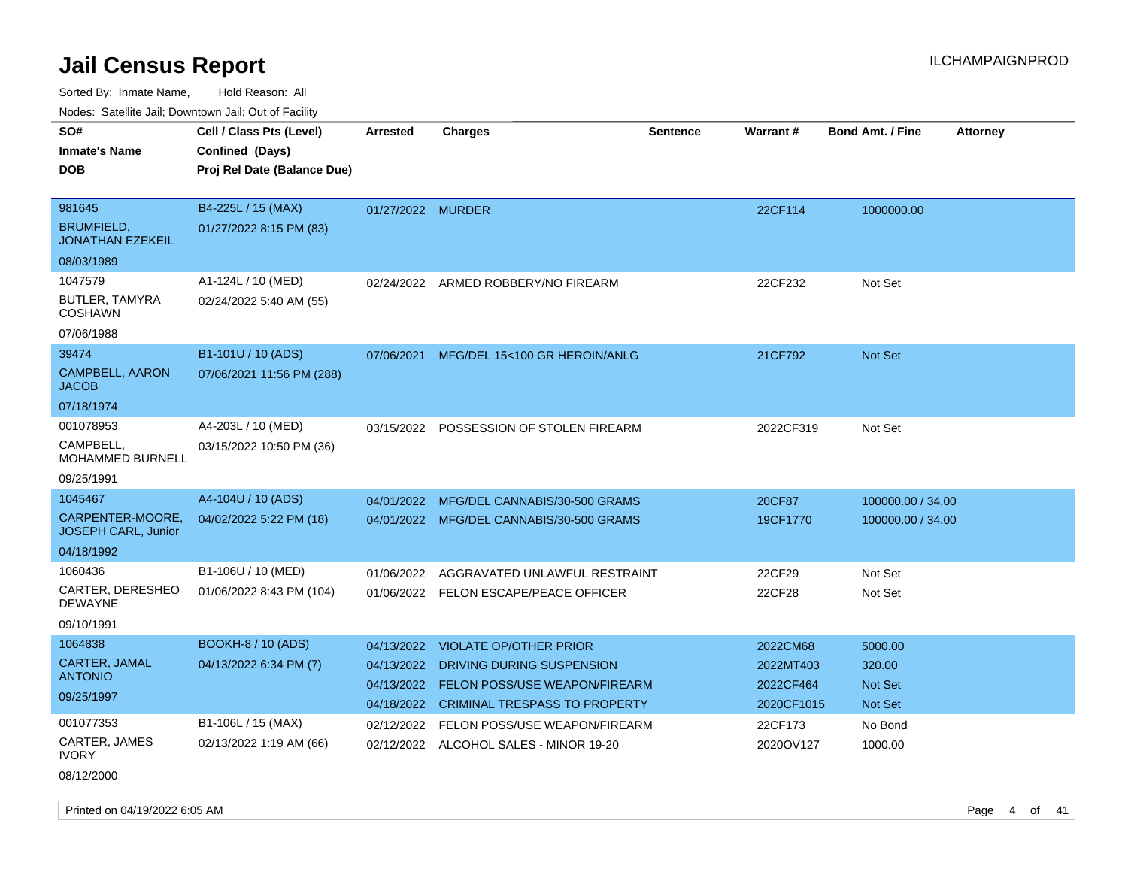Sorted By: Inmate Name, Hold Reason: All Nodes: Satellite Jail; Downtown Jail; Out of Facility

| SO#<br><b>Inmate's Name</b>                  | Cell / Class Pts (Level)<br>Confined (Days) | <b>Arrested</b>   | <b>Charges</b>                           | <b>Sentence</b> | <b>Warrant#</b> | <b>Bond Amt. / Fine</b> | <b>Attorney</b> |
|----------------------------------------------|---------------------------------------------|-------------------|------------------------------------------|-----------------|-----------------|-------------------------|-----------------|
|                                              |                                             |                   |                                          |                 |                 |                         |                 |
| DOB.                                         | Proj Rel Date (Balance Due)                 |                   |                                          |                 |                 |                         |                 |
|                                              |                                             |                   |                                          |                 |                 |                         |                 |
| 981645                                       | B4-225L / 15 (MAX)                          | 01/27/2022 MURDER |                                          |                 | 22CF114         | 1000000.00              |                 |
| <b>BRUMFIELD,</b><br><b>JONATHAN EZEKEIL</b> | 01/27/2022 8:15 PM (83)                     |                   |                                          |                 |                 |                         |                 |
| 08/03/1989                                   |                                             |                   |                                          |                 |                 |                         |                 |
| 1047579                                      | A1-124L / 10 (MED)                          | 02/24/2022        | ARMED ROBBERY/NO FIREARM                 |                 | 22CF232         | Not Set                 |                 |
| BUTLER, TAMYRA<br><b>COSHAWN</b>             | 02/24/2022 5:40 AM (55)                     |                   |                                          |                 |                 |                         |                 |
| 07/06/1988                                   |                                             |                   |                                          |                 |                 |                         |                 |
| 39474                                        | B1-101U / 10 (ADS)                          | 07/06/2021        | MFG/DEL 15<100 GR HEROIN/ANLG            |                 | 21CF792         | <b>Not Set</b>          |                 |
| <b>CAMPBELL, AARON</b><br>JACOB              | 07/06/2021 11:56 PM (288)                   |                   |                                          |                 |                 |                         |                 |
| 07/18/1974                                   |                                             |                   |                                          |                 |                 |                         |                 |
| 001078953                                    | A4-203L / 10 (MED)                          | 03/15/2022        | POSSESSION OF STOLEN FIREARM             |                 | 2022CF319       | Not Set                 |                 |
| CAMPBELL.<br>MOHAMMED BURNELL                | 03/15/2022 10:50 PM (36)                    |                   |                                          |                 |                 |                         |                 |
| 09/25/1991                                   |                                             |                   |                                          |                 |                 |                         |                 |
| 1045467                                      | A4-104U / 10 (ADS)                          | 04/01/2022        | MFG/DEL CANNABIS/30-500 GRAMS            |                 | 20CF87          | 100000.00 / 34.00       |                 |
| CARPENTER-MOORE,<br>JOSEPH CARL, Junior      | 04/02/2022 5:22 PM (18)                     |                   | 04/01/2022 MFG/DEL CANNABIS/30-500 GRAMS |                 | 19CF1770        | 100000.00 / 34.00       |                 |
| 04/18/1992                                   |                                             |                   |                                          |                 |                 |                         |                 |
| 1060436                                      | B1-106U / 10 (MED)                          | 01/06/2022        | AGGRAVATED UNLAWFUL RESTRAINT            |                 | 22CF29          | Not Set                 |                 |
| CARTER, DERESHEO<br><b>DEWAYNE</b>           | 01/06/2022 8:43 PM (104)                    |                   | 01/06/2022 FELON ESCAPE/PEACE OFFICER    |                 | 22CF28          | Not Set                 |                 |
| 09/10/1991                                   |                                             |                   |                                          |                 |                 |                         |                 |
| 1064838                                      | <b>BOOKH-8 / 10 (ADS)</b>                   | 04/13/2022        | <b>VIOLATE OP/OTHER PRIOR</b>            |                 | 2022CM68        | 5000.00                 |                 |
| CARTER, JAMAL                                | 04/13/2022 6:34 PM (7)                      | 04/13/2022        | DRIVING DURING SUSPENSION                |                 | 2022MT403       | 320.00                  |                 |
| <b>ANTONIO</b>                               |                                             | 04/13/2022        | FELON POSS/USE WEAPON/FIREARM            |                 | 2022CF464       | Not Set                 |                 |
| 09/25/1997                                   |                                             | 04/18/2022        | <b>CRIMINAL TRESPASS TO PROPERTY</b>     |                 | 2020CF1015      | Not Set                 |                 |
| 001077353                                    | B1-106L / 15 (MAX)                          | 02/12/2022        | FELON POSS/USE WEAPON/FIREARM            |                 | 22CF173         | No Bond                 |                 |
| CARTER, JAMES<br>IVORY                       | 02/13/2022 1:19 AM (66)                     |                   | 02/12/2022 ALCOHOL SALES - MINOR 19-20   |                 | 2020OV127       | 1000.00                 |                 |
|                                              |                                             |                   |                                          |                 |                 |                         |                 |

08/12/2000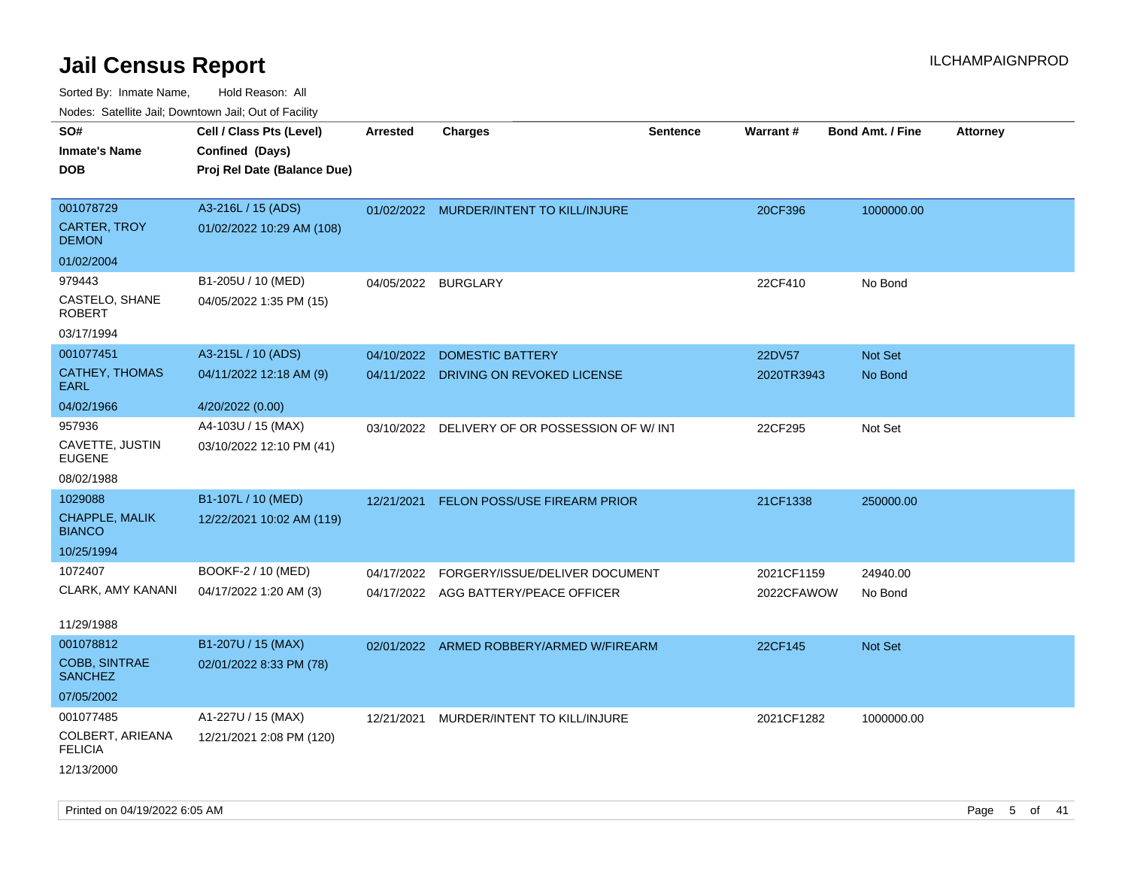| ivuutos. Saltiilit Jali, Duwilluwii Jali, Oul of Facility |                             |                 |                                               |                 |            |                         |                 |
|-----------------------------------------------------------|-----------------------------|-----------------|-----------------------------------------------|-----------------|------------|-------------------------|-----------------|
| SO#                                                       | Cell / Class Pts (Level)    | <b>Arrested</b> | <b>Charges</b>                                | <b>Sentence</b> | Warrant#   | <b>Bond Amt. / Fine</b> | <b>Attorney</b> |
| <b>Inmate's Name</b>                                      | Confined (Days)             |                 |                                               |                 |            |                         |                 |
| <b>DOB</b>                                                | Proj Rel Date (Balance Due) |                 |                                               |                 |            |                         |                 |
|                                                           |                             |                 |                                               |                 |            |                         |                 |
| 001078729                                                 | A3-216L / 15 (ADS)          |                 | 01/02/2022 MURDER/INTENT TO KILL/INJURE       |                 | 20CF396    | 1000000.00              |                 |
| <b>CARTER, TROY</b><br><b>DEMON</b>                       | 01/02/2022 10:29 AM (108)   |                 |                                               |                 |            |                         |                 |
| 01/02/2004                                                |                             |                 |                                               |                 |            |                         |                 |
| 979443                                                    | B1-205U / 10 (MED)          | 04/05/2022      | <b>BURGLARY</b>                               |                 | 22CF410    | No Bond                 |                 |
| CASTELO, SHANE<br><b>ROBERT</b>                           | 04/05/2022 1:35 PM (15)     |                 |                                               |                 |            |                         |                 |
| 03/17/1994                                                |                             |                 |                                               |                 |            |                         |                 |
| 001077451                                                 | A3-215L / 10 (ADS)          | 04/10/2022      | <b>DOMESTIC BATTERY</b>                       |                 | 22DV57     | Not Set                 |                 |
| <b>CATHEY, THOMAS</b><br>EARL                             | 04/11/2022 12:18 AM (9)     |                 | 04/11/2022 DRIVING ON REVOKED LICENSE         |                 | 2020TR3943 | No Bond                 |                 |
| 04/02/1966                                                | 4/20/2022 (0.00)            |                 |                                               |                 |            |                         |                 |
| 957936                                                    | A4-103U / 15 (MAX)          |                 | 03/10/2022 DELIVERY OF OR POSSESSION OF W/INT |                 | 22CF295    | Not Set                 |                 |
| CAVETTE, JUSTIN<br><b>EUGENE</b>                          | 03/10/2022 12:10 PM (41)    |                 |                                               |                 |            |                         |                 |
| 08/02/1988                                                |                             |                 |                                               |                 |            |                         |                 |
| 1029088                                                   | B1-107L / 10 (MED)          | 12/21/2021      | FELON POSS/USE FIREARM PRIOR                  |                 | 21CF1338   | 250000.00               |                 |
| CHAPPLE, MALIK<br><b>BIANCO</b>                           | 12/22/2021 10:02 AM (119)   |                 |                                               |                 |            |                         |                 |
| 10/25/1994                                                |                             |                 |                                               |                 |            |                         |                 |
| 1072407                                                   | BOOKF-2 / 10 (MED)          | 04/17/2022      | FORGERY/ISSUE/DELIVER DOCUMENT                |                 | 2021CF1159 | 24940.00                |                 |
| CLARK, AMY KANANI                                         | 04/17/2022 1:20 AM (3)      |                 | 04/17/2022 AGG BATTERY/PEACE OFFICER          |                 | 2022CFAWOW | No Bond                 |                 |
|                                                           |                             |                 |                                               |                 |            |                         |                 |
| 11/29/1988                                                |                             |                 |                                               |                 |            |                         |                 |
| 001078812                                                 | B1-207U / 15 (MAX)          | 02/01/2022      | ARMED ROBBERY/ARMED W/FIREARM                 |                 | 22CF145    | <b>Not Set</b>          |                 |
| <b>COBB, SINTRAE</b><br><b>SANCHEZ</b>                    | 02/01/2022 8:33 PM (78)     |                 |                                               |                 |            |                         |                 |
| 07/05/2002                                                |                             |                 |                                               |                 |            |                         |                 |
| 001077485                                                 | A1-227U / 15 (MAX)          | 12/21/2021      | MURDER/INTENT TO KILL/INJURE                  |                 | 2021CF1282 | 1000000.00              |                 |
| COLBERT, ARIEANA<br><b>FELICIA</b>                        | 12/21/2021 2:08 PM (120)    |                 |                                               |                 |            |                         |                 |
| 12/13/2000                                                |                             |                 |                                               |                 |            |                         |                 |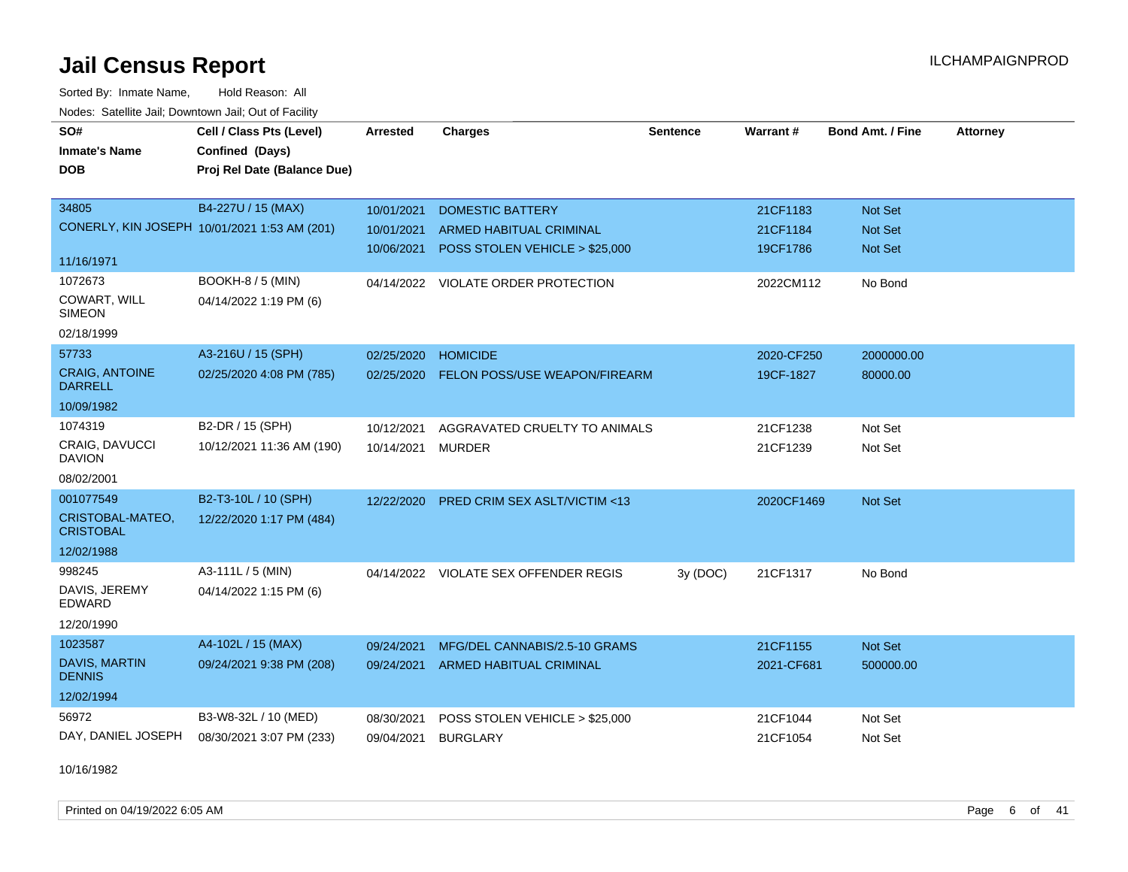Sorted By: Inmate Name, Hold Reason: All Nodes: Satellite Jail; Downtown Jail; Out of Facility

| SO#                                     | Cell / Class Pts (Level)                     | Arrested   | <b>Charges</b>                          | <b>Sentence</b> | Warrant#   | <b>Bond Amt. / Fine</b> | <b>Attorney</b> |
|-----------------------------------------|----------------------------------------------|------------|-----------------------------------------|-----------------|------------|-------------------------|-----------------|
| <b>Inmate's Name</b>                    | Confined (Days)                              |            |                                         |                 |            |                         |                 |
| <b>DOB</b>                              | Proj Rel Date (Balance Due)                  |            |                                         |                 |            |                         |                 |
|                                         |                                              |            |                                         |                 |            |                         |                 |
| 34805                                   | B4-227U / 15 (MAX)                           | 10/01/2021 | <b>DOMESTIC BATTERY</b>                 |                 | 21CF1183   | Not Set                 |                 |
|                                         | CONERLY, KIN JOSEPH 10/01/2021 1:53 AM (201) | 10/01/2021 | ARMED HABITUAL CRIMINAL                 |                 | 21CF1184   | <b>Not Set</b>          |                 |
|                                         |                                              | 10/06/2021 | POSS STOLEN VEHICLE > \$25,000          |                 | 19CF1786   | Not Set                 |                 |
| 11/16/1971                              |                                              |            |                                         |                 |            |                         |                 |
| 1072673                                 | <b>BOOKH-8 / 5 (MIN)</b>                     |            | 04/14/2022 VIOLATE ORDER PROTECTION     |                 | 2022CM112  | No Bond                 |                 |
| COWART, WILL<br><b>SIMEON</b>           | 04/14/2022 1:19 PM (6)                       |            |                                         |                 |            |                         |                 |
| 02/18/1999                              |                                              |            |                                         |                 |            |                         |                 |
| 57733                                   | A3-216U / 15 (SPH)                           | 02/25/2020 | <b>HOMICIDE</b>                         |                 | 2020-CF250 | 2000000.00              |                 |
| <b>CRAIG, ANTOINE</b><br><b>DARRELL</b> | 02/25/2020 4:08 PM (785)                     | 02/25/2020 | FELON POSS/USE WEAPON/FIREARM           |                 | 19CF-1827  | 80000.00                |                 |
| 10/09/1982                              |                                              |            |                                         |                 |            |                         |                 |
| 1074319                                 | B2-DR / 15 (SPH)                             | 10/12/2021 | AGGRAVATED CRUELTY TO ANIMALS           |                 | 21CF1238   | Not Set                 |                 |
| CRAIG, DAVUCCI<br><b>DAVION</b>         | 10/12/2021 11:36 AM (190)                    | 10/14/2021 | <b>MURDER</b>                           |                 | 21CF1239   | Not Set                 |                 |
| 08/02/2001                              |                                              |            |                                         |                 |            |                         |                 |
| 001077549                               | B2-T3-10L / 10 (SPH)                         | 12/22/2020 | <b>PRED CRIM SEX ASLT/VICTIM &lt;13</b> |                 | 2020CF1469 | Not Set                 |                 |
| CRISTOBAL-MATEO,<br><b>CRISTOBAL</b>    | 12/22/2020 1:17 PM (484)                     |            |                                         |                 |            |                         |                 |
| 12/02/1988                              |                                              |            |                                         |                 |            |                         |                 |
| 998245                                  | A3-111L / 5 (MIN)                            |            | 04/14/2022 VIOLATE SEX OFFENDER REGIS   | 3y (DOC)        | 21CF1317   | No Bond                 |                 |
| DAVIS, JEREMY<br>EDWARD                 | 04/14/2022 1:15 PM (6)                       |            |                                         |                 |            |                         |                 |
| 12/20/1990                              |                                              |            |                                         |                 |            |                         |                 |
| 1023587                                 | A4-102L / 15 (MAX)                           | 09/24/2021 | MFG/DEL CANNABIS/2.5-10 GRAMS           |                 | 21CF1155   | Not Set                 |                 |
| DAVIS, MARTIN<br><b>DENNIS</b>          | 09/24/2021 9:38 PM (208)                     | 09/24/2021 | ARMED HABITUAL CRIMINAL                 |                 | 2021-CF681 | 500000.00               |                 |
| 12/02/1994                              |                                              |            |                                         |                 |            |                         |                 |
| 56972                                   | B3-W8-32L / 10 (MED)                         | 08/30/2021 | POSS STOLEN VEHICLE > \$25,000          |                 | 21CF1044   | Not Set                 |                 |
| DAY, DANIEL JOSEPH                      | 08/30/2021 3:07 PM (233)                     | 09/04/2021 | <b>BURGLARY</b>                         |                 | 21CF1054   | Not Set                 |                 |

10/16/1982

Printed on 04/19/2022 6:05 AM **Page 6** of 41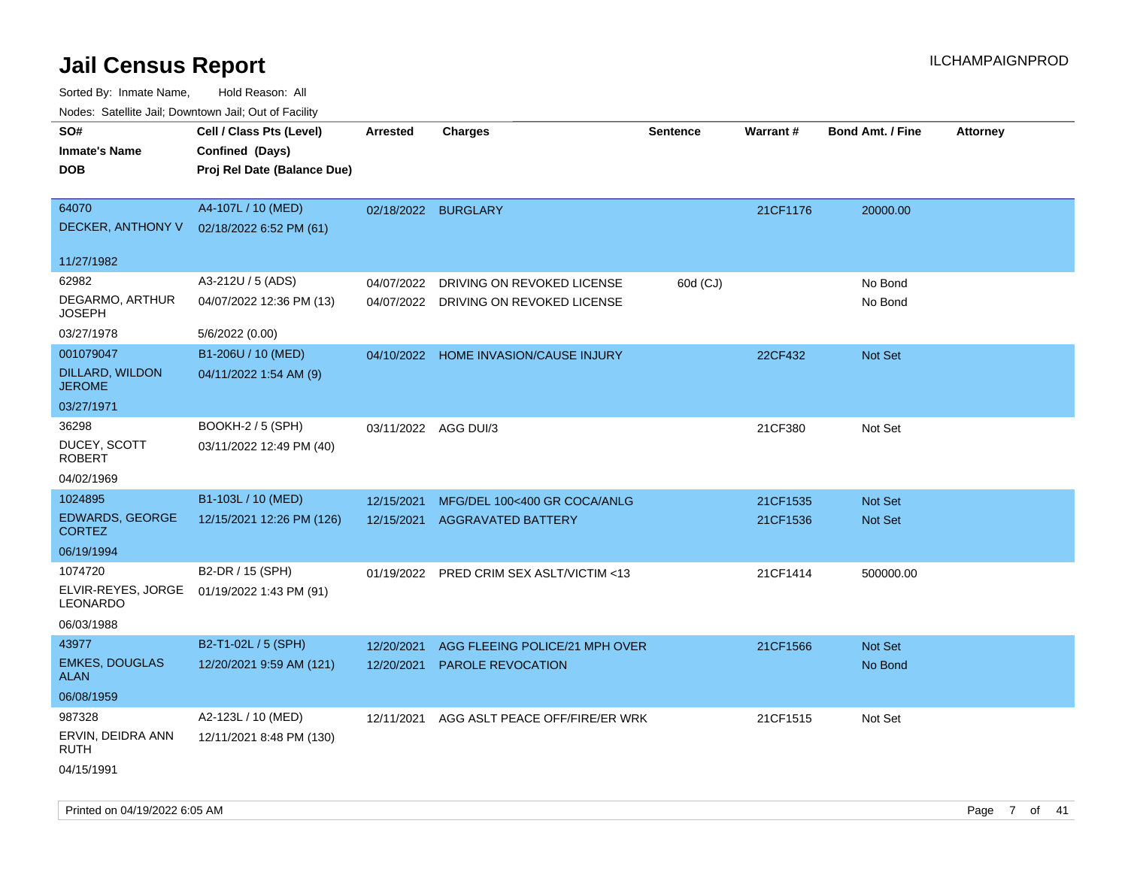Sorted By: Inmate Name, Hold Reason: All Nodes: Satellite Jail; Downtown Jail; Out of Facility

| ivodes. Satellite Jali, Downtown Jali, Out of Facility |                             |                      |                                          |                 |          |                         |                 |
|--------------------------------------------------------|-----------------------------|----------------------|------------------------------------------|-----------------|----------|-------------------------|-----------------|
| SO#                                                    | Cell / Class Pts (Level)    | Arrested             | <b>Charges</b>                           | <b>Sentence</b> | Warrant# | <b>Bond Amt. / Fine</b> | <b>Attorney</b> |
| <b>Inmate's Name</b>                                   | Confined (Days)             |                      |                                          |                 |          |                         |                 |
| <b>DOB</b>                                             | Proj Rel Date (Balance Due) |                      |                                          |                 |          |                         |                 |
|                                                        |                             |                      |                                          |                 |          |                         |                 |
| 64070                                                  | A4-107L / 10 (MED)          |                      | 02/18/2022 BURGLARY                      |                 | 21CF1176 | 20000.00                |                 |
| DECKER, ANTHONY V                                      | 02/18/2022 6:52 PM (61)     |                      |                                          |                 |          |                         |                 |
| 11/27/1982                                             |                             |                      |                                          |                 |          |                         |                 |
| 62982                                                  | A3-212U / 5 (ADS)           | 04/07/2022           | DRIVING ON REVOKED LICENSE               | 60d (CJ)        |          | No Bond                 |                 |
| DEGARMO, ARTHUR<br>JOSEPH                              | 04/07/2022 12:36 PM (13)    |                      | 04/07/2022 DRIVING ON REVOKED LICENSE    |                 |          | No Bond                 |                 |
| 03/27/1978                                             | 5/6/2022 (0.00)             |                      |                                          |                 |          |                         |                 |
| 001079047                                              | B1-206U / 10 (MED)          |                      | 04/10/2022 HOME INVASION/CAUSE INJURY    |                 | 22CF432  | <b>Not Set</b>          |                 |
| DILLARD, WILDON<br><b>JEROME</b>                       | 04/11/2022 1:54 AM (9)      |                      |                                          |                 |          |                         |                 |
| 03/27/1971                                             |                             |                      |                                          |                 |          |                         |                 |
| 36298                                                  | BOOKH-2 / 5 (SPH)           | 03/11/2022 AGG DUI/3 |                                          |                 | 21CF380  | Not Set                 |                 |
| DUCEY, SCOTT<br>ROBERT                                 | 03/11/2022 12:49 PM (40)    |                      |                                          |                 |          |                         |                 |
| 04/02/1969                                             |                             |                      |                                          |                 |          |                         |                 |
| 1024895                                                | B1-103L / 10 (MED)          | 12/15/2021           | MFG/DEL 100<400 GR COCA/ANLG             |                 | 21CF1535 | Not Set                 |                 |
| <b>EDWARDS, GEORGE</b><br><b>CORTEZ</b>                | 12/15/2021 12:26 PM (126)   | 12/15/2021           | <b>AGGRAVATED BATTERY</b>                |                 | 21CF1536 | <b>Not Set</b>          |                 |
| 06/19/1994                                             |                             |                      |                                          |                 |          |                         |                 |
| 1074720                                                | B2-DR / 15 (SPH)            |                      | 01/19/2022 PRED CRIM SEX ASLT/VICTIM <13 |                 | 21CF1414 | 500000.00               |                 |
| ELVIR-REYES, JORGE<br>LEONARDO                         | 01/19/2022 1:43 PM (91)     |                      |                                          |                 |          |                         |                 |
| 06/03/1988                                             |                             |                      |                                          |                 |          |                         |                 |
| 43977                                                  | B2-T1-02L / 5 (SPH)         | 12/20/2021           | AGG FLEEING POLICE/21 MPH OVER           |                 | 21CF1566 | <b>Not Set</b>          |                 |
| <b>EMKES, DOUGLAS</b><br>ALAN                          | 12/20/2021 9:59 AM (121)    | 12/20/2021           | <b>PAROLE REVOCATION</b>                 |                 |          | No Bond                 |                 |
| 06/08/1959                                             |                             |                      |                                          |                 |          |                         |                 |
| 987328                                                 | A2-123L / 10 (MED)          | 12/11/2021           | AGG ASLT PEACE OFF/FIRE/ER WRK           |                 | 21CF1515 | Not Set                 |                 |
| ERVIN, DEIDRA ANN<br>RUTH                              | 12/11/2021 8:48 PM (130)    |                      |                                          |                 |          |                         |                 |
| 04/15/1991                                             |                             |                      |                                          |                 |          |                         |                 |

Printed on 04/19/2022 6:05 AM Page 7 of 41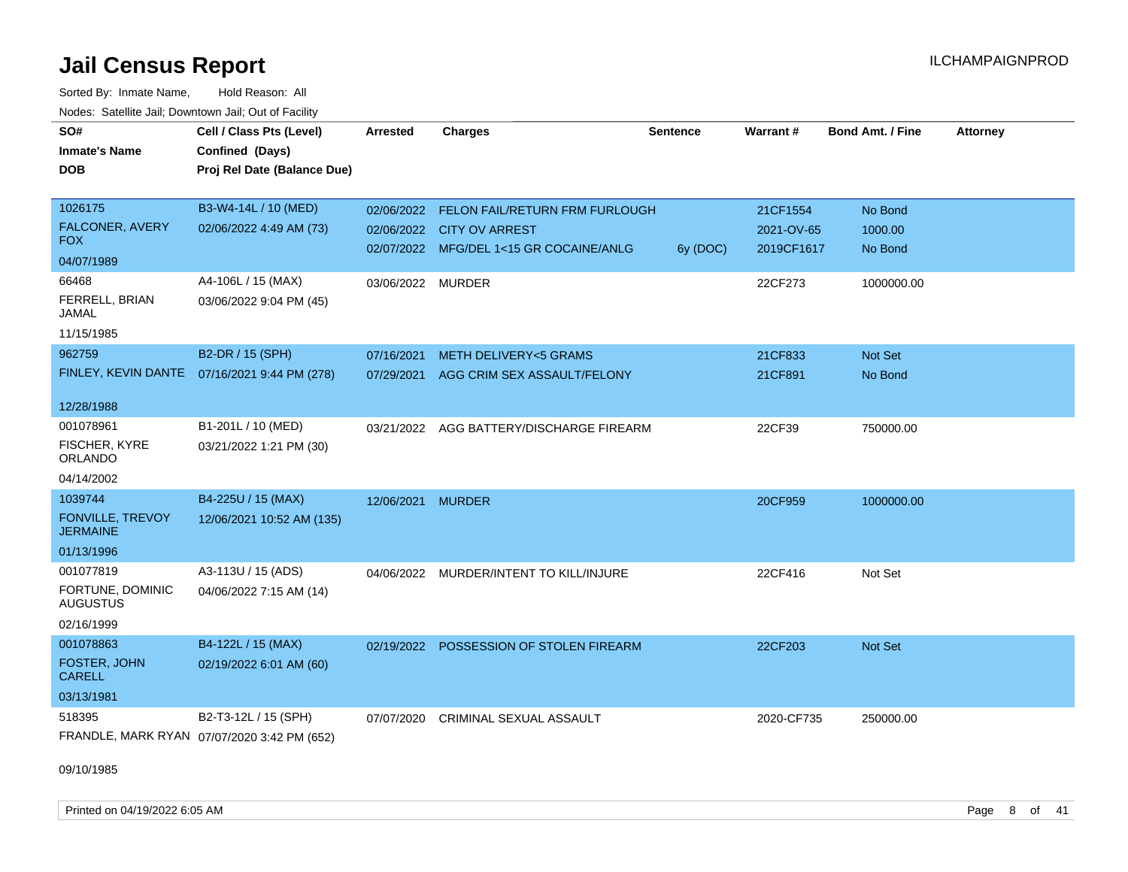Sorted By: Inmate Name, Hold Reason: All Nodes: Satellite Jail; Downtown Jail; Out of Facility

| SO#<br><b>Inmate's Name</b><br><b>DOB</b> | Cell / Class Pts (Level)<br>Confined (Days)<br>Proj Rel Date (Balance Due) | <b>Arrested</b>   | <b>Charges</b>                            | <b>Sentence</b> | Warrant#   | <b>Bond Amt. / Fine</b> | <b>Attorney</b> |
|-------------------------------------------|----------------------------------------------------------------------------|-------------------|-------------------------------------------|-----------------|------------|-------------------------|-----------------|
| 1026175                                   | B3-W4-14L / 10 (MED)                                                       |                   | 02/06/2022 FELON FAIL/RETURN FRM FURLOUGH |                 | 21CF1554   | No Bond                 |                 |
| FALCONER, AVERY<br><b>FOX</b>             | 02/06/2022 4:49 AM (73)                                                    |                   | 02/06/2022 CITY OV ARREST                 |                 | 2021-OV-65 | 1000.00                 |                 |
| 04/07/1989                                |                                                                            |                   | 02/07/2022 MFG/DEL 1<15 GR COCAINE/ANLG   | 6y (DOC)        | 2019CF1617 | No Bond                 |                 |
| 66468                                     | A4-106L / 15 (MAX)                                                         | 03/06/2022 MURDER |                                           |                 | 22CF273    | 1000000.00              |                 |
| FERRELL, BRIAN<br>JAMAL                   | 03/06/2022 9:04 PM (45)                                                    |                   |                                           |                 |            |                         |                 |
| 11/15/1985                                |                                                                            |                   |                                           |                 |            |                         |                 |
| 962759                                    | B2-DR / 15 (SPH)                                                           | 07/16/2021        | <b>METH DELIVERY&lt;5 GRAMS</b>           |                 | 21CF833    | Not Set                 |                 |
| FINLEY, KEVIN DANTE                       | 07/16/2021 9:44 PM (278)                                                   | 07/29/2021        | AGG CRIM SEX ASSAULT/FELONY               |                 | 21CF891    | No Bond                 |                 |
| 12/28/1988                                |                                                                            |                   |                                           |                 |            |                         |                 |
| 001078961                                 | B1-201L / 10 (MED)                                                         | 03/21/2022        | AGG BATTERY/DISCHARGE FIREARM             |                 | 22CF39     | 750000.00               |                 |
| FISCHER, KYRE<br>ORLANDO                  | 03/21/2022 1:21 PM (30)                                                    |                   |                                           |                 |            |                         |                 |
| 04/14/2002                                |                                                                            |                   |                                           |                 |            |                         |                 |
| 1039744                                   | B4-225U / 15 (MAX)                                                         | 12/06/2021        | <b>MURDER</b>                             |                 | 20CF959    | 1000000.00              |                 |
| FONVILLE, TREVOY<br><b>JERMAINE</b>       | 12/06/2021 10:52 AM (135)                                                  |                   |                                           |                 |            |                         |                 |
| 01/13/1996                                |                                                                            |                   |                                           |                 |            |                         |                 |
| 001077819                                 | A3-113U / 15 (ADS)                                                         |                   | 04/06/2022 MURDER/INTENT TO KILL/INJURE   |                 | 22CF416    | Not Set                 |                 |
| FORTUNE, DOMINIC<br><b>AUGUSTUS</b>       | 04/06/2022 7:15 AM (14)                                                    |                   |                                           |                 |            |                         |                 |
| 02/16/1999                                |                                                                            |                   |                                           |                 |            |                         |                 |
| 001078863                                 | B4-122L / 15 (MAX)                                                         | 02/19/2022        | POSSESSION OF STOLEN FIREARM              |                 | 22CF203    | <b>Not Set</b>          |                 |
| FOSTER, JOHN<br><b>CARELL</b>             | 02/19/2022 6:01 AM (60)                                                    |                   |                                           |                 |            |                         |                 |
| 03/13/1981                                |                                                                            |                   |                                           |                 |            |                         |                 |
| 518395                                    | B2-T3-12L / 15 (SPH)                                                       | 07/07/2020        | <b>CRIMINAL SEXUAL ASSAULT</b>            |                 | 2020-CF735 | 250000.00               |                 |
|                                           | FRANDLE, MARK RYAN 07/07/2020 3:42 PM (652)                                |                   |                                           |                 |            |                         |                 |

09/10/1985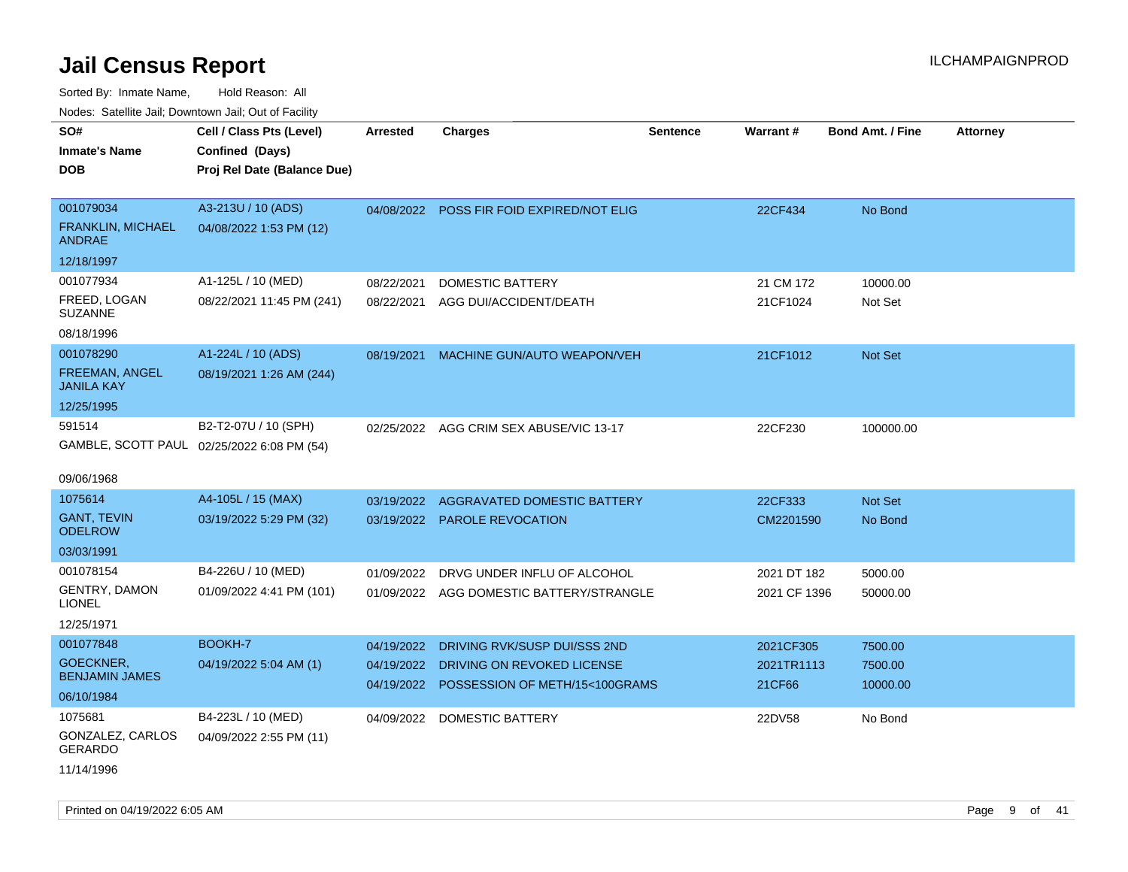| Youes. Sateme Jan, Downtown Jan, Out or Facility |                                            |            |                                           |          |              |                         |          |
|--------------------------------------------------|--------------------------------------------|------------|-------------------------------------------|----------|--------------|-------------------------|----------|
| SO#                                              | Cell / Class Pts (Level)                   | Arrested   | <b>Charges</b>                            | Sentence | Warrant#     | <b>Bond Amt. / Fine</b> | Attorney |
| <b>Inmate's Name</b>                             | Confined (Days)                            |            |                                           |          |              |                         |          |
| <b>DOB</b>                                       | Proj Rel Date (Balance Due)                |            |                                           |          |              |                         |          |
|                                                  |                                            |            |                                           |          |              |                         |          |
| 001079034                                        | A3-213U / 10 (ADS)                         |            | 04/08/2022 POSS FIR FOID EXPIRED/NOT ELIG |          | 22CF434      | No Bond                 |          |
| <b>FRANKLIN, MICHAEL</b><br><b>ANDRAE</b>        | 04/08/2022 1:53 PM (12)                    |            |                                           |          |              |                         |          |
| 12/18/1997                                       |                                            |            |                                           |          |              |                         |          |
| 001077934                                        | A1-125L / 10 (MED)                         | 08/22/2021 | <b>DOMESTIC BATTERY</b>                   |          | 21 CM 172    | 10000.00                |          |
| FREED, LOGAN<br><b>SUZANNE</b>                   | 08/22/2021 11:45 PM (241)                  | 08/22/2021 | AGG DUI/ACCIDENT/DEATH                    |          | 21CF1024     | Not Set                 |          |
| 08/18/1996                                       |                                            |            |                                           |          |              |                         |          |
| 001078290                                        | A1-224L / 10 (ADS)                         | 08/19/2021 | MACHINE GUN/AUTO WEAPON/VEH               |          | 21CF1012     | Not Set                 |          |
| <b>FREEMAN, ANGEL</b><br><b>JANILA KAY</b>       | 08/19/2021 1:26 AM (244)                   |            |                                           |          |              |                         |          |
| 12/25/1995                                       |                                            |            |                                           |          |              |                         |          |
| 591514                                           | B2-T2-07U / 10 (SPH)                       | 02/25/2022 | AGG CRIM SEX ABUSE/VIC 13-17              |          | 22CF230      | 100000.00               |          |
|                                                  | GAMBLE, SCOTT PAUL 02/25/2022 6:08 PM (54) |            |                                           |          |              |                         |          |
|                                                  |                                            |            |                                           |          |              |                         |          |
| 09/06/1968                                       |                                            |            |                                           |          |              |                         |          |
| 1075614                                          | A4-105L / 15 (MAX)                         | 03/19/2022 | <b>AGGRAVATED DOMESTIC BATTERY</b>        |          | 22CF333      | Not Set                 |          |
| <b>GANT, TEVIN</b><br><b>ODELROW</b>             | 03/19/2022 5:29 PM (32)                    |            | 03/19/2022 PAROLE REVOCATION              |          | CM2201590    | No Bond                 |          |
| 03/03/1991                                       |                                            |            |                                           |          |              |                         |          |
| 001078154                                        | B4-226U / 10 (MED)                         | 01/09/2022 | DRVG UNDER INFLU OF ALCOHOL               |          | 2021 DT 182  | 5000.00                 |          |
| <b>GENTRY, DAMON</b><br><b>LIONEL</b>            | 01/09/2022 4:41 PM (101)                   |            | 01/09/2022 AGG DOMESTIC BATTERY/STRANGLE  |          | 2021 CF 1396 | 50000.00                |          |
| 12/25/1971                                       |                                            |            |                                           |          |              |                         |          |
| 001077848                                        | BOOKH-7                                    | 04/19/2022 | DRIVING RVK/SUSP DUI/SSS 2ND              |          | 2021CF305    | 7500.00                 |          |
| GOECKNER,<br><b>BENJAMIN JAMES</b>               | 04/19/2022 5:04 AM (1)                     | 04/19/2022 | DRIVING ON REVOKED LICENSE                |          | 2021TR1113   | 7500.00                 |          |
| 06/10/1984                                       |                                            |            | 04/19/2022 POSSESSION OF METH/15<100GRAMS |          | 21CF66       | 10000.00                |          |
| 1075681                                          | B4-223L / 10 (MED)                         |            | 04/09/2022 DOMESTIC BATTERY               |          | 22DV58       | No Bond                 |          |
| GONZALEZ, CARLOS<br><b>GERARDO</b>               | 04/09/2022 2:55 PM (11)                    |            |                                           |          |              |                         |          |
| 11/14/1996                                       |                                            |            |                                           |          |              |                         |          |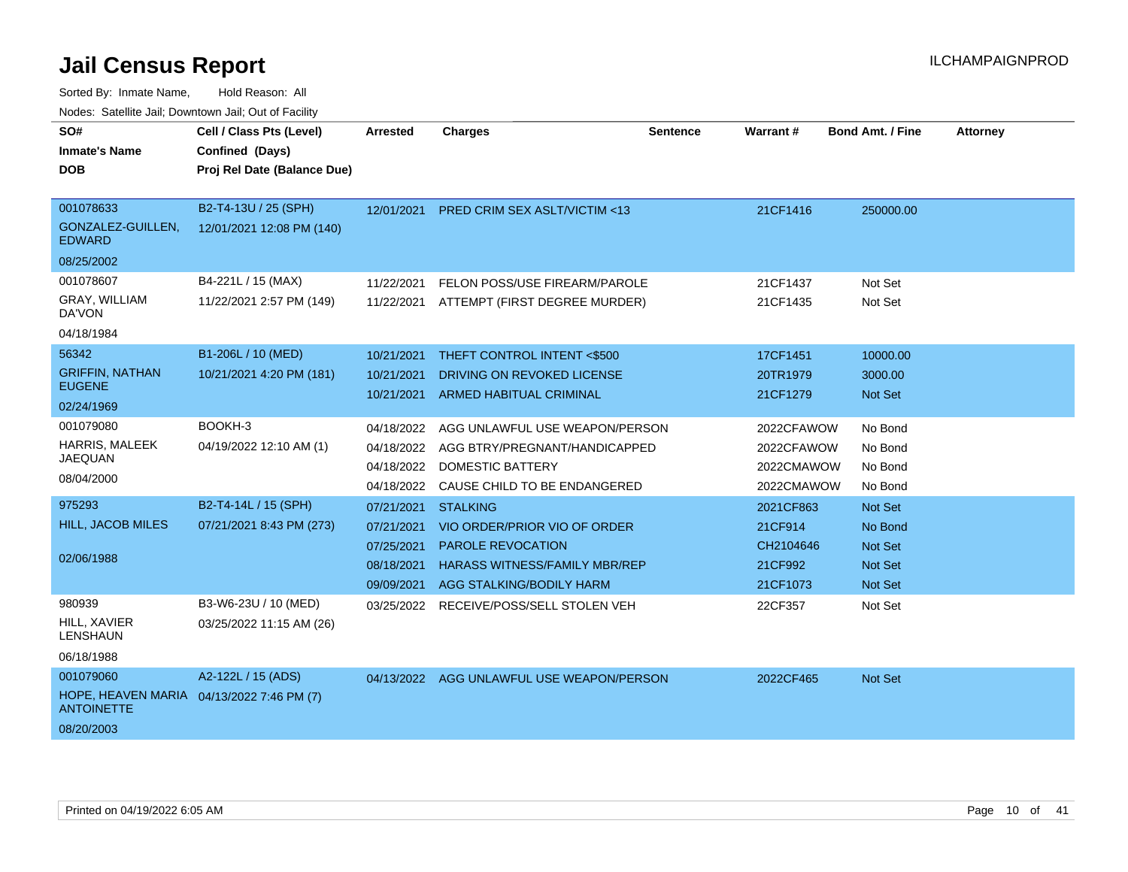| SO#<br><b>Inmate's Name</b>                                                               | Cell / Class Pts (Level)                          | <b>Arrested</b>                                                    | <b>Charges</b>                                                                                                                                  | <b>Sentence</b> | Warrant#                                                 | <b>Bond Amt. / Fine</b>                                                  | <b>Attorney</b> |
|-------------------------------------------------------------------------------------------|---------------------------------------------------|--------------------------------------------------------------------|-------------------------------------------------------------------------------------------------------------------------------------------------|-----------------|----------------------------------------------------------|--------------------------------------------------------------------------|-----------------|
| <b>DOB</b>                                                                                | Confined (Days)<br>Proj Rel Date (Balance Due)    |                                                                    |                                                                                                                                                 |                 |                                                          |                                                                          |                 |
| 001078633<br>GONZALEZ-GUILLEN,<br><b>EDWARD</b><br>08/25/2002                             | B2-T4-13U / 25 (SPH)<br>12/01/2021 12:08 PM (140) | 12/01/2021                                                         | <b>PRED CRIM SEX ASLT/VICTIM &lt;13</b>                                                                                                         |                 | 21CF1416                                                 | 250000.00                                                                |                 |
| 001078607<br><b>GRAY, WILLIAM</b><br>DA'VON<br>04/18/1984                                 | B4-221L / 15 (MAX)<br>11/22/2021 2:57 PM (149)    | 11/22/2021<br>11/22/2021                                           | FELON POSS/USE FIREARM/PAROLE<br>ATTEMPT (FIRST DEGREE MURDER)                                                                                  |                 | 21CF1437<br>21CF1435                                     | Not Set<br>Not Set                                                       |                 |
| 56342<br><b>GRIFFIN, NATHAN</b><br><b>EUGENE</b><br>02/24/1969                            | B1-206L / 10 (MED)<br>10/21/2021 4:20 PM (181)    | 10/21/2021<br>10/21/2021<br>10/21/2021                             | THEFT CONTROL INTENT <\$500<br>DRIVING ON REVOKED LICENSE<br>ARMED HABITUAL CRIMINAL                                                            |                 | 17CF1451<br>20TR1979<br>21CF1279                         | 10000.00<br>3000.00<br>Not Set                                           |                 |
| 001079080<br>HARRIS, MALEEK<br><b>JAEQUAN</b><br>08/04/2000                               | BOOKH-3<br>04/19/2022 12:10 AM (1)                | 04/18/2022<br>04/18/2022<br>04/18/2022                             | AGG UNLAWFUL USE WEAPON/PERSON<br>AGG BTRY/PREGNANT/HANDICAPPED<br>04/18/2022 DOMESTIC BATTERY<br>CAUSE CHILD TO BE ENDANGERED                  |                 | 2022CFAWOW<br>2022CFAWOW<br>2022CMAWOW<br>2022CMAWOW     | No Bond<br>No Bond<br>No Bond<br>No Bond                                 |                 |
| 975293<br><b>HILL, JACOB MILES</b><br>02/06/1988                                          | B2-T4-14L / 15 (SPH)<br>07/21/2021 8:43 PM (273)  | 07/21/2021<br>07/21/2021<br>07/25/2021<br>08/18/2021<br>09/09/2021 | <b>STALKING</b><br>VIO ORDER/PRIOR VIO OF ORDER<br><b>PAROLE REVOCATION</b><br><b>HARASS WITNESS/FAMILY MBR/REP</b><br>AGG STALKING/BODILY HARM |                 | 2021CF863<br>21CF914<br>CH2104646<br>21CF992<br>21CF1073 | Not Set<br>No Bond<br><b>Not Set</b><br><b>Not Set</b><br><b>Not Set</b> |                 |
| 980939<br>HILL, XAVIER<br><b>LENSHAUN</b><br>06/18/1988                                   | B3-W6-23U / 10 (MED)<br>03/25/2022 11:15 AM (26)  |                                                                    | 03/25/2022 RECEIVE/POSS/SELL STOLEN VEH                                                                                                         |                 | 22CF357                                                  | Not Set                                                                  |                 |
| 001079060<br>HOPE, HEAVEN MARIA 04/13/2022 7:46 PM (7)<br><b>ANTOINETTE</b><br>08/20/2003 | A2-122L / 15 (ADS)                                |                                                                    | 04/13/2022 AGG UNLAWFUL USE WEAPON/PERSON                                                                                                       |                 | 2022CF465                                                | Not Set                                                                  |                 |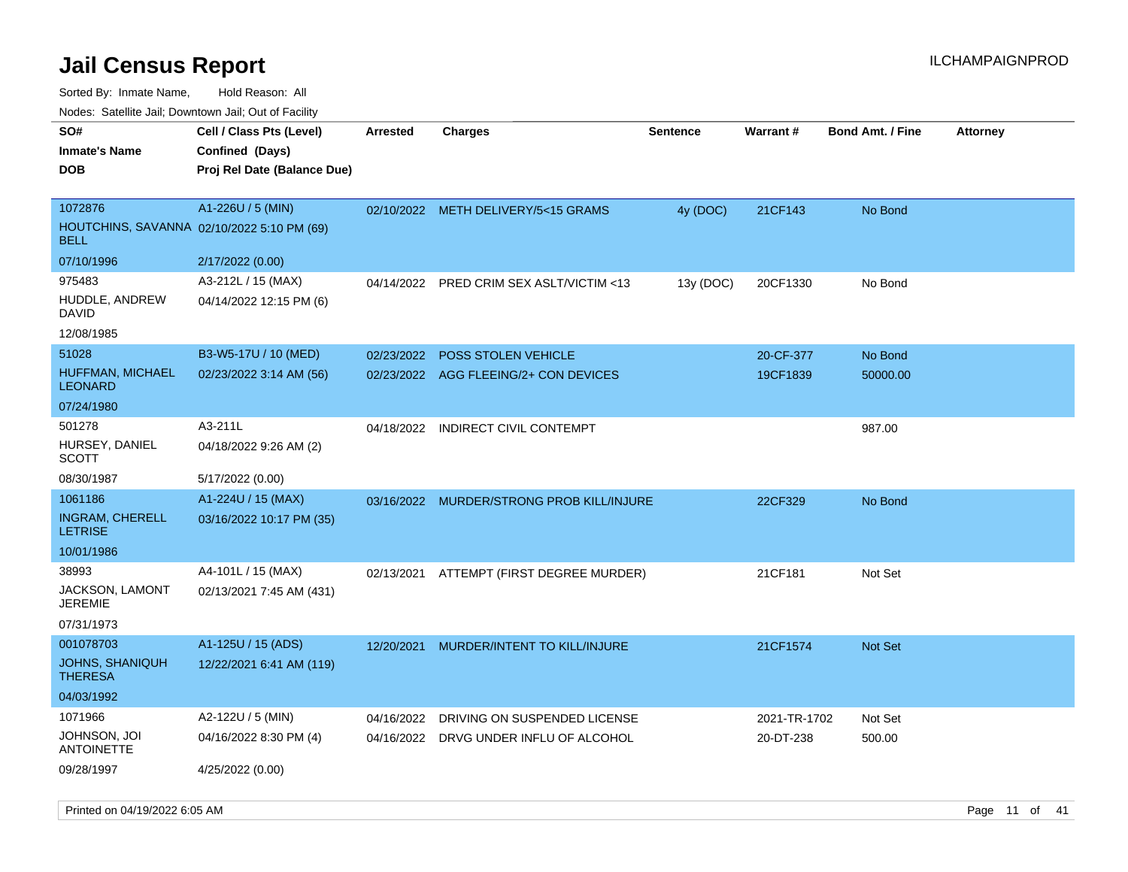Sorted By: Inmate Name, Hold Reason: All

Nodes: Satellite Jail; Downtown Jail; Out of Facility

|                                                           | Cell / Class Pts (Level)    |            |                                          |                 |                 |                         |                 |
|-----------------------------------------------------------|-----------------------------|------------|------------------------------------------|-----------------|-----------------|-------------------------|-----------------|
| SO#                                                       |                             | Arrested   | <b>Charges</b>                           | <b>Sentence</b> | <b>Warrant#</b> | <b>Bond Amt. / Fine</b> | <b>Attorney</b> |
| <b>Inmate's Name</b>                                      | Confined (Days)             |            |                                          |                 |                 |                         |                 |
| <b>DOB</b>                                                | Proj Rel Date (Balance Due) |            |                                          |                 |                 |                         |                 |
|                                                           |                             |            |                                          |                 |                 |                         |                 |
| 1072876                                                   | A1-226U / 5 (MIN)           | 02/10/2022 | METH DELIVERY/5<15 GRAMS                 | 4y (DOC)        | 21CF143         | No Bond                 |                 |
| HOUTCHINS, SAVANNA 02/10/2022 5:10 PM (69)<br><b>BELL</b> |                             |            |                                          |                 |                 |                         |                 |
| 07/10/1996                                                | 2/17/2022 (0.00)            |            |                                          |                 |                 |                         |                 |
| 975483                                                    | A3-212L / 15 (MAX)          |            | 04/14/2022 PRED CRIM SEX ASLT/VICTIM <13 | 13y (DOC)       | 20CF1330        | No Bond                 |                 |
| HUDDLE, ANDREW<br><b>DAVID</b>                            | 04/14/2022 12:15 PM (6)     |            |                                          |                 |                 |                         |                 |
| 12/08/1985                                                |                             |            |                                          |                 |                 |                         |                 |
| 51028                                                     | B3-W5-17U / 10 (MED)        | 02/23/2022 | POSS STOLEN VEHICLE                      |                 | 20-CF-377       | No Bond                 |                 |
| HUFFMAN, MICHAEL                                          | 02/23/2022 3:14 AM (56)     |            | 02/23/2022 AGG FLEEING/2+ CON DEVICES    |                 | 19CF1839        | 50000.00                |                 |
| <b>LEONARD</b>                                            |                             |            |                                          |                 |                 |                         |                 |
| 07/24/1980                                                |                             |            |                                          |                 |                 |                         |                 |
| 501278                                                    | A3-211L                     | 04/18/2022 | INDIRECT CIVIL CONTEMPT                  |                 |                 | 987.00                  |                 |
| HURSEY, DANIEL<br><b>SCOTT</b>                            | 04/18/2022 9:26 AM (2)      |            |                                          |                 |                 |                         |                 |
| 08/30/1987                                                | 5/17/2022 (0.00)            |            |                                          |                 |                 |                         |                 |
| 1061186                                                   | A1-224U / 15 (MAX)          | 03/16/2022 | <b>MURDER/STRONG PROB KILL/INJURE</b>    |                 | 22CF329         | No Bond                 |                 |
| <b>INGRAM, CHERELL</b><br><b>LETRISE</b>                  | 03/16/2022 10:17 PM (35)    |            |                                          |                 |                 |                         |                 |
| 10/01/1986                                                |                             |            |                                          |                 |                 |                         |                 |
| 38993                                                     | A4-101L / 15 (MAX)          | 02/13/2021 | ATTEMPT (FIRST DEGREE MURDER)            |                 | 21CF181         | Not Set                 |                 |
| JACKSON, LAMONT<br><b>JEREMIE</b>                         | 02/13/2021 7:45 AM (431)    |            |                                          |                 |                 |                         |                 |
| 07/31/1973                                                |                             |            |                                          |                 |                 |                         |                 |
| 001078703                                                 | A1-125U / 15 (ADS)          | 12/20/2021 | MURDER/INTENT TO KILL/INJURE             |                 | 21CF1574        | Not Set                 |                 |
| JOHNS, SHANIQUH<br><b>THERESA</b>                         | 12/22/2021 6:41 AM (119)    |            |                                          |                 |                 |                         |                 |
| 04/03/1992                                                |                             |            |                                          |                 |                 |                         |                 |
| 1071966                                                   | A2-122U / 5 (MIN)           | 04/16/2022 | DRIVING ON SUSPENDED LICENSE             |                 | 2021-TR-1702    | Not Set                 |                 |
| JOHNSON, JOI<br><b>ANTOINETTE</b>                         | 04/16/2022 8:30 PM (4)      |            | 04/16/2022 DRVG UNDER INFLU OF ALCOHOL   |                 | 20-DT-238       | 500.00                  |                 |
| 09/28/1997                                                | 4/25/2022 (0.00)            |            |                                          |                 |                 |                         |                 |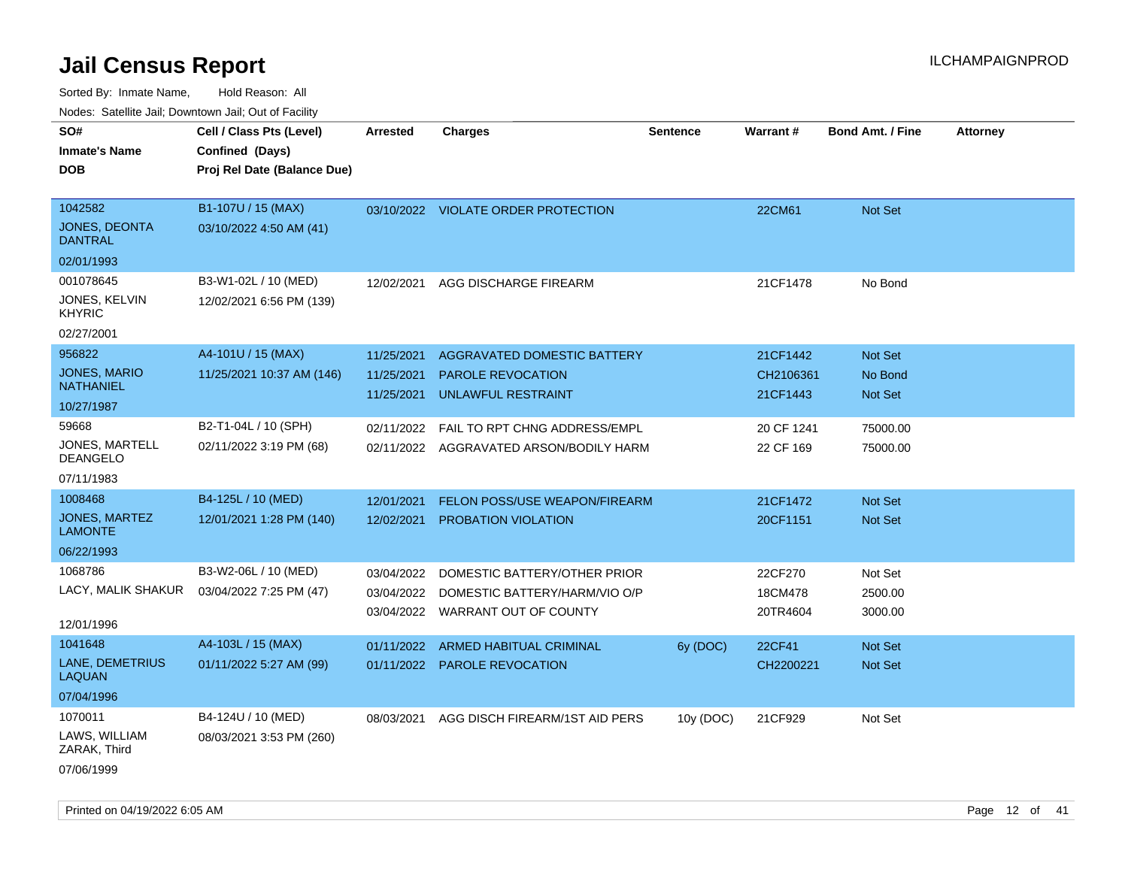| Nodes: Satellite Jali, Downtown Jali, Out of Facility |                             |                 |                                         |                 |            |                         |                 |
|-------------------------------------------------------|-----------------------------|-----------------|-----------------------------------------|-----------------|------------|-------------------------|-----------------|
| SO#                                                   | Cell / Class Pts (Level)    | <b>Arrested</b> | <b>Charges</b>                          | <b>Sentence</b> | Warrant#   | <b>Bond Amt. / Fine</b> | <b>Attorney</b> |
| <b>Inmate's Name</b>                                  | Confined (Days)             |                 |                                         |                 |            |                         |                 |
| <b>DOB</b>                                            | Proj Rel Date (Balance Due) |                 |                                         |                 |            |                         |                 |
|                                                       |                             |                 |                                         |                 |            |                         |                 |
| 1042582                                               | B1-107U / 15 (MAX)          |                 | 03/10/2022 VIOLATE ORDER PROTECTION     |                 | 22CM61     | Not Set                 |                 |
| JONES, DEONTA<br><b>DANTRAL</b>                       | 03/10/2022 4:50 AM (41)     |                 |                                         |                 |            |                         |                 |
| 02/01/1993                                            |                             |                 |                                         |                 |            |                         |                 |
| 001078645                                             | B3-W1-02L / 10 (MED)        | 12/02/2021      | AGG DISCHARGE FIREARM                   |                 | 21CF1478   | No Bond                 |                 |
| JONES, KELVIN<br><b>KHYRIC</b>                        | 12/02/2021 6:56 PM (139)    |                 |                                         |                 |            |                         |                 |
| 02/27/2001                                            |                             |                 |                                         |                 |            |                         |                 |
| 956822                                                | A4-101U / 15 (MAX)          | 11/25/2021      | <b>AGGRAVATED DOMESTIC BATTERY</b>      |                 | 21CF1442   | Not Set                 |                 |
| JONES, MARIO                                          | 11/25/2021 10:37 AM (146)   | 11/25/2021      | <b>PAROLE REVOCATION</b>                |                 | CH2106361  | No Bond                 |                 |
| <b>NATHANIEL</b>                                      |                             | 11/25/2021      | <b>UNLAWFUL RESTRAINT</b>               |                 | 21CF1443   | Not Set                 |                 |
| 10/27/1987                                            |                             |                 |                                         |                 |            |                         |                 |
| 59668                                                 | B2-T1-04L / 10 (SPH)        | 02/11/2022      | FAIL TO RPT CHNG ADDRESS/EMPL           |                 | 20 CF 1241 | 75000.00                |                 |
| JONES, MARTELL<br><b>DEANGELO</b>                     | 02/11/2022 3:19 PM (68)     |                 | 02/11/2022 AGGRAVATED ARSON/BODILY HARM |                 | 22 CF 169  | 75000.00                |                 |
| 07/11/1983                                            |                             |                 |                                         |                 |            |                         |                 |
| 1008468                                               | B4-125L / 10 (MED)          | 12/01/2021      | FELON POSS/USE WEAPON/FIREARM           |                 | 21CF1472   | Not Set                 |                 |
| JONES, MARTEZ<br><b>LAMONTE</b>                       | 12/01/2021 1:28 PM (140)    | 12/02/2021      | PROBATION VIOLATION                     |                 | 20CF1151   | Not Set                 |                 |
| 06/22/1993                                            |                             |                 |                                         |                 |            |                         |                 |
| 1068786                                               | B3-W2-06L / 10 (MED)        | 03/04/2022      | DOMESTIC BATTERY/OTHER PRIOR            |                 | 22CF270    | Not Set                 |                 |
| LACY, MALIK SHAKUR                                    | 03/04/2022 7:25 PM (47)     | 03/04/2022      | DOMESTIC BATTERY/HARM/VIO O/P           |                 | 18CM478    | 2500.00                 |                 |
|                                                       |                             |                 | 03/04/2022 WARRANT OUT OF COUNTY        |                 | 20TR4604   | 3000.00                 |                 |
| 12/01/1996                                            |                             |                 |                                         |                 |            |                         |                 |
| 1041648                                               | A4-103L / 15 (MAX)          | 01/11/2022      | ARMED HABITUAL CRIMINAL                 | 6y (DOC)        | 22CF41     | Not Set                 |                 |
| LANE, DEMETRIUS<br><b>LAQUAN</b>                      | 01/11/2022 5:27 AM (99)     |                 | 01/11/2022 PAROLE REVOCATION            |                 | CH2200221  | Not Set                 |                 |
| 07/04/1996                                            |                             |                 |                                         |                 |            |                         |                 |
| 1070011                                               | B4-124U / 10 (MED)          | 08/03/2021      | AGG DISCH FIREARM/1ST AID PERS          | 10y (DOC)       | 21CF929    | Not Set                 |                 |
| LAWS, WILLIAM<br>ZARAK, Third                         | 08/03/2021 3:53 PM (260)    |                 |                                         |                 |            |                         |                 |
| 07/06/1999                                            |                             |                 |                                         |                 |            |                         |                 |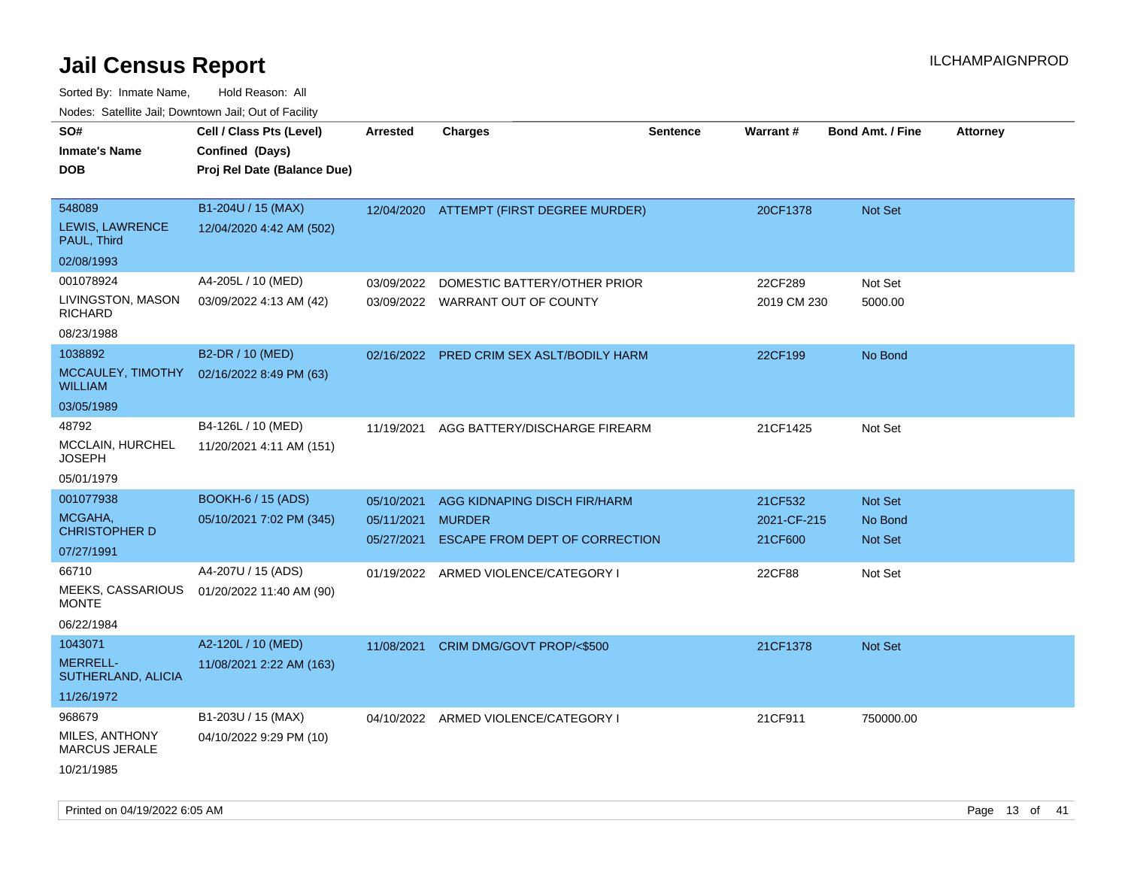| 10000. Catolino can, Domntonn can, Oat or I domt                                                                       |                                                                                                         |                                        |                                                                                                                         |                 |                                             |                                                        |                 |
|------------------------------------------------------------------------------------------------------------------------|---------------------------------------------------------------------------------------------------------|----------------------------------------|-------------------------------------------------------------------------------------------------------------------------|-----------------|---------------------------------------------|--------------------------------------------------------|-----------------|
| SO#<br>Inmate's Name<br><b>DOB</b>                                                                                     | Cell / Class Pts (Level)<br>Confined (Days)<br>Proj Rel Date (Balance Due)                              | Arrested                               | <b>Charges</b>                                                                                                          | <b>Sentence</b> | <b>Warrant#</b>                             | <b>Bond Amt. / Fine</b>                                | <b>Attorney</b> |
| 548089<br><b>LEWIS, LAWRENCE</b><br>PAUL, Third<br>02/08/1993                                                          | B1-204U / 15 (MAX)<br>12/04/2020 4:42 AM (502)                                                          |                                        | 12/04/2020 ATTEMPT (FIRST DEGREE MURDER)                                                                                |                 | 20CF1378                                    | <b>Not Set</b>                                         |                 |
| 001078924<br>LIVINGSTON, MASON<br>RICHARD<br>08/23/1988                                                                | A4-205L / 10 (MED)<br>03/09/2022 4:13 AM (42)                                                           | 03/09/2022                             | DOMESTIC BATTERY/OTHER PRIOR<br>03/09/2022 WARRANT OUT OF COUNTY                                                        |                 | 22CF289<br>2019 CM 230                      | Not Set<br>5000.00                                     |                 |
| 1038892<br><b>WILLIAM</b><br>03/05/1989                                                                                | B2-DR / 10 (MED)<br>MCCAULEY, TIMOTHY 02/16/2022 8:49 PM (63)                                           |                                        | 02/16/2022 PRED CRIM SEX ASLT/BODILY HARM                                                                               |                 | 22CF199                                     | No Bond                                                |                 |
| 48792<br>MCCLAIN, HURCHEL<br>JOSEPH<br>05/01/1979                                                                      | B4-126L / 10 (MED)<br>11/20/2021 4:11 AM (151)                                                          | 11/19/2021                             | AGG BATTERY/DISCHARGE FIREARM                                                                                           |                 | 21CF1425                                    | Not Set                                                |                 |
| 001077938<br>MCGAHA,<br><b>CHRISTOPHER D</b><br>07/27/1991<br>66710<br><b>MEEKS, CASSARIOUS</b><br>MONTE<br>06/22/1984 | <b>BOOKH-6 / 15 (ADS)</b><br>05/10/2021 7:02 PM (345)<br>A4-207U / 15 (ADS)<br>01/20/2022 11:40 AM (90) | 05/10/2021<br>05/11/2021<br>05/27/2021 | AGG KIDNAPING DISCH FIR/HARM<br><b>MURDER</b><br>ESCAPE FROM DEPT OF CORRECTION<br>01/19/2022 ARMED VIOLENCE/CATEGORY I |                 | 21CF532<br>2021-CF-215<br>21CF600<br>22CF88 | <b>Not Set</b><br>No Bond<br><b>Not Set</b><br>Not Set |                 |
| 1043071<br><b>MERRELL-</b><br>SUTHERLAND, ALICIA<br>11/26/1972                                                         | A2-120L / 10 (MED)<br>11/08/2021 2:22 AM (163)                                                          | 11/08/2021                             | CRIM DMG/GOVT PROP/<\$500                                                                                               |                 | 21CF1378                                    | <b>Not Set</b>                                         |                 |
| 968679<br>MILES, ANTHONY<br>MARCUS JERALE<br>10/21/1985                                                                | B1-203U / 15 (MAX)<br>04/10/2022 9:29 PM (10)                                                           |                                        | 04/10/2022 ARMED VIOLENCE/CATEGORY I                                                                                    |                 | 21CF911                                     | 750000.00                                              |                 |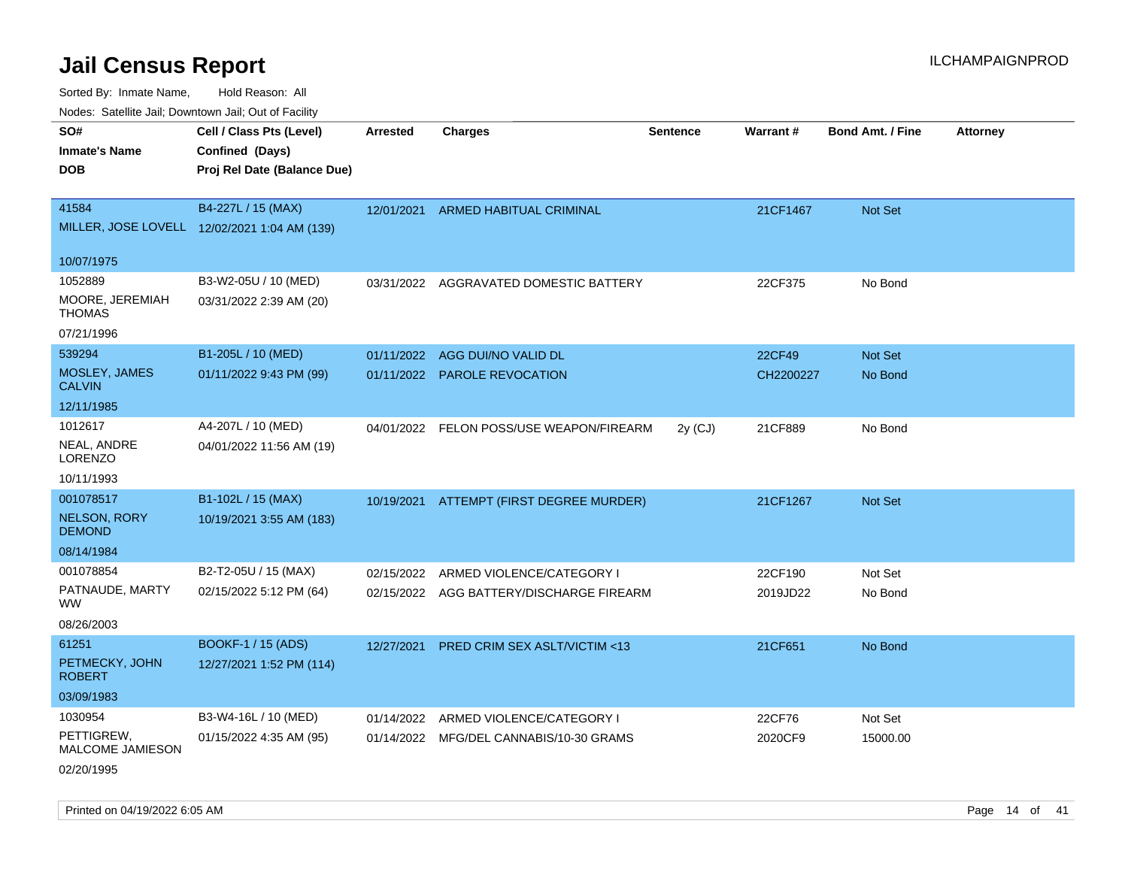Sorted By: Inmate Name, Hold Reason: All

| Nodes: Satellite Jail; Downtown Jail; Out of Facility |  |
|-------------------------------------------------------|--|
|                                                       |  |

| SO#<br><b>Inmate's Name</b><br><b>DOB</b> | Cell / Class Pts (Level)<br>Confined (Days)<br>Proj Rel Date (Balance Due) | <b>Arrested</b> | <b>Charges</b>                           | <b>Sentence</b> | Warrant#  | Bond Amt. / Fine | <b>Attorney</b> |
|-------------------------------------------|----------------------------------------------------------------------------|-----------------|------------------------------------------|-----------------|-----------|------------------|-----------------|
|                                           |                                                                            |                 |                                          |                 |           |                  |                 |
| 41584                                     | B4-227L / 15 (MAX)                                                         | 12/01/2021      | ARMED HABITUAL CRIMINAL                  |                 | 21CF1467  | Not Set          |                 |
|                                           | MILLER, JOSE LOVELL 12/02/2021 1:04 AM (139)                               |                 |                                          |                 |           |                  |                 |
|                                           |                                                                            |                 |                                          |                 |           |                  |                 |
| 10/07/1975                                |                                                                            |                 |                                          |                 |           |                  |                 |
| 1052889                                   | B3-W2-05U / 10 (MED)                                                       | 03/31/2022      | AGGRAVATED DOMESTIC BATTERY              |                 | 22CF375   | No Bond          |                 |
| MOORE, JEREMIAH<br><b>THOMAS</b>          | 03/31/2022 2:39 AM (20)                                                    |                 |                                          |                 |           |                  |                 |
| 07/21/1996                                |                                                                            |                 |                                          |                 |           |                  |                 |
| 539294                                    | B1-205L / 10 (MED)                                                         | 01/11/2022      | AGG DUI/NO VALID DL                      |                 | 22CF49    | Not Set          |                 |
| MOSLEY, JAMES<br><b>CALVIN</b>            | 01/11/2022 9:43 PM (99)                                                    |                 | 01/11/2022 PAROLE REVOCATION             |                 | CH2200227 | No Bond          |                 |
| 12/11/1985                                |                                                                            |                 |                                          |                 |           |                  |                 |
| 1012617                                   | A4-207L / 10 (MED)                                                         |                 | 04/01/2022 FELON POSS/USE WEAPON/FIREARM | 2y (CJ)         | 21CF889   | No Bond          |                 |
| NEAL, ANDRE<br><b>LORENZO</b>             | 04/01/2022 11:56 AM (19)                                                   |                 |                                          |                 |           |                  |                 |
| 10/11/1993                                |                                                                            |                 |                                          |                 |           |                  |                 |
| 001078517                                 | B1-102L / 15 (MAX)                                                         | 10/19/2021      | ATTEMPT (FIRST DEGREE MURDER)            |                 | 21CF1267  | Not Set          |                 |
| <b>NELSON, RORY</b><br><b>DEMOND</b>      | 10/19/2021 3:55 AM (183)                                                   |                 |                                          |                 |           |                  |                 |
| 08/14/1984                                |                                                                            |                 |                                          |                 |           |                  |                 |
| 001078854                                 | B2-T2-05U / 15 (MAX)                                                       |                 | 02/15/2022 ARMED VIOLENCE/CATEGORY I     |                 | 22CF190   | Not Set          |                 |
| PATNAUDE, MARTY<br><b>WW</b>              | 02/15/2022 5:12 PM (64)                                                    |                 | 02/15/2022 AGG BATTERY/DISCHARGE FIREARM |                 | 2019JD22  | No Bond          |                 |
| 08/26/2003                                |                                                                            |                 |                                          |                 |           |                  |                 |
| 61251                                     | BOOKF-1 / 15 (ADS)                                                         | 12/27/2021      | <b>PRED CRIM SEX ASLT/VICTIM &lt;13</b>  |                 | 21CF651   | No Bond          |                 |
| PETMECKY, JOHN<br><b>ROBERT</b>           | 12/27/2021 1:52 PM (114)                                                   |                 |                                          |                 |           |                  |                 |
| 03/09/1983                                |                                                                            |                 |                                          |                 |           |                  |                 |
| 1030954                                   | B3-W4-16L / 10 (MED)                                                       | 01/14/2022      | ARMED VIOLENCE/CATEGORY I                |                 | 22CF76    | Not Set          |                 |
| PETTIGREW,<br>MALCOME JAMIESON            | 01/15/2022 4:35 AM (95)                                                    |                 | 01/14/2022 MFG/DEL CANNABIS/10-30 GRAMS  |                 | 2020CF9   | 15000.00         |                 |
| 02/20/1995                                |                                                                            |                 |                                          |                 |           |                  |                 |

Printed on 04/19/2022 6:05 AM **Page 14** of 41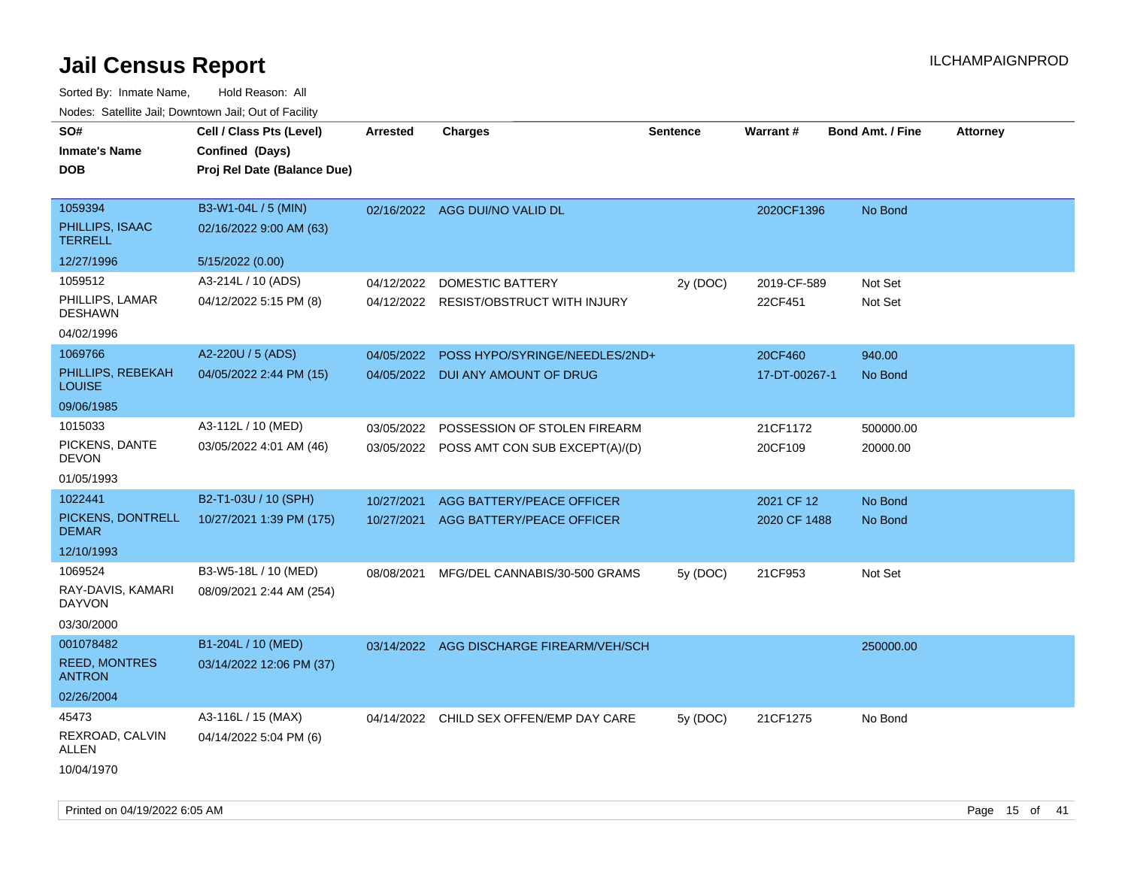| SO#<br><b>Inmate's Name</b><br><b>DOB</b>    | Cell / Class Pts (Level)<br>Confined (Days)<br>Proj Rel Date (Balance Due) | Arrested   | <b>Charges</b>                            | <b>Sentence</b> | Warrant#      | <b>Bond Amt. / Fine</b> | <b>Attorney</b> |
|----------------------------------------------|----------------------------------------------------------------------------|------------|-------------------------------------------|-----------------|---------------|-------------------------|-----------------|
| 1059394<br>PHILLIPS, ISAAC<br><b>TERRELL</b> | B3-W1-04L / 5 (MIN)<br>02/16/2022 9:00 AM (63)                             |            | 02/16/2022 AGG DUI/NO VALID DL            |                 | 2020CF1396    | No Bond                 |                 |
| 12/27/1996                                   | 5/15/2022 (0.00)                                                           |            |                                           |                 |               |                         |                 |
| 1059512                                      | A3-214L / 10 (ADS)                                                         | 04/12/2022 | DOMESTIC BATTERY                          | 2y (DOC)        | 2019-CF-589   | Not Set                 |                 |
| PHILLIPS, LAMAR<br><b>DESHAWN</b>            | 04/12/2022 5:15 PM (8)                                                     |            | 04/12/2022 RESIST/OBSTRUCT WITH INJURY    |                 | 22CF451       | Not Set                 |                 |
| 04/02/1996                                   |                                                                            |            |                                           |                 |               |                         |                 |
| 1069766                                      | A2-220U / 5 (ADS)                                                          | 04/05/2022 | POSS HYPO/SYRINGE/NEEDLES/2ND+            |                 | 20CF460       | 940.00                  |                 |
| PHILLIPS, REBEKAH<br><b>LOUISE</b>           | 04/05/2022 2:44 PM (15)                                                    |            | 04/05/2022 DUI ANY AMOUNT OF DRUG         |                 | 17-DT-00267-1 | No Bond                 |                 |
| 09/06/1985                                   |                                                                            |            |                                           |                 |               |                         |                 |
| 1015033                                      | A3-112L / 10 (MED)                                                         | 03/05/2022 | POSSESSION OF STOLEN FIREARM              |                 | 21CF1172      | 500000.00               |                 |
| PICKENS, DANTE<br><b>DEVON</b>               | 03/05/2022 4:01 AM (46)                                                    |            | 03/05/2022 POSS AMT CON SUB EXCEPT(A)/(D) |                 | 20CF109       | 20000.00                |                 |
| 01/05/1993                                   |                                                                            |            |                                           |                 |               |                         |                 |
| 1022441                                      | B2-T1-03U / 10 (SPH)                                                       | 10/27/2021 | AGG BATTERY/PEACE OFFICER                 |                 | 2021 CF 12    | No Bond                 |                 |
| PICKENS, DONTRELL<br><b>DEMAR</b>            | 10/27/2021 1:39 PM (175)                                                   |            | 10/27/2021 AGG BATTERY/PEACE OFFICER      |                 | 2020 CF 1488  | No Bond                 |                 |
| 12/10/1993                                   |                                                                            |            |                                           |                 |               |                         |                 |
| 1069524                                      | B3-W5-18L / 10 (MED)                                                       | 08/08/2021 | MFG/DEL CANNABIS/30-500 GRAMS             | 5y (DOC)        | 21CF953       | Not Set                 |                 |
| RAY-DAVIS, KAMARI<br><b>DAYVON</b>           | 08/09/2021 2:44 AM (254)                                                   |            |                                           |                 |               |                         |                 |
| 03/30/2000                                   |                                                                            |            |                                           |                 |               |                         |                 |
| 001078482                                    | B1-204L / 10 (MED)                                                         |            | 03/14/2022 AGG DISCHARGE FIREARM/VEH/SCH  |                 |               | 250000.00               |                 |
| <b>REED, MONTRES</b><br><b>ANTRON</b>        | 03/14/2022 12:06 PM (37)                                                   |            |                                           |                 |               |                         |                 |
| 02/26/2004                                   |                                                                            |            |                                           |                 |               |                         |                 |
| 45473                                        | A3-116L / 15 (MAX)                                                         |            | 04/14/2022 CHILD SEX OFFEN/EMP DAY CARE   | 5y (DOC)        | 21CF1275      | No Bond                 |                 |
| REXROAD, CALVIN<br>ALLEN                     | 04/14/2022 5:04 PM (6)                                                     |            |                                           |                 |               |                         |                 |
| 10/04/1970                                   |                                                                            |            |                                           |                 |               |                         |                 |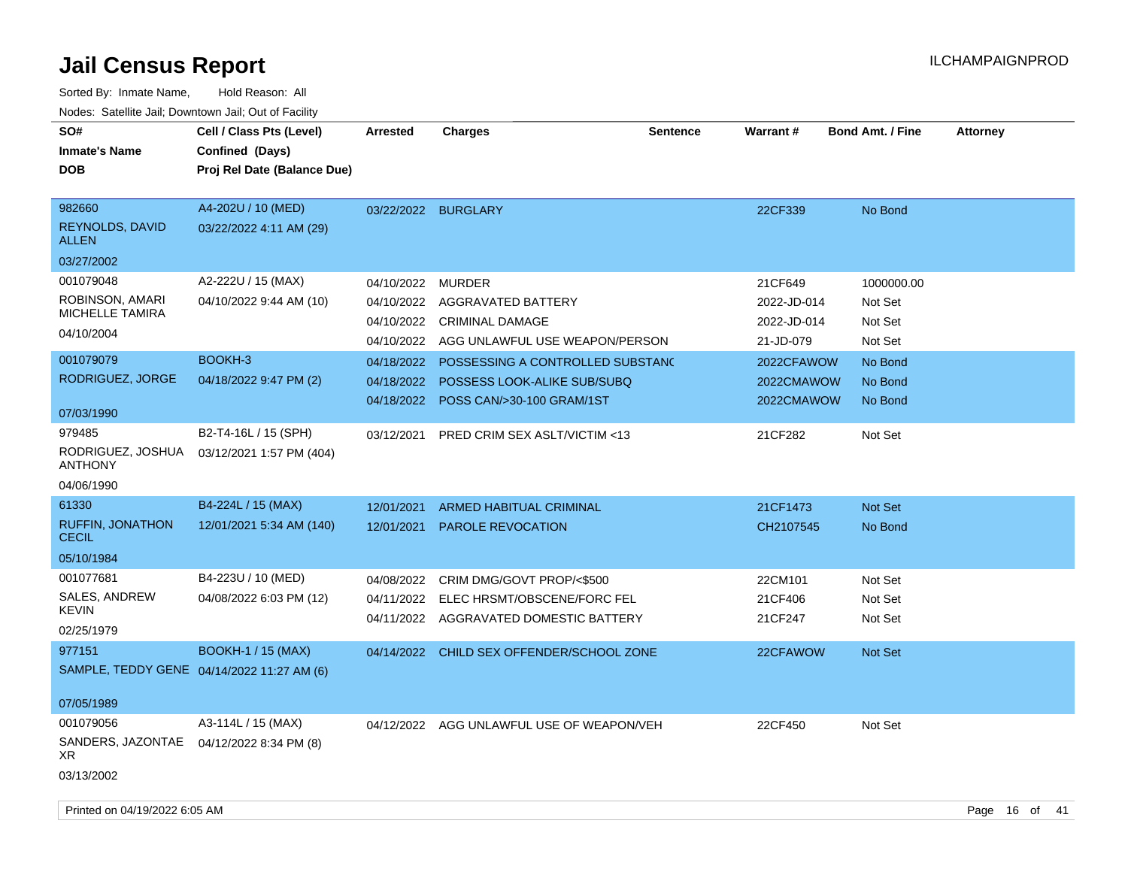| SO#<br><b>Inmate's Name</b>                   | Cell / Class Pts (Level)<br>Confined (Days)      | <b>Arrested</b> | <b>Charges</b>                            | <b>Sentence</b> | <b>Warrant#</b> | <b>Bond Amt. / Fine</b> | <b>Attorney</b> |
|-----------------------------------------------|--------------------------------------------------|-----------------|-------------------------------------------|-----------------|-----------------|-------------------------|-----------------|
| <b>DOB</b>                                    | Proj Rel Date (Balance Due)                      |                 |                                           |                 |                 |                         |                 |
|                                               |                                                  |                 |                                           |                 |                 |                         |                 |
| 982660                                        | A4-202U / 10 (MED)                               |                 | 03/22/2022 BURGLARY                       |                 | 22CF339         | No Bond                 |                 |
| <b>REYNOLDS, DAVID</b><br><b>ALLEN</b>        | 03/22/2022 4:11 AM (29)                          |                 |                                           |                 |                 |                         |                 |
| 03/27/2002                                    |                                                  |                 |                                           |                 |                 |                         |                 |
| 001079048                                     | A2-222U / 15 (MAX)                               | 04/10/2022      | <b>MURDER</b>                             |                 | 21CF649         | 1000000.00              |                 |
| ROBINSON, AMARI                               | 04/10/2022 9:44 AM (10)                          | 04/10/2022      | <b>AGGRAVATED BATTERY</b>                 |                 | 2022-JD-014     | Not Set                 |                 |
| <b>MICHELLE TAMIRA</b>                        |                                                  |                 | 04/10/2022 CRIMINAL DAMAGE                |                 | 2022-JD-014     | Not Set                 |                 |
| 04/10/2004                                    |                                                  | 04/10/2022      | AGG UNLAWFUL USE WEAPON/PERSON            |                 | 21-JD-079       | Not Set                 |                 |
| 001079079                                     | BOOKH-3                                          | 04/18/2022      | POSSESSING A CONTROLLED SUBSTANC          |                 | 2022CFAWOW      | No Bond                 |                 |
| RODRIGUEZ, JORGE                              | 04/18/2022 9:47 PM (2)                           | 04/18/2022      | POSSESS LOOK-ALIKE SUB/SUBQ               |                 | 2022CMAWOW      | No Bond                 |                 |
|                                               |                                                  | 04/18/2022      | POSS CAN/>30-100 GRAM/1ST                 |                 | 2022CMAWOW      | No Bond                 |                 |
| 07/03/1990                                    |                                                  |                 |                                           |                 |                 |                         |                 |
| 979485<br>RODRIGUEZ, JOSHUA<br><b>ANTHONY</b> | B2-T4-16L / 15 (SPH)<br>03/12/2021 1:57 PM (404) | 03/12/2021      | PRED CRIM SEX ASLT/VICTIM <13             |                 | 21CF282         | Not Set                 |                 |
| 04/06/1990                                    |                                                  |                 |                                           |                 |                 |                         |                 |
| 61330                                         | B4-224L / 15 (MAX)                               | 12/01/2021      | ARMED HABITUAL CRIMINAL                   |                 | 21CF1473        | Not Set                 |                 |
| <b>RUFFIN, JONATHON</b><br><b>CECIL</b>       | 12/01/2021 5:34 AM (140)                         | 12/01/2021      | PAROLE REVOCATION                         |                 | CH2107545       | No Bond                 |                 |
| 05/10/1984                                    |                                                  |                 |                                           |                 |                 |                         |                 |
| 001077681                                     | B4-223U / 10 (MED)                               | 04/08/2022      | CRIM DMG/GOVT PROP/<\$500                 |                 | 22CM101         | Not Set                 |                 |
| SALES, ANDREW                                 | 04/08/2022 6:03 PM (12)                          |                 | 04/11/2022 ELEC HRSMT/OBSCENE/FORC FEL    |                 | 21CF406         | Not Set                 |                 |
| <b>KEVIN</b>                                  |                                                  |                 | 04/11/2022 AGGRAVATED DOMESTIC BATTERY    |                 | 21CF247         | Not Set                 |                 |
| 02/25/1979                                    |                                                  |                 |                                           |                 |                 |                         |                 |
| 977151                                        | <b>BOOKH-1 / 15 (MAX)</b>                        |                 | 04/14/2022 CHILD SEX OFFENDER/SCHOOL ZONE |                 | 22CFAWOW        | Not Set                 |                 |
|                                               | SAMPLE, TEDDY GENE 04/14/2022 11:27 AM (6)       |                 |                                           |                 |                 |                         |                 |
| 07/05/1989                                    |                                                  |                 |                                           |                 |                 |                         |                 |
| 001079056                                     | A3-114L / 15 (MAX)                               | 04/12/2022      | AGG UNLAWFUL USE OF WEAPON/VEH            |                 | 22CF450         | Not Set                 |                 |
| SANDERS, JAZONTAE<br>XR                       | 04/12/2022 8:34 PM (8)                           |                 |                                           |                 |                 |                         |                 |
| 03/13/2002                                    |                                                  |                 |                                           |                 |                 |                         |                 |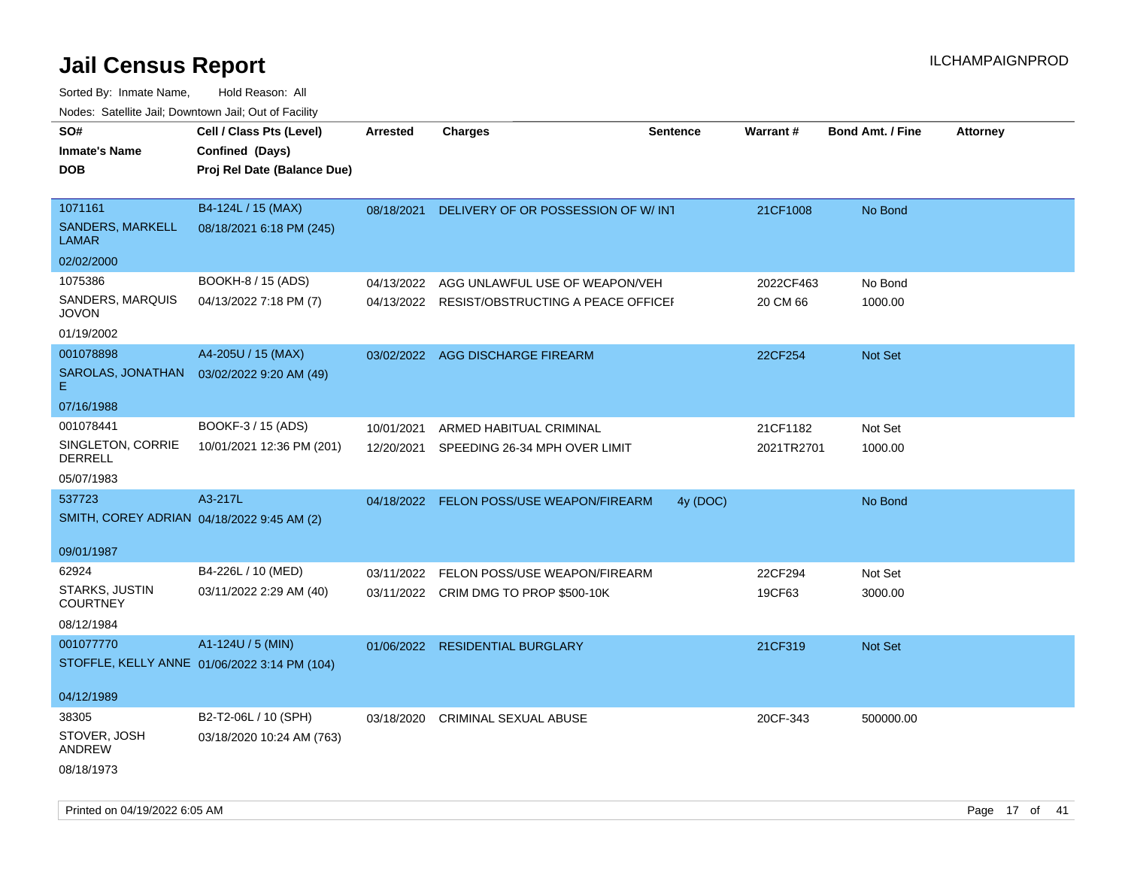| 110a00. 0atomto 0an, Domntonn 0an, 0at 011 aoint |                                              |                 |                                               |                 |            |                         |                 |
|--------------------------------------------------|----------------------------------------------|-----------------|-----------------------------------------------|-----------------|------------|-------------------------|-----------------|
| SO#<br><b>Inmate's Name</b>                      | Cell / Class Pts (Level)<br>Confined (Days)  | <b>Arrested</b> | <b>Charges</b>                                | <b>Sentence</b> | Warrant#   | <b>Bond Amt. / Fine</b> | <b>Attorney</b> |
| <b>DOB</b>                                       | Proj Rel Date (Balance Due)                  |                 |                                               |                 |            |                         |                 |
|                                                  |                                              |                 |                                               |                 |            |                         |                 |
| 1071161                                          | B4-124L / 15 (MAX)                           | 08/18/2021      | DELIVERY OF OR POSSESSION OF W/INT            |                 | 21CF1008   | No Bond                 |                 |
| <b>SANDERS, MARKELL</b><br>LAMAR                 | 08/18/2021 6:18 PM (245)                     |                 |                                               |                 |            |                         |                 |
| 02/02/2000                                       |                                              |                 |                                               |                 |            |                         |                 |
| 1075386                                          | BOOKH-8 / 15 (ADS)                           | 04/13/2022      | AGG UNLAWFUL USE OF WEAPON/VEH                |                 | 2022CF463  | No Bond                 |                 |
| SANDERS, MARQUIS<br><b>JOVON</b>                 | 04/13/2022 7:18 PM (7)                       |                 | 04/13/2022 RESIST/OBSTRUCTING A PEACE OFFICEH |                 | 20 CM 66   | 1000.00                 |                 |
| 01/19/2002                                       |                                              |                 |                                               |                 |            |                         |                 |
| 001078898                                        | A4-205U / 15 (MAX)                           |                 | 03/02/2022 AGG DISCHARGE FIREARM              |                 | 22CF254    | Not Set                 |                 |
| SAROLAS, JONATHAN<br>Е                           | 03/02/2022 9:20 AM (49)                      |                 |                                               |                 |            |                         |                 |
| 07/16/1988                                       |                                              |                 |                                               |                 |            |                         |                 |
| 001078441                                        | BOOKF-3 / 15 (ADS)                           | 10/01/2021      | ARMED HABITUAL CRIMINAL                       |                 | 21CF1182   | Not Set                 |                 |
| SINGLETON, CORRIE<br>DERRELL                     | 10/01/2021 12:36 PM (201)                    | 12/20/2021      | SPEEDING 26-34 MPH OVER LIMIT                 |                 | 2021TR2701 | 1000.00                 |                 |
| 05/07/1983                                       |                                              |                 |                                               |                 |            |                         |                 |
| 537723                                           | A3-217L                                      | 04/18/2022      | <b>FELON POSS/USE WEAPON/FIREARM</b>          | 4y (DOC)        |            | No Bond                 |                 |
| SMITH, COREY ADRIAN 04/18/2022 9:45 AM (2)       |                                              |                 |                                               |                 |            |                         |                 |
|                                                  |                                              |                 |                                               |                 |            |                         |                 |
| 09/01/1987<br>62924                              | B4-226L / 10 (MED)                           |                 |                                               |                 |            |                         |                 |
| STARKS, JUSTIN                                   |                                              | 03/11/2022      | FELON POSS/USE WEAPON/FIREARM                 |                 | 22CF294    | Not Set                 |                 |
| <b>COURTNEY</b>                                  | 03/11/2022 2:29 AM (40)                      |                 | 03/11/2022 CRIM DMG TO PROP \$500-10K         |                 | 19CF63     | 3000.00                 |                 |
| 08/12/1984                                       |                                              |                 |                                               |                 |            |                         |                 |
| 001077770                                        | A1-124U / 5 (MIN)                            | 01/06/2022      | <b>RESIDENTIAL BURGLARY</b>                   |                 | 21CF319    | <b>Not Set</b>          |                 |
|                                                  | STOFFLE, KELLY ANNE 01/06/2022 3:14 PM (104) |                 |                                               |                 |            |                         |                 |
|                                                  |                                              |                 |                                               |                 |            |                         |                 |
| 04/12/1989                                       |                                              |                 |                                               |                 |            |                         |                 |
| 38305                                            | B2-T2-06L / 10 (SPH)                         | 03/18/2020      | <b>CRIMINAL SEXUAL ABUSE</b>                  |                 | 20CF-343   | 500000.00               |                 |
| STOVER, JOSH<br>ANDREW                           | 03/18/2020 10:24 AM (763)                    |                 |                                               |                 |            |                         |                 |
| 08/18/1973                                       |                                              |                 |                                               |                 |            |                         |                 |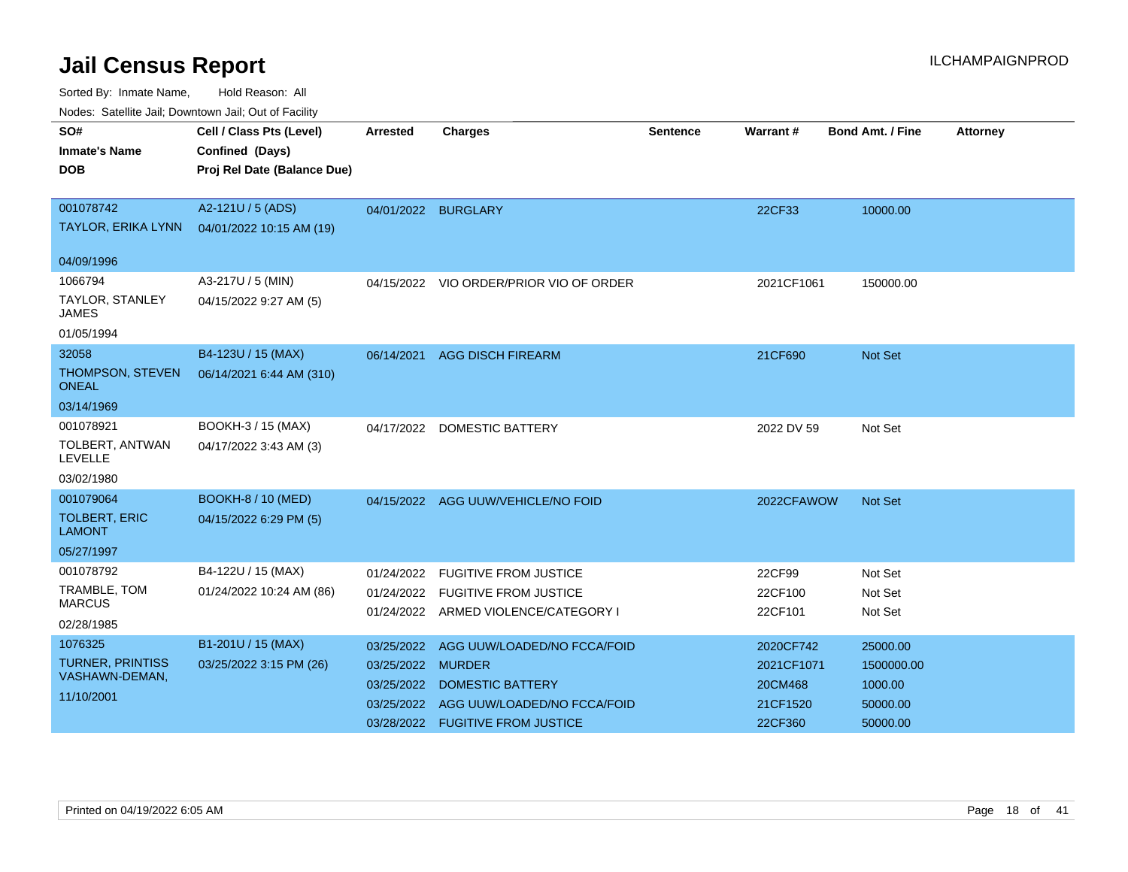| Nuuts. Saltiille Jall, Downlown Jall, Oul of Facility |                             |                     |                                         |          |            |                         |                 |
|-------------------------------------------------------|-----------------------------|---------------------|-----------------------------------------|----------|------------|-------------------------|-----------------|
| SO#                                                   | Cell / Class Pts (Level)    | Arrested            | <b>Charges</b>                          | Sentence | Warrant#   | <b>Bond Amt. / Fine</b> | <b>Attorney</b> |
| <b>Inmate's Name</b>                                  | Confined (Days)             |                     |                                         |          |            |                         |                 |
| <b>DOB</b>                                            | Proj Rel Date (Balance Due) |                     |                                         |          |            |                         |                 |
|                                                       |                             |                     |                                         |          |            |                         |                 |
| 001078742                                             | A2-121U / 5 (ADS)           | 04/01/2022 BURGLARY |                                         |          | 22CF33     | 10000.00                |                 |
| <b>TAYLOR, ERIKA LYNN</b>                             | 04/01/2022 10:15 AM (19)    |                     |                                         |          |            |                         |                 |
| 04/09/1996                                            |                             |                     |                                         |          |            |                         |                 |
| 1066794                                               | A3-217U / 5 (MIN)           |                     | 04/15/2022 VIO ORDER/PRIOR VIO OF ORDER |          | 2021CF1061 | 150000.00               |                 |
| TAYLOR, STANLEY<br>JAMES                              | 04/15/2022 9:27 AM (5)      |                     |                                         |          |            |                         |                 |
| 01/05/1994                                            |                             |                     |                                         |          |            |                         |                 |
| 32058                                                 | B4-123U / 15 (MAX)          | 06/14/2021          | <b>AGG DISCH FIREARM</b>                |          | 21CF690    | Not Set                 |                 |
| THOMPSON, STEVEN<br><b>ONEAL</b>                      | 06/14/2021 6:44 AM (310)    |                     |                                         |          |            |                         |                 |
| 03/14/1969                                            |                             |                     |                                         |          |            |                         |                 |
| 001078921                                             | BOOKH-3 / 15 (MAX)          |                     | 04/17/2022 DOMESTIC BATTERY             |          | 2022 DV 59 | Not Set                 |                 |
| TOLBERT, ANTWAN<br><b>LEVELLE</b>                     | 04/17/2022 3:43 AM (3)      |                     |                                         |          |            |                         |                 |
| 03/02/1980                                            |                             |                     |                                         |          |            |                         |                 |
| 001079064                                             | <b>BOOKH-8 / 10 (MED)</b>   |                     | 04/15/2022 AGG UUW/VEHICLE/NO FOID      |          | 2022CFAWOW | <b>Not Set</b>          |                 |
| <b>TOLBERT, ERIC</b><br><b>LAMONT</b>                 | 04/15/2022 6:29 PM (5)      |                     |                                         |          |            |                         |                 |
| 05/27/1997                                            |                             |                     |                                         |          |            |                         |                 |
| 001078792                                             | B4-122U / 15 (MAX)          | 01/24/2022          | <b>FUGITIVE FROM JUSTICE</b>            |          | 22CF99     | Not Set                 |                 |
| TRAMBLE, TOM                                          | 01/24/2022 10:24 AM (86)    | 01/24/2022          | <b>FUGITIVE FROM JUSTICE</b>            |          | 22CF100    | Not Set                 |                 |
| <b>MARCUS</b>                                         |                             |                     | 01/24/2022 ARMED VIOLENCE/CATEGORY I    |          | 22CF101    | Not Set                 |                 |
| 02/28/1985                                            |                             |                     |                                         |          |            |                         |                 |
| 1076325                                               | B1-201U / 15 (MAX)          | 03/25/2022          | AGG UUW/LOADED/NO FCCA/FOID             |          | 2020CF742  | 25000.00                |                 |
| <b>TURNER, PRINTISS</b><br>VASHAWN-DEMAN,             | 03/25/2022 3:15 PM (26)     | 03/25/2022 MURDER   |                                         |          | 2021CF1071 | 1500000.00              |                 |
|                                                       |                             | 03/25/2022          | <b>DOMESTIC BATTERY</b>                 |          | 20CM468    | 1000.00                 |                 |
| 11/10/2001                                            |                             | 03/25/2022          | AGG UUW/LOADED/NO FCCA/FOID             |          | 21CF1520   | 50000.00                |                 |
|                                                       |                             | 03/28/2022          | <b>FUGITIVE FROM JUSTICE</b>            |          | 22CF360    | 50000.00                |                 |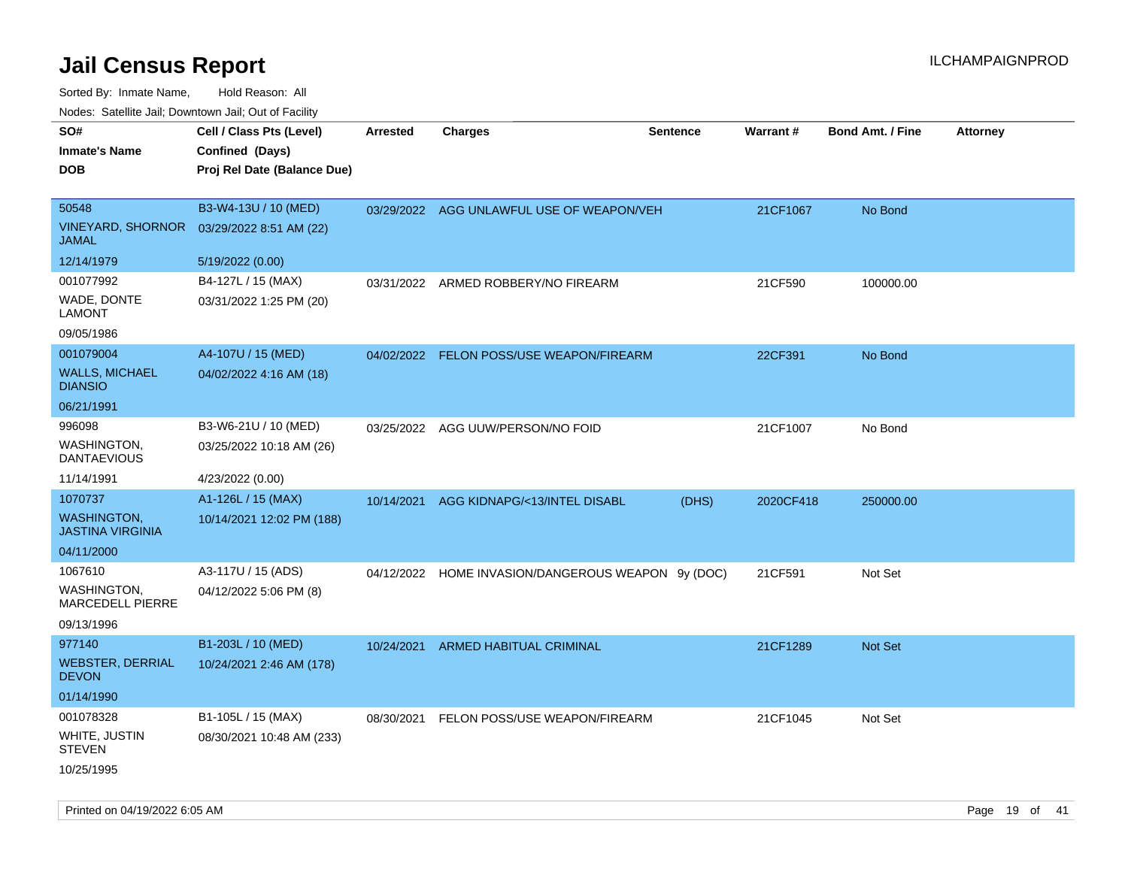| SO#<br><b>Inmate's Name</b><br><b>DOB</b>            | Cell / Class Pts (Level)<br>Confined (Days)<br>Proj Rel Date (Balance Due) | <b>Arrested</b> | <b>Charges</b>                                     | <b>Sentence</b> | Warrant#  | <b>Bond Amt. / Fine</b> | <b>Attorney</b> |
|------------------------------------------------------|----------------------------------------------------------------------------|-----------------|----------------------------------------------------|-----------------|-----------|-------------------------|-----------------|
| 50548<br><b>VINEYARD, SHORNOR</b><br><b>JAMAL</b>    | B3-W4-13U / 10 (MED)<br>03/29/2022 8:51 AM (22)                            | 03/29/2022      | AGG UNLAWFUL USE OF WEAPON/VEH                     |                 | 21CF1067  | No Bond                 |                 |
| 12/14/1979                                           | 5/19/2022 (0.00)                                                           |                 |                                                    |                 |           |                         |                 |
| 001077992<br>WADE, DONTE<br><b>LAMONT</b>            | B4-127L / 15 (MAX)<br>03/31/2022 1:25 PM (20)                              | 03/31/2022      | ARMED ROBBERY/NO FIREARM                           |                 | 21CF590   | 100000.00               |                 |
| 09/05/1986                                           |                                                                            |                 |                                                    |                 |           |                         |                 |
| 001079004<br><b>WALLS, MICHAEL</b><br><b>DIANSIO</b> | A4-107U / 15 (MED)<br>04/02/2022 4:16 AM (18)                              |                 | 04/02/2022 FELON POSS/USE WEAPON/FIREARM           |                 | 22CF391   | No Bond                 |                 |
| 06/21/1991                                           |                                                                            |                 |                                                    |                 |           |                         |                 |
| 996098<br><b>WASHINGTON,</b><br><b>DANTAEVIOUS</b>   | B3-W6-21U / 10 (MED)<br>03/25/2022 10:18 AM (26)                           |                 | 03/25/2022 AGG UUW/PERSON/NO FOID                  |                 | 21CF1007  | No Bond                 |                 |
| 11/14/1991                                           | 4/23/2022 (0.00)                                                           |                 |                                                    |                 |           |                         |                 |
| 1070737                                              | A1-126L / 15 (MAX)                                                         | 10/14/2021      | AGG KIDNAPG/<13/INTEL DISABL                       | (DHS)           | 2020CF418 | 250000.00               |                 |
| <b>WASHINGTON</b><br><b>JASTINA VIRGINIA</b>         | 10/14/2021 12:02 PM (188)                                                  |                 |                                                    |                 |           |                         |                 |
| 04/11/2000                                           |                                                                            |                 |                                                    |                 |           |                         |                 |
| 1067610                                              | A3-117U / 15 (ADS)                                                         |                 | 04/12/2022 HOME INVASION/DANGEROUS WEAPON 9y (DOC) |                 | 21CF591   | Not Set                 |                 |
| WASHINGTON,<br>MARCEDELL PIERRE                      | 04/12/2022 5:06 PM (8)                                                     |                 |                                                    |                 |           |                         |                 |
| 09/13/1996                                           |                                                                            |                 |                                                    |                 |           |                         |                 |
| 977140                                               | B1-203L / 10 (MED)                                                         | 10/24/2021      | ARMED HABITUAL CRIMINAL                            |                 | 21CF1289  | <b>Not Set</b>          |                 |
| <b>WEBSTER, DERRIAL</b><br><b>DEVON</b>              | 10/24/2021 2:46 AM (178)                                                   |                 |                                                    |                 |           |                         |                 |
| 01/14/1990                                           |                                                                            |                 |                                                    |                 |           |                         |                 |
| 001078328                                            | B1-105L / 15 (MAX)                                                         | 08/30/2021      | FELON POSS/USE WEAPON/FIREARM                      |                 | 21CF1045  | Not Set                 |                 |
| WHITE, JUSTIN<br><b>STEVEN</b>                       | 08/30/2021 10:48 AM (233)                                                  |                 |                                                    |                 |           |                         |                 |
| 10/25/1995                                           |                                                                            |                 |                                                    |                 |           |                         |                 |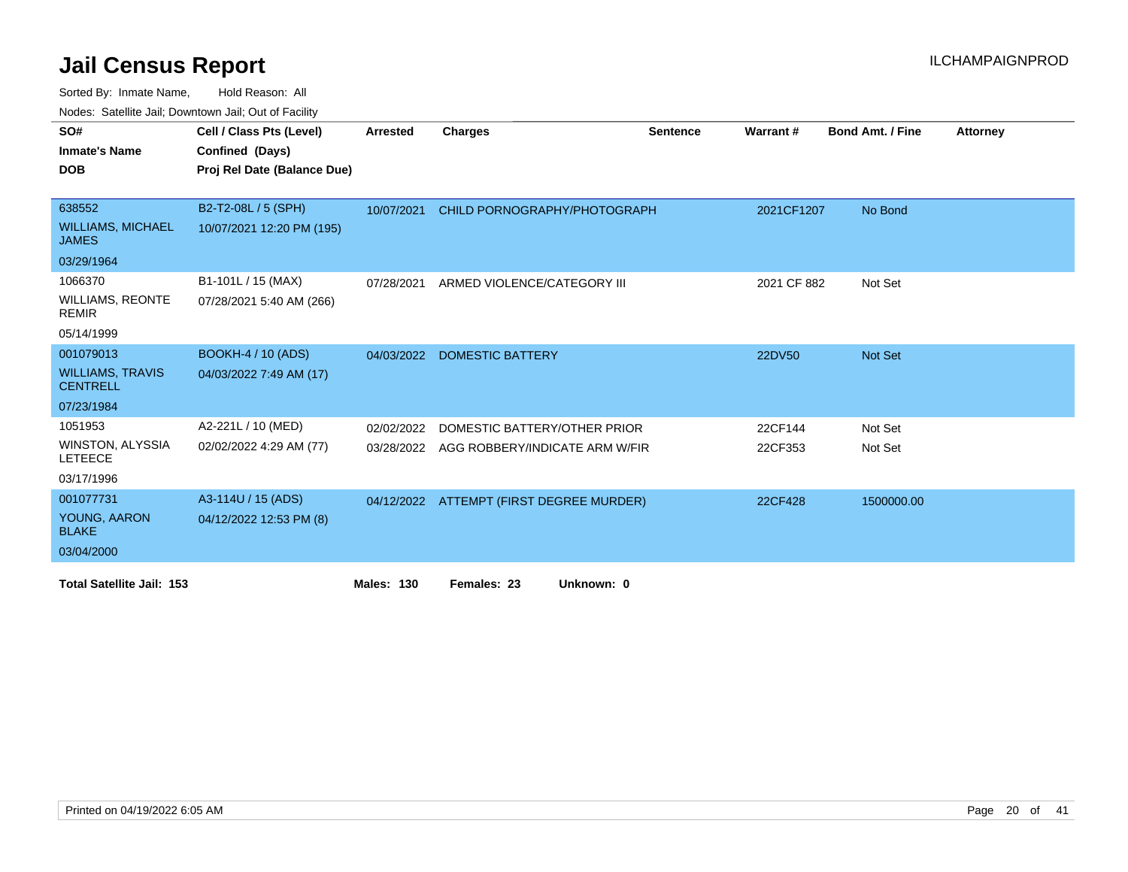Sorted By: Inmate Name, Hold Reason: All

|  |  | Nodes: Satellite Jail; Downtown Jail; Out of Facility |  |
|--|--|-------------------------------------------------------|--|
|--|--|-------------------------------------------------------|--|

| SO#<br><b>Inmate's Name</b>                | Cell / Class Pts (Level)<br>Confined (Days) | <b>Arrested</b>   | Charges                                  | <b>Sentence</b> | Warrant#    | <b>Bond Amt. / Fine</b> | <b>Attorney</b> |
|--------------------------------------------|---------------------------------------------|-------------------|------------------------------------------|-----------------|-------------|-------------------------|-----------------|
| <b>DOB</b>                                 | Proj Rel Date (Balance Due)                 |                   |                                          |                 |             |                         |                 |
|                                            |                                             |                   |                                          |                 |             |                         |                 |
| 638552                                     | B2-T2-08L / 5 (SPH)                         | 10/07/2021        | CHILD PORNOGRAPHY/PHOTOGRAPH             |                 | 2021CF1207  | No Bond                 |                 |
| <b>WILLIAMS, MICHAEL</b><br><b>JAMES</b>   | 10/07/2021 12:20 PM (195)                   |                   |                                          |                 |             |                         |                 |
| 03/29/1964                                 |                                             |                   |                                          |                 |             |                         |                 |
| 1066370                                    | B1-101L / 15 (MAX)                          | 07/28/2021        | ARMED VIOLENCE/CATEGORY III              |                 | 2021 CF 882 | Not Set                 |                 |
| <b>WILLIAMS, REONTE</b><br><b>REMIR</b>    | 07/28/2021 5:40 AM (266)                    |                   |                                          |                 |             |                         |                 |
| 05/14/1999                                 |                                             |                   |                                          |                 |             |                         |                 |
| 001079013                                  | <b>BOOKH-4 / 10 (ADS)</b>                   | 04/03/2022        | <b>DOMESTIC BATTERY</b>                  |                 | 22DV50      | <b>Not Set</b>          |                 |
| <b>WILLIAMS, TRAVIS</b><br><b>CENTRELL</b> | 04/03/2022 7:49 AM (17)                     |                   |                                          |                 |             |                         |                 |
| 07/23/1984                                 |                                             |                   |                                          |                 |             |                         |                 |
| 1051953                                    | A2-221L / 10 (MED)                          | 02/02/2022        | DOMESTIC BATTERY/OTHER PRIOR             |                 | 22CF144     | Not Set                 |                 |
| WINSTON, ALYSSIA<br><b>LETEECE</b>         | 02/02/2022 4:29 AM (77)                     | 03/28/2022        | AGG ROBBERY/INDICATE ARM W/FIR           |                 | 22CF353     | Not Set                 |                 |
| 03/17/1996                                 |                                             |                   |                                          |                 |             |                         |                 |
| 001077731                                  | A3-114U / 15 (ADS)                          |                   | 04/12/2022 ATTEMPT (FIRST DEGREE MURDER) |                 | 22CF428     | 1500000.00              |                 |
| YOUNG, AARON<br><b>BLAKE</b>               | 04/12/2022 12:53 PM (8)                     |                   |                                          |                 |             |                         |                 |
| 03/04/2000                                 |                                             |                   |                                          |                 |             |                         |                 |
| <b>Total Satellite Jail: 153</b>           |                                             | <b>Males: 130</b> | Females: 23<br>Unknown: 0                |                 |             |                         |                 |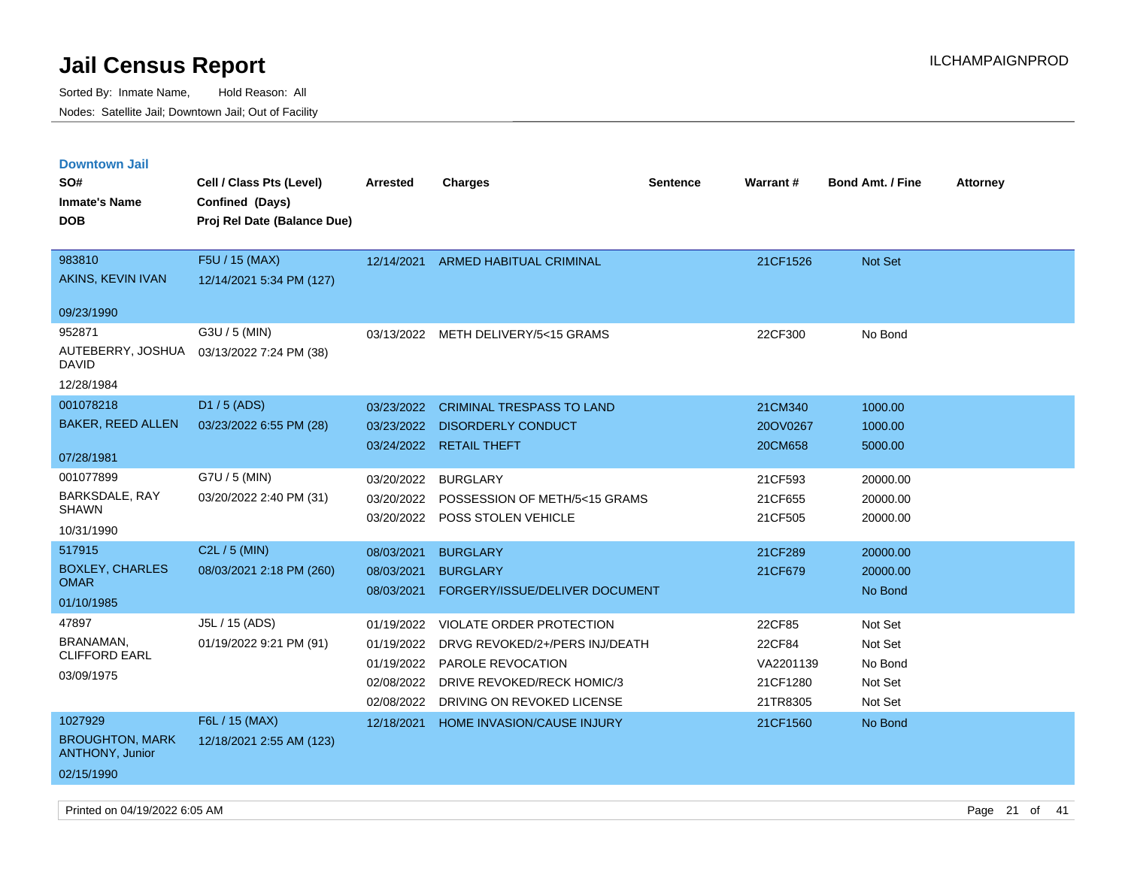| <b>Downtown Jail</b>                             |                             |            |                                     |          |                 |                         |                 |
|--------------------------------------------------|-----------------------------|------------|-------------------------------------|----------|-----------------|-------------------------|-----------------|
| SO#                                              | Cell / Class Pts (Level)    | Arrested   | <b>Charges</b>                      | Sentence | <b>Warrant#</b> | <b>Bond Amt. / Fine</b> | <b>Attorney</b> |
| <b>Inmate's Name</b>                             | Confined (Days)             |            |                                     |          |                 |                         |                 |
| <b>DOB</b>                                       | Proj Rel Date (Balance Due) |            |                                     |          |                 |                         |                 |
|                                                  |                             |            |                                     |          |                 |                         |                 |
| 983810                                           | F5U / 15 (MAX)              | 12/14/2021 | ARMED HABITUAL CRIMINAL             |          | 21CF1526        | Not Set                 |                 |
| AKINS, KEVIN IVAN                                | 12/14/2021 5:34 PM (127)    |            |                                     |          |                 |                         |                 |
| 09/23/1990                                       |                             |            |                                     |          |                 |                         |                 |
| 952871                                           | G3U / 5 (MIN)               |            | 03/13/2022 METH DELIVERY/5<15 GRAMS |          | 22CF300         | No Bond                 |                 |
| AUTEBERRY, JOSHUA<br><b>DAVID</b>                | 03/13/2022 7:24 PM (38)     |            |                                     |          |                 |                         |                 |
| 12/28/1984                                       |                             |            |                                     |          |                 |                         |                 |
| 001078218                                        | D1 / 5 (ADS)                | 03/23/2022 | <b>CRIMINAL TRESPASS TO LAND</b>    |          | 21CM340         | 1000.00                 |                 |
| <b>BAKER, REED ALLEN</b>                         | 03/23/2022 6:55 PM (28)     | 03/23/2022 | <b>DISORDERLY CONDUCT</b>           |          | 20OV0267        | 1000.00                 |                 |
|                                                  |                             | 03/24/2022 | <b>RETAIL THEFT</b>                 |          | 20CM658         | 5000.00                 |                 |
| 07/28/1981                                       |                             |            |                                     |          |                 |                         |                 |
| 001077899                                        | G7U / 5 (MIN)               | 03/20/2022 | <b>BURGLARY</b>                     |          | 21CF593         | 20000.00                |                 |
| BARKSDALE, RAY<br><b>SHAWN</b>                   | 03/20/2022 2:40 PM (31)     | 03/20/2022 | POSSESSION OF METH/5<15 GRAMS       |          | 21CF655         | 20000.00                |                 |
|                                                  |                             |            | 03/20/2022 POSS STOLEN VEHICLE      |          | 21CF505         | 20000.00                |                 |
| 10/31/1990                                       |                             |            |                                     |          |                 |                         |                 |
| 517915                                           | C2L / 5 (MIN)               | 08/03/2021 | <b>BURGLARY</b>                     |          | 21CF289         | 20000.00                |                 |
| <b>BOXLEY, CHARLES</b><br><b>OMAR</b>            | 08/03/2021 2:18 PM (260)    | 08/03/2021 | <b>BURGLARY</b>                     |          | 21CF679         | 20000.00                |                 |
| 01/10/1985                                       |                             | 08/03/2021 | FORGERY/ISSUE/DELIVER DOCUMENT      |          |                 | No Bond                 |                 |
| 47897                                            | J5L / 15 (ADS)              | 01/19/2022 | <b>VIOLATE ORDER PROTECTION</b>     |          | 22CF85          | Not Set                 |                 |
| <b>BRANAMAN,</b><br><b>CLIFFORD EARL</b>         | 01/19/2022 9:21 PM (91)     | 01/19/2022 | DRVG REVOKED/2+/PERS INJ/DEATH      |          | 22CF84          | Not Set                 |                 |
|                                                  |                             | 01/19/2022 | <b>PAROLE REVOCATION</b>            |          | VA2201139       | No Bond                 |                 |
| 03/09/1975                                       |                             | 02/08/2022 | DRIVE REVOKED/RECK HOMIC/3          |          | 21CF1280        | Not Set                 |                 |
|                                                  |                             | 02/08/2022 | DRIVING ON REVOKED LICENSE          |          | 21TR8305        | Not Set                 |                 |
| 1027929                                          | F6L / 15 (MAX)              | 12/18/2021 | HOME INVASION/CAUSE INJURY          |          | 21CF1560        | No Bond                 |                 |
| <b>BROUGHTON, MARK</b><br><b>ANTHONY, Junior</b> | 12/18/2021 2:55 AM (123)    |            |                                     |          |                 |                         |                 |
| 02/15/1990                                       |                             |            |                                     |          |                 |                         |                 |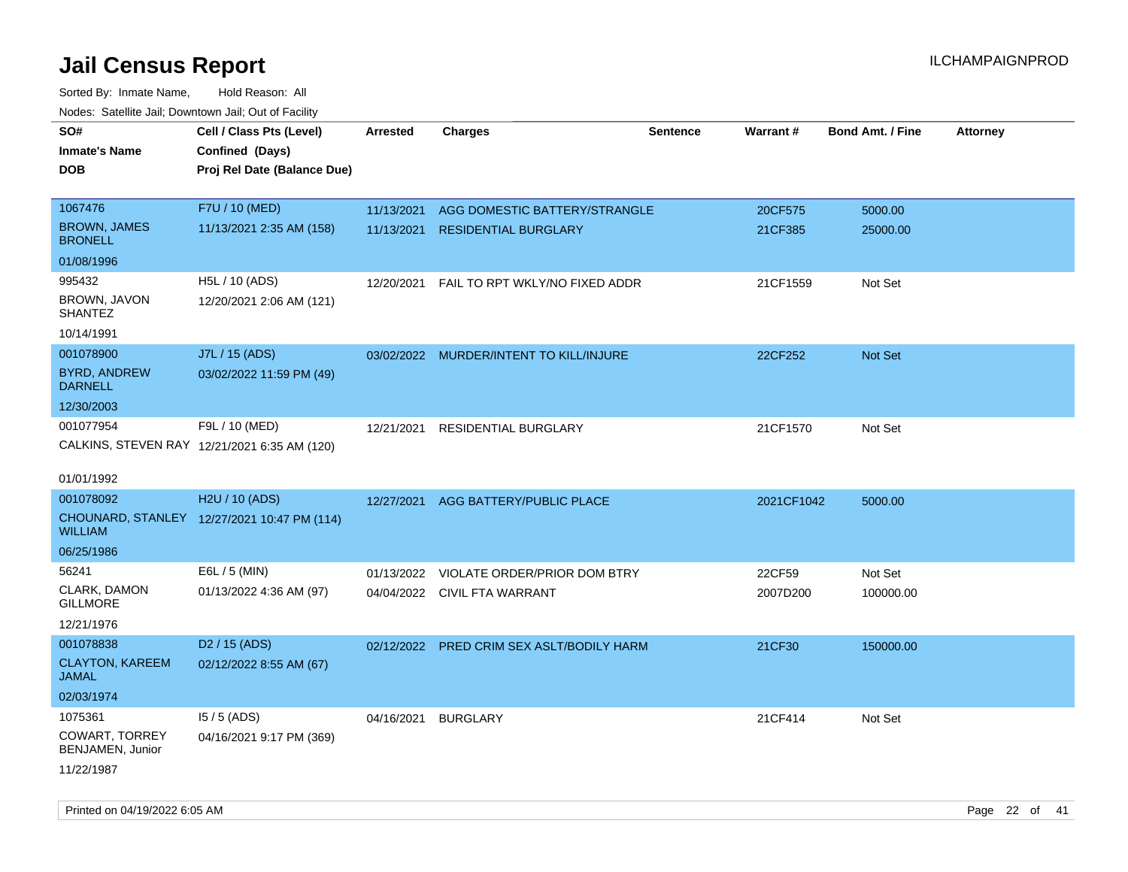| roaco. Catolino dall, Downtown dall, Out of Fability |                                              |                 |                                           |                 |                 |                         |                 |
|------------------------------------------------------|----------------------------------------------|-----------------|-------------------------------------------|-----------------|-----------------|-------------------------|-----------------|
| SO#                                                  | Cell / Class Pts (Level)                     | <b>Arrested</b> | <b>Charges</b>                            | <b>Sentence</b> | <b>Warrant#</b> | <b>Bond Amt. / Fine</b> | <b>Attorney</b> |
| <b>Inmate's Name</b>                                 | Confined (Days)                              |                 |                                           |                 |                 |                         |                 |
| <b>DOB</b>                                           | Proj Rel Date (Balance Due)                  |                 |                                           |                 |                 |                         |                 |
|                                                      |                                              |                 |                                           |                 |                 |                         |                 |
| 1067476                                              | F7U / 10 (MED)                               | 11/13/2021      | AGG DOMESTIC BATTERY/STRANGLE             |                 | 20CF575         | 5000.00                 |                 |
| <b>BROWN, JAMES</b><br><b>BRONELL</b>                | 11/13/2021 2:35 AM (158)                     | 11/13/2021      | <b>RESIDENTIAL BURGLARY</b>               |                 | 21CF385         | 25000.00                |                 |
| 01/08/1996                                           |                                              |                 |                                           |                 |                 |                         |                 |
| 995432                                               | H5L / 10 (ADS)                               | 12/20/2021      | FAIL TO RPT WKLY/NO FIXED ADDR            |                 | 21CF1559        | Not Set                 |                 |
| BROWN, JAVON<br><b>SHANTEZ</b>                       | 12/20/2021 2:06 AM (121)                     |                 |                                           |                 |                 |                         |                 |
| 10/14/1991                                           |                                              |                 |                                           |                 |                 |                         |                 |
| 001078900                                            | J7L / 15 (ADS)                               |                 | 03/02/2022 MURDER/INTENT TO KILL/INJURE   |                 | 22CF252         | Not Set                 |                 |
| <b>BYRD, ANDREW</b><br><b>DARNELL</b>                | 03/02/2022 11:59 PM (49)                     |                 |                                           |                 |                 |                         |                 |
| 12/30/2003                                           |                                              |                 |                                           |                 |                 |                         |                 |
| 001077954                                            | F9L / 10 (MED)                               | 12/21/2021      | RESIDENTIAL BURGLARY                      |                 | 21CF1570        | Not Set                 |                 |
|                                                      | CALKINS, STEVEN RAY 12/21/2021 6:35 AM (120) |                 |                                           |                 |                 |                         |                 |
|                                                      |                                              |                 |                                           |                 |                 |                         |                 |
| 01/01/1992                                           |                                              |                 |                                           |                 |                 |                         |                 |
| 001078092                                            | H2U / 10 (ADS)                               | 12/27/2021      | AGG BATTERY/PUBLIC PLACE                  |                 | 2021CF1042      | 5000.00                 |                 |
| WILLIAM                                              | CHOUNARD, STANLEY 12/27/2021 10:47 PM (114)  |                 |                                           |                 |                 |                         |                 |
| 06/25/1986                                           |                                              |                 |                                           |                 |                 |                         |                 |
| 56241                                                | E6L / 5 (MIN)                                | 01/13/2022      | VIOLATE ORDER/PRIOR DOM BTRY              |                 | 22CF59          | Not Set                 |                 |
| CLARK, DAMON<br><b>GILLMORE</b>                      | 01/13/2022 4:36 AM (97)                      |                 | 04/04/2022 CIVIL FTA WARRANT              |                 | 2007D200        | 100000.00               |                 |
| 12/21/1976                                           |                                              |                 |                                           |                 |                 |                         |                 |
| 001078838                                            | D <sub>2</sub> / 15 (ADS)                    |                 | 02/12/2022 PRED CRIM SEX ASLT/BODILY HARM |                 | 21CF30          | 150000.00               |                 |
| <b>CLAYTON, KAREEM</b><br>JAMAL                      | 02/12/2022 8:55 AM (67)                      |                 |                                           |                 |                 |                         |                 |
| 02/03/1974                                           |                                              |                 |                                           |                 |                 |                         |                 |
| 1075361                                              | $15/5$ (ADS)                                 | 04/16/2021      | <b>BURGLARY</b>                           |                 | 21CF414         | Not Set                 |                 |
| <b>COWART, TORREY</b><br>BENJAMEN, Junior            | 04/16/2021 9:17 PM (369)                     |                 |                                           |                 |                 |                         |                 |
| 11/22/1987                                           |                                              |                 |                                           |                 |                 |                         |                 |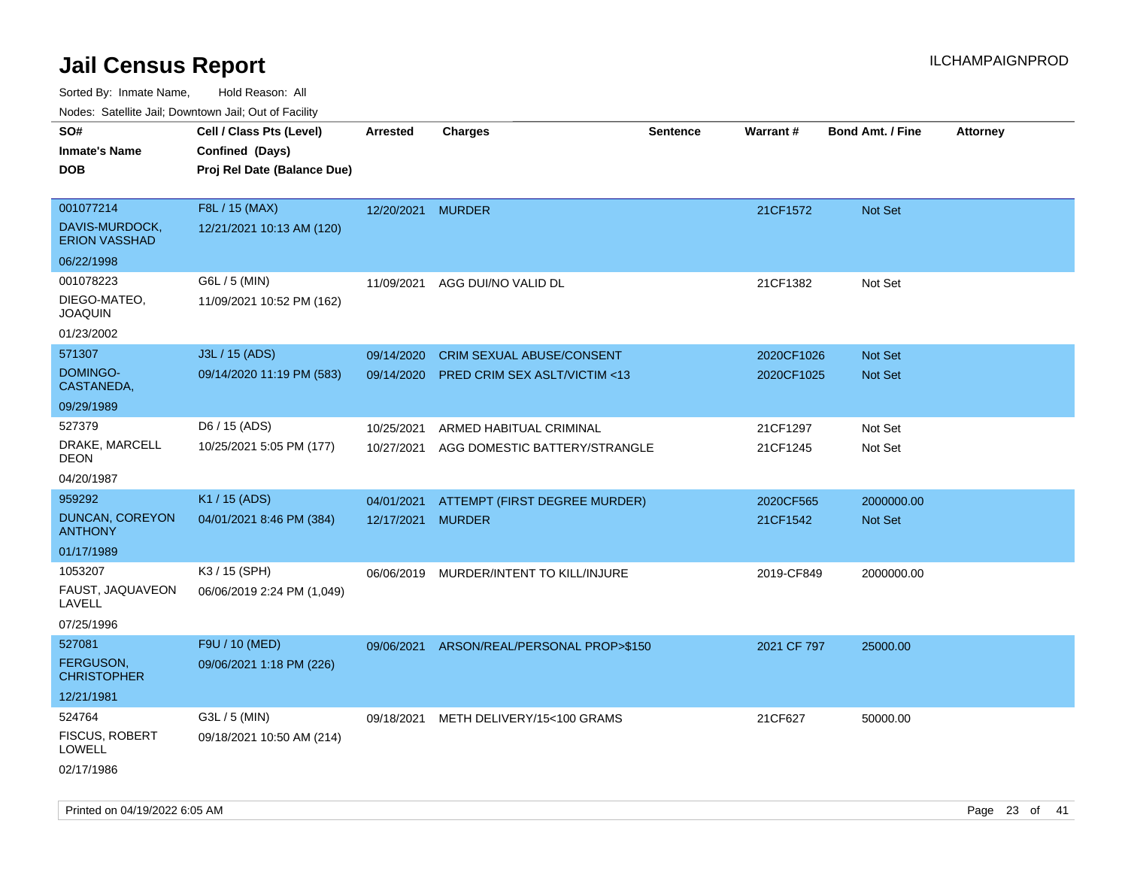| soupois catomic can, Dominomii can, Cat or I domt<br>SO#<br><b>Inmate's Name</b><br><b>DOB</b>                          | Cell / Class Pts (Level)<br>Confined (Days)<br>Proj Rel Date (Balance Due)               | Arrested                                      | <b>Charges</b>                                                       | <b>Sentence</b> | Warrant#                            | <b>Bond Amt. / Fine</b>             | <b>Attorney</b> |
|-------------------------------------------------------------------------------------------------------------------------|------------------------------------------------------------------------------------------|-----------------------------------------------|----------------------------------------------------------------------|-----------------|-------------------------------------|-------------------------------------|-----------------|
| 001077214<br>DAVIS-MURDOCK,<br><b>ERION VASSHAD</b>                                                                     | F8L / 15 (MAX)<br>12/21/2021 10:13 AM (120)                                              | 12/20/2021 MURDER                             |                                                                      |                 | 21CF1572                            | Not Set                             |                 |
| 06/22/1998<br>001078223<br>DIEGO-MATEO,<br><b>JOAQUIN</b><br>01/23/2002                                                 | G6L / 5 (MIN)<br>11/09/2021 10:52 PM (162)                                               | 11/09/2021                                    | AGG DUI/NO VALID DL                                                  |                 | 21CF1382                            | Not Set                             |                 |
| 571307<br>DOMINGO-<br>CASTANEDA,<br>09/29/1989                                                                          | J3L / 15 (ADS)<br>09/14/2020 11:19 PM (583)                                              | 09/14/2020<br>09/14/2020                      | CRIM SEXUAL ABUSE/CONSENT<br><b>PRED CRIM SEX ASLT/VICTIM &lt;13</b> |                 | 2020CF1026<br>2020CF1025            | Not Set<br><b>Not Set</b>           |                 |
| 527379<br>DRAKE, MARCELL<br><b>DEON</b><br>04/20/1987                                                                   | D6 / 15 (ADS)<br>10/25/2021 5:05 PM (177)                                                | 10/25/2021<br>10/27/2021                      | ARMED HABITUAL CRIMINAL<br>AGG DOMESTIC BATTERY/STRANGLE             |                 | 21CF1297<br>21CF1245                | Not Set<br>Not Set                  |                 |
| 959292<br><b>DUNCAN, COREYON</b><br><b>ANTHONY</b><br>01/17/1989<br>1053207<br>FAUST, JAQUAVEON<br>LAVELL<br>07/25/1996 | K1 / 15 (ADS)<br>04/01/2021 8:46 PM (384)<br>K3 / 15 (SPH)<br>06/06/2019 2:24 PM (1,049) | 04/01/2021<br>12/17/2021 MURDER<br>06/06/2019 | ATTEMPT (FIRST DEGREE MURDER)<br>MURDER/INTENT TO KILL/INJURE        |                 | 2020CF565<br>21CF1542<br>2019-CF849 | 2000000.00<br>Not Set<br>2000000.00 |                 |
| 527081<br><b>FERGUSON,</b><br><b>CHRISTOPHER</b><br>12/21/1981                                                          | F9U / 10 (MED)<br>09/06/2021 1:18 PM (226)                                               |                                               | 09/06/2021 ARSON/REAL/PERSONAL PROP>\$150                            |                 | 2021 CF 797                         | 25000.00                            |                 |
| 524764<br><b>FISCUS, ROBERT</b><br><b>LOWELL</b><br>02/17/1986                                                          | G3L / 5 (MIN)<br>09/18/2021 10:50 AM (214)                                               | 09/18/2021                                    | METH DELIVERY/15<100 GRAMS                                           |                 | 21CF627                             | 50000.00                            |                 |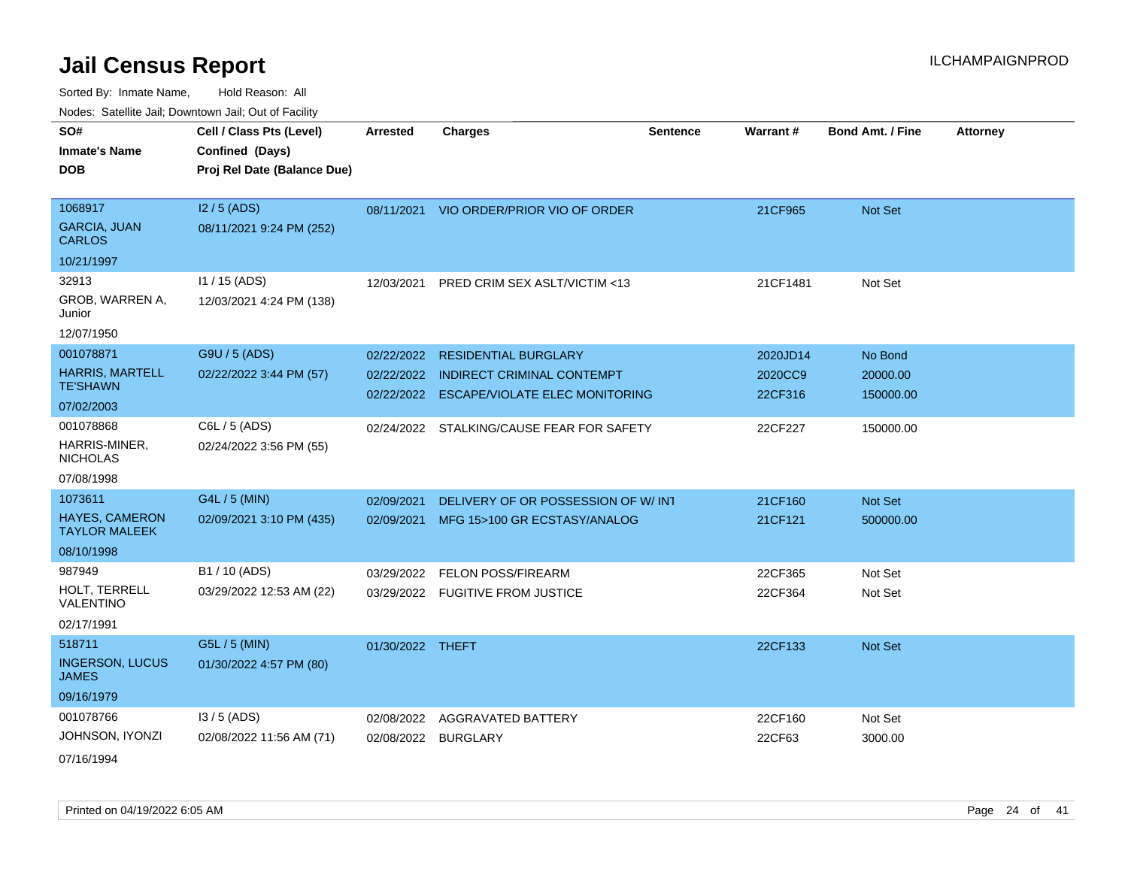Sorted By: Inmate Name, Hold Reason: All

| Nodes: Satellite Jail; Downtown Jail; Out of Facility |  |  |
|-------------------------------------------------------|--|--|
|                                                       |  |  |

| SO#<br><b>Inmate's Name</b><br><b>DOB</b>     | Cell / Class Pts (Level)<br>Confined (Days)<br>Proj Rel Date (Balance Due) | <b>Arrested</b>  | <b>Charges</b>                          | <b>Sentence</b> | <b>Warrant#</b> | <b>Bond Amt. / Fine</b> | <b>Attorney</b> |
|-----------------------------------------------|----------------------------------------------------------------------------|------------------|-----------------------------------------|-----------------|-----------------|-------------------------|-----------------|
| 1068917<br><b>GARCIA, JUAN</b>                | I2 / 5 (ADS)<br>08/11/2021 9:24 PM (252)                                   |                  | 08/11/2021 VIO ORDER/PRIOR VIO OF ORDER |                 | 21CF965         | Not Set                 |                 |
| <b>CARLOS</b>                                 |                                                                            |                  |                                         |                 |                 |                         |                 |
| 10/21/1997                                    |                                                                            |                  |                                         |                 |                 |                         |                 |
| 32913                                         | $11/15$ (ADS)                                                              | 12/03/2021       | PRED CRIM SEX ASLT/VICTIM <13           |                 | 21CF1481        | Not Set                 |                 |
| GROB, WARREN A,<br>Junior                     | 12/03/2021 4:24 PM (138)                                                   |                  |                                         |                 |                 |                         |                 |
| 12/07/1950                                    |                                                                            |                  |                                         |                 |                 |                         |                 |
| 001078871                                     | G9U / 5 (ADS)                                                              | 02/22/2022       | <b>RESIDENTIAL BURGLARY</b>             |                 | 2020JD14        | No Bond                 |                 |
| <b>HARRIS, MARTELL</b><br><b>TE'SHAWN</b>     | 02/22/2022 3:44 PM (57)                                                    | 02/22/2022       | <b>INDIRECT CRIMINAL CONTEMPT</b>       |                 | 2020CC9         | 20000.00                |                 |
| 07/02/2003                                    |                                                                            | 02/22/2022       | <b>ESCAPE/VIOLATE ELEC MONITORING</b>   |                 | 22CF316         | 150000.00               |                 |
| 001078868                                     | C6L / 5 (ADS)                                                              | 02/24/2022       | STALKING/CAUSE FEAR FOR SAFETY          |                 | 22CF227         | 150000.00               |                 |
| HARRIS-MINER,<br><b>NICHOLAS</b>              | 02/24/2022 3:56 PM (55)                                                    |                  |                                         |                 |                 |                         |                 |
| 07/08/1998                                    |                                                                            |                  |                                         |                 |                 |                         |                 |
| 1073611                                       | G4L / 5 (MIN)                                                              | 02/09/2021       | DELIVERY OF OR POSSESSION OF W/INT      |                 | 21CF160         | Not Set                 |                 |
| <b>HAYES, CAMERON</b><br><b>TAYLOR MALEEK</b> | 02/09/2021 3:10 PM (435)                                                   | 02/09/2021       | MFG 15>100 GR ECSTASY/ANALOG            |                 | 21CF121         | 500000.00               |                 |
| 08/10/1998                                    |                                                                            |                  |                                         |                 |                 |                         |                 |
| 987949                                        | B1 / 10 (ADS)                                                              | 03/29/2022       | FELON POSS/FIREARM                      |                 | 22CF365         | Not Set                 |                 |
| HOLT, TERRELL<br>VALENTINO                    | 03/29/2022 12:53 AM (22)                                                   |                  | 03/29/2022 FUGITIVE FROM JUSTICE        |                 | 22CF364         | Not Set                 |                 |
| 02/17/1991                                    |                                                                            |                  |                                         |                 |                 |                         |                 |
| 518711                                        | G5L / 5 (MIN)                                                              | 01/30/2022 THEFT |                                         |                 | 22CF133         | Not Set                 |                 |
| <b>INGERSON, LUCUS</b><br><b>JAMES</b>        | 01/30/2022 4:57 PM (80)                                                    |                  |                                         |                 |                 |                         |                 |
| 09/16/1979                                    |                                                                            |                  |                                         |                 |                 |                         |                 |
| 001078766                                     | $13/5$ (ADS)                                                               | 02/08/2022       | AGGRAVATED BATTERY                      |                 | 22CF160         | Not Set                 |                 |
| JOHNSON, IYONZI                               | 02/08/2022 11:56 AM (71)                                                   |                  | 02/08/2022 BURGLARY                     |                 | 22CF63          | 3000.00                 |                 |
|                                               |                                                                            |                  |                                         |                 |                 |                         |                 |

07/16/1994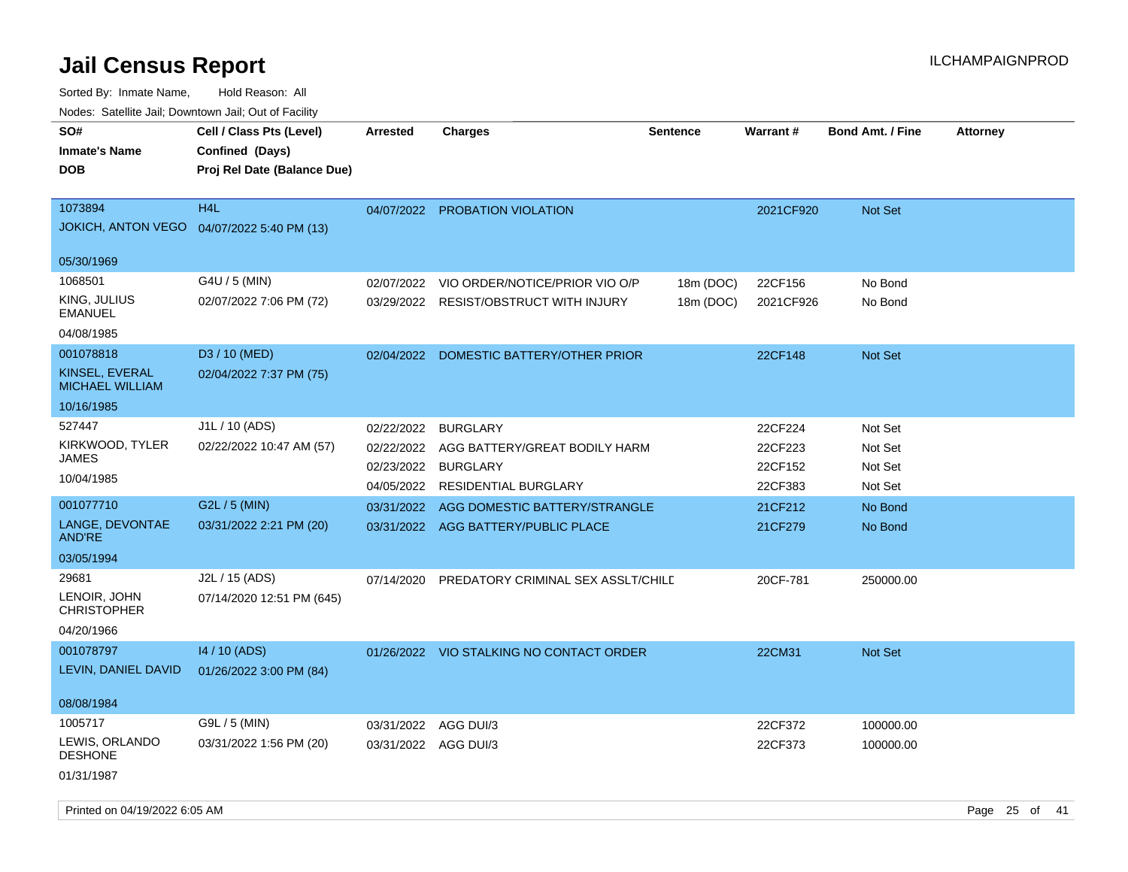| <u>Rodos.</u> Odiolino dali, Downtown dali, Odi of I dollity |                                                                            |                      |                                          |                 |           |                         |                 |
|--------------------------------------------------------------|----------------------------------------------------------------------------|----------------------|------------------------------------------|-----------------|-----------|-------------------------|-----------------|
| SO#<br>Inmate's Name<br>DOB                                  | Cell / Class Pts (Level)<br>Confined (Days)<br>Proj Rel Date (Balance Due) | <b>Arrested</b>      | <b>Charges</b>                           | <b>Sentence</b> | Warrant#  | <b>Bond Amt. / Fine</b> | <b>Attorney</b> |
| 1073894                                                      | H <sub>4</sub> L                                                           | 04/07/2022           | <b>PROBATION VIOLATION</b>               |                 | 2021CF920 | Not Set                 |                 |
| JOKICH, ANTON VEGO  04/07/2022 5:40 PM (13)                  |                                                                            |                      |                                          |                 |           |                         |                 |
| 05/30/1969                                                   |                                                                            |                      |                                          |                 |           |                         |                 |
| 1068501                                                      | G4U / 5 (MIN)                                                              | 02/07/2022           | VIO ORDER/NOTICE/PRIOR VIO O/P           | 18m (DOC)       | 22CF156   | No Bond                 |                 |
| KING, JULIUS<br>EMANUEL                                      | 02/07/2022 7:06 PM (72)                                                    | 03/29/2022           | <b>RESIST/OBSTRUCT WITH INJURY</b>       | 18m (DOC)       | 2021CF926 | No Bond                 |                 |
| 04/08/1985                                                   |                                                                            |                      |                                          |                 |           |                         |                 |
| 001078818                                                    | D <sub>3</sub> / 10 (MED)                                                  | 02/04/2022           | DOMESTIC BATTERY/OTHER PRIOR             |                 | 22CF148   | Not Set                 |                 |
| KINSEL, EVERAL<br><b>MICHAEL WILLIAM</b>                     | 02/04/2022 7:37 PM (75)                                                    |                      |                                          |                 |           |                         |                 |
| 10/16/1985                                                   |                                                                            |                      |                                          |                 |           |                         |                 |
| 527447                                                       | J1L / 10 (ADS)                                                             | 02/22/2022           | <b>BURGLARY</b>                          |                 | 22CF224   | Not Set                 |                 |
| KIRKWOOD, TYLER                                              | 02/22/2022 10:47 AM (57)                                                   | 02/22/2022           | AGG BATTERY/GREAT BODILY HARM            |                 | 22CF223   | Not Set                 |                 |
| JAMES<br>10/04/1985                                          |                                                                            | 02/23/2022           | <b>BURGLARY</b>                          |                 | 22CF152   | Not Set                 |                 |
|                                                              |                                                                            | 04/05/2022           | <b>RESIDENTIAL BURGLARY</b>              |                 | 22CF383   | Not Set                 |                 |
| 001077710                                                    | G2L / 5 (MIN)                                                              | 03/31/2022           | AGG DOMESTIC BATTERY/STRANGLE            |                 | 21CF212   | No Bond                 |                 |
| LANGE, DEVONTAE<br><b>AND'RE</b>                             | 03/31/2022 2:21 PM (20)                                                    |                      | 03/31/2022 AGG BATTERY/PUBLIC PLACE      |                 | 21CF279   | No Bond                 |                 |
| 03/05/1994                                                   |                                                                            |                      |                                          |                 |           |                         |                 |
| 29681<br>LENOIR, JOHN<br><b>CHRISTOPHER</b>                  | J2L / 15 (ADS)<br>07/14/2020 12:51 PM (645)                                | 07/14/2020           | PREDATORY CRIMINAL SEX ASSLT/CHILD       |                 | 20CF-781  | 250000.00               |                 |
| 04/20/1966                                                   |                                                                            |                      |                                          |                 |           |                         |                 |
| 001078797                                                    | 14 / 10 (ADS)                                                              |                      | 01/26/2022 VIO STALKING NO CONTACT ORDER |                 | 22CM31    | Not Set                 |                 |
| LEVIN, DANIEL DAVID                                          | 01/26/2022 3:00 PM (84)                                                    |                      |                                          |                 |           |                         |                 |
| 08/08/1984                                                   |                                                                            |                      |                                          |                 |           |                         |                 |
| 1005717                                                      | G9L / 5 (MIN)                                                              | 03/31/2022           | AGG DUI/3                                |                 | 22CF372   | 100000.00               |                 |
| LEWIS, ORLANDO<br><b>DESHONE</b>                             | 03/31/2022 1:56 PM (20)                                                    | 03/31/2022 AGG DUI/3 |                                          |                 | 22CF373   | 100000.00               |                 |
| 01/31/1987                                                   |                                                                            |                      |                                          |                 |           |                         |                 |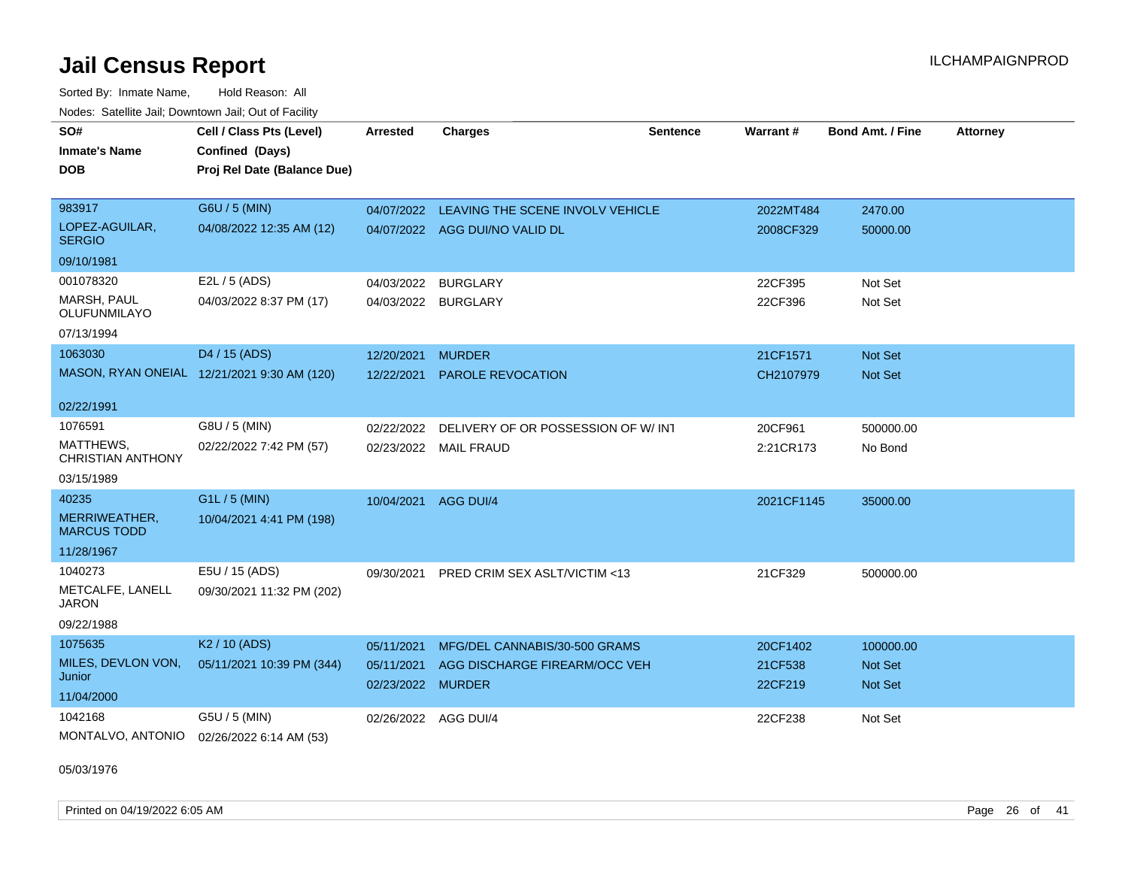Sorted By: Inmate Name, Hold Reason: All Nodes: Satellite Jail; Downtown Jail; Out of Facility

| SO#                                       | Cell / Class Pts (Level)                    | <b>Arrested</b>   | Charges                                  | <b>Sentence</b> | Warrant#   | <b>Bond Amt. / Fine</b> | <b>Attorney</b> |
|-------------------------------------------|---------------------------------------------|-------------------|------------------------------------------|-----------------|------------|-------------------------|-----------------|
| <b>Inmate's Name</b>                      | Confined (Days)                             |                   |                                          |                 |            |                         |                 |
| <b>DOB</b>                                | Proj Rel Date (Balance Due)                 |                   |                                          |                 |            |                         |                 |
|                                           |                                             |                   |                                          |                 |            |                         |                 |
| 983917                                    | G6U / 5 (MIN)                               | 04/07/2022        | LEAVING THE SCENE INVOLV VEHICLE         |                 | 2022MT484  | 2470.00                 |                 |
| LOPEZ-AGUILAR,<br><b>SERGIO</b>           | 04/08/2022 12:35 AM (12)                    |                   | 04/07/2022 AGG DUI/NO VALID DL           |                 | 2008CF329  | 50000.00                |                 |
| 09/10/1981                                |                                             |                   |                                          |                 |            |                         |                 |
| 001078320                                 | E2L / 5 (ADS)                               |                   | 04/03/2022 BURGLARY                      |                 | 22CF395    | Not Set                 |                 |
| <b>MARSH, PAUL</b><br><b>OLUFUNMILAYO</b> | 04/03/2022 8:37 PM (17)                     |                   | 04/03/2022 BURGLARY                      |                 | 22CF396    | Not Set                 |                 |
| 07/13/1994                                |                                             |                   |                                          |                 |            |                         |                 |
| 1063030                                   | D4 / 15 (ADS)                               | 12/20/2021        | <b>MURDER</b>                            |                 | 21CF1571   | Not Set                 |                 |
|                                           | MASON, RYAN ONEIAL 12/21/2021 9:30 AM (120) | 12/22/2021        | <b>PAROLE REVOCATION</b>                 |                 | CH2107979  | <b>Not Set</b>          |                 |
| 02/22/1991                                |                                             |                   |                                          |                 |            |                         |                 |
| 1076591                                   | G8U / 5 (MIN)                               | 02/22/2022        | DELIVERY OF OR POSSESSION OF W/INT       |                 | 20CF961    | 500000.00               |                 |
| MATTHEWS.<br><b>CHRISTIAN ANTHONY</b>     | 02/22/2022 7:42 PM (57)                     |                   | 02/23/2022 MAIL FRAUD                    |                 | 2:21CR173  | No Bond                 |                 |
| 03/15/1989                                |                                             |                   |                                          |                 |            |                         |                 |
| 40235                                     | G1L / 5 (MIN)                               | 10/04/2021        | AGG DUI/4                                |                 | 2021CF1145 | 35000.00                |                 |
| MERRIWEATHER,<br><b>MARCUS TODD</b>       | 10/04/2021 4:41 PM (198)                    |                   |                                          |                 |            |                         |                 |
| 11/28/1967                                |                                             |                   |                                          |                 |            |                         |                 |
| 1040273                                   | E5U / 15 (ADS)                              |                   | 09/30/2021 PRED CRIM SEX ASLT/VICTIM <13 |                 | 21CF329    | 500000.00               |                 |
| METCALFE, LANELL<br><b>JARON</b>          | 09/30/2021 11:32 PM (202)                   |                   |                                          |                 |            |                         |                 |
| 09/22/1988                                |                                             |                   |                                          |                 |            |                         |                 |
| 1075635                                   | K <sub>2</sub> / 10 (ADS)                   | 05/11/2021        | MFG/DEL CANNABIS/30-500 GRAMS            |                 | 20CF1402   | 100000.00               |                 |
| MILES, DEVLON VON,<br>Junior              | 05/11/2021 10:39 PM (344)                   | 05/11/2021        | AGG DISCHARGE FIREARM/OCC VEH            |                 | 21CF538    | Not Set                 |                 |
| 11/04/2000                                |                                             | 02/23/2022 MURDER |                                          |                 | 22CF219    | Not Set                 |                 |
| 1042168                                   | G5U / 5 (MIN)                               |                   | 02/26/2022 AGG DUI/4                     |                 | 22CF238    | Not Set                 |                 |
| MONTALVO, ANTONIO                         | 02/26/2022 6:14 AM (53)                     |                   |                                          |                 |            |                         |                 |

05/03/1976

Printed on 04/19/2022 6:05 AM Page 26 of 41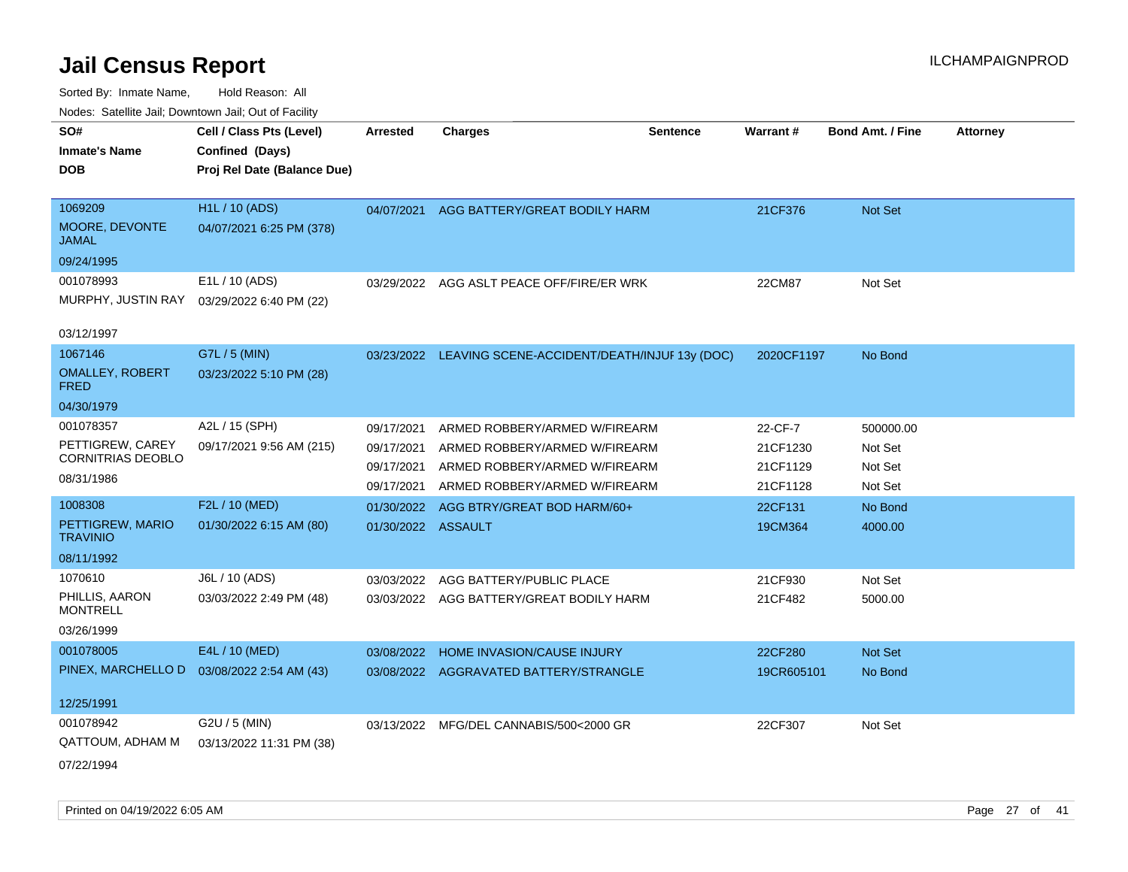| roaco. Calcinio dan, Downtown dan, Out or Fability |                             |                    |                                                         |                 |            |                         |                 |
|----------------------------------------------------|-----------------------------|--------------------|---------------------------------------------------------|-----------------|------------|-------------------------|-----------------|
| SO#                                                | Cell / Class Pts (Level)    | <b>Arrested</b>    | <b>Charges</b>                                          | <b>Sentence</b> | Warrant#   | <b>Bond Amt. / Fine</b> | <b>Attorney</b> |
| <b>Inmate's Name</b>                               | Confined (Days)             |                    |                                                         |                 |            |                         |                 |
| <b>DOB</b>                                         | Proj Rel Date (Balance Due) |                    |                                                         |                 |            |                         |                 |
|                                                    |                             |                    |                                                         |                 |            |                         |                 |
| 1069209                                            | <b>H1L / 10 (ADS)</b>       | 04/07/2021         | AGG BATTERY/GREAT BODILY HARM                           |                 | 21CF376    | Not Set                 |                 |
| MOORE, DEVONTE<br><b>JAMAL</b>                     | 04/07/2021 6:25 PM (378)    |                    |                                                         |                 |            |                         |                 |
| 09/24/1995                                         |                             |                    |                                                         |                 |            |                         |                 |
| 001078993                                          | E1L / 10 (ADS)              |                    | 03/29/2022 AGG ASLT PEACE OFF/FIRE/ER WRK               |                 | 22CM87     | Not Set                 |                 |
| MURPHY, JUSTIN RAY                                 | 03/29/2022 6:40 PM (22)     |                    |                                                         |                 |            |                         |                 |
|                                                    |                             |                    |                                                         |                 |            |                         |                 |
| 03/12/1997                                         |                             |                    |                                                         |                 |            |                         |                 |
| 1067146                                            | G7L / 5 (MIN)               |                    | 03/23/2022 LEAVING SCENE-ACCIDENT/DEATH/INJUF 13y (DOC) |                 | 2020CF1197 | No Bond                 |                 |
| <b>OMALLEY, ROBERT</b><br><b>FRED</b>              | 03/23/2022 5:10 PM (28)     |                    |                                                         |                 |            |                         |                 |
| 04/30/1979                                         |                             |                    |                                                         |                 |            |                         |                 |
| 001078357                                          | A2L / 15 (SPH)              | 09/17/2021         | ARMED ROBBERY/ARMED W/FIREARM                           |                 | 22-CF-7    | 500000.00               |                 |
| PETTIGREW, CAREY                                   | 09/17/2021 9:56 AM (215)    | 09/17/2021         | ARMED ROBBERY/ARMED W/FIREARM                           |                 | 21CF1230   | Not Set                 |                 |
| CORNITRIAS DEOBLO                                  |                             | 09/17/2021         | ARMED ROBBERY/ARMED W/FIREARM                           |                 | 21CF1129   | Not Set                 |                 |
| 08/31/1986                                         |                             | 09/17/2021         | ARMED ROBBERY/ARMED W/FIREARM                           |                 | 21CF1128   | Not Set                 |                 |
| 1008308                                            | F2L / 10 (MED)              | 01/30/2022         | AGG BTRY/GREAT BOD HARM/60+                             |                 | 22CF131    | No Bond                 |                 |
| PETTIGREW, MARIO                                   | 01/30/2022 6:15 AM (80)     | 01/30/2022 ASSAULT |                                                         |                 | 19CM364    | 4000.00                 |                 |
| <b>TRAVINIO</b>                                    |                             |                    |                                                         |                 |            |                         |                 |
| 08/11/1992                                         |                             |                    |                                                         |                 |            |                         |                 |
| 1070610                                            | J6L / 10 (ADS)              | 03/03/2022         | AGG BATTERY/PUBLIC PLACE                                |                 | 21CF930    | Not Set                 |                 |
| PHILLIS, AARON<br><b>MONTRELL</b>                  | 03/03/2022 2:49 PM (48)     |                    | 03/03/2022 AGG BATTERY/GREAT BODILY HARM                |                 | 21CF482    | 5000.00                 |                 |
| 03/26/1999                                         |                             |                    |                                                         |                 |            |                         |                 |
| 001078005                                          | E4L / 10 (MED)              | 03/08/2022         | HOME INVASION/CAUSE INJURY                              |                 | 22CF280    | <b>Not Set</b>          |                 |
| PINEX, MARCHELLO D                                 | 03/08/2022 2:54 AM (43)     |                    | 03/08/2022 AGGRAVATED BATTERY/STRANGLE                  |                 | 19CR605101 | No Bond                 |                 |
|                                                    |                             |                    |                                                         |                 |            |                         |                 |
| 12/25/1991                                         |                             |                    |                                                         |                 |            |                         |                 |
| 001078942                                          | G2U / 5 (MIN)               |                    | 03/13/2022 MFG/DEL CANNABIS/500<2000 GR                 |                 | 22CF307    | Not Set                 |                 |
| <b>QATTOUM, ADHAM M</b>                            | 03/13/2022 11:31 PM (38)    |                    |                                                         |                 |            |                         |                 |
| 07/22/1994                                         |                             |                    |                                                         |                 |            |                         |                 |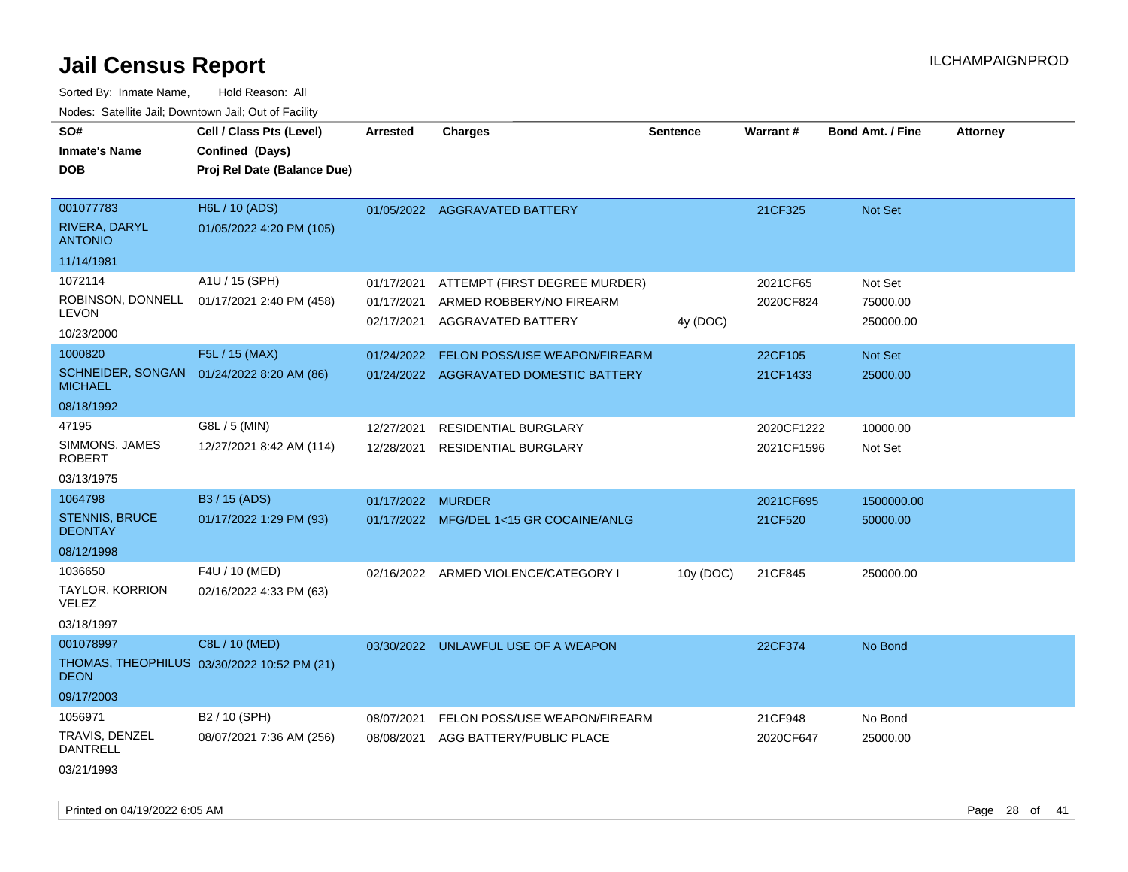Sorted By: Inmate Name, Hold Reason: All Nodes: Satellite Jail; Downtown Jail; Out of Facility

| rougs. Calcinic Jan, Downtown Jan, Out of Facility |                                             |            |                                         |                 |            |                         |                 |
|----------------------------------------------------|---------------------------------------------|------------|-----------------------------------------|-----------------|------------|-------------------------|-----------------|
| SO#                                                | Cell / Class Pts (Level)                    | Arrested   | <b>Charges</b>                          | <b>Sentence</b> | Warrant#   | <b>Bond Amt. / Fine</b> | <b>Attorney</b> |
| <b>Inmate's Name</b>                               | Confined (Days)                             |            |                                         |                 |            |                         |                 |
| <b>DOB</b>                                         | Proj Rel Date (Balance Due)                 |            |                                         |                 |            |                         |                 |
|                                                    |                                             |            |                                         |                 |            |                         |                 |
| 001077783                                          | H6L / 10 (ADS)                              |            | 01/05/2022 AGGRAVATED BATTERY           |                 | 21CF325    | Not Set                 |                 |
| RIVERA, DARYL<br><b>ANTONIO</b>                    | 01/05/2022 4:20 PM (105)                    |            |                                         |                 |            |                         |                 |
| 11/14/1981                                         |                                             |            |                                         |                 |            |                         |                 |
| 1072114                                            | A1U / 15 (SPH)                              | 01/17/2021 | ATTEMPT (FIRST DEGREE MURDER)           |                 | 2021CF65   | Not Set                 |                 |
| ROBINSON, DONNELL<br><b>LEVON</b>                  | 01/17/2021 2:40 PM (458)                    | 01/17/2021 | ARMED ROBBERY/NO FIREARM                |                 | 2020CF824  | 75000.00                |                 |
| 10/23/2000                                         |                                             | 02/17/2021 | AGGRAVATED BATTERY                      | 4y (DOC)        |            | 250000.00               |                 |
| 1000820                                            | F5L / 15 (MAX)                              | 01/24/2022 | FELON POSS/USE WEAPON/FIREARM           |                 | 22CF105    | Not Set                 |                 |
| <b>MICHAEL</b>                                     | SCHNEIDER, SONGAN 01/24/2022 8:20 AM (86)   |            | 01/24/2022 AGGRAVATED DOMESTIC BATTERY  |                 | 21CF1433   | 25000.00                |                 |
| 08/18/1992                                         |                                             |            |                                         |                 |            |                         |                 |
| 47195                                              | G8L / 5 (MIN)                               | 12/27/2021 | <b>RESIDENTIAL BURGLARY</b>             |                 | 2020CF1222 | 10000.00                |                 |
| SIMMONS, JAMES<br><b>ROBERT</b>                    | 12/27/2021 8:42 AM (114)                    | 12/28/2021 | <b>RESIDENTIAL BURGLARY</b>             |                 | 2021CF1596 | Not Set                 |                 |
| 03/13/1975                                         |                                             |            |                                         |                 |            |                         |                 |
| 1064798                                            | B3 / 15 (ADS)                               | 01/17/2022 | <b>MURDER</b>                           |                 | 2021CF695  | 1500000.00              |                 |
| <b>STENNIS, BRUCE</b><br><b>DEONTAY</b>            | 01/17/2022 1:29 PM (93)                     |            | 01/17/2022 MFG/DEL 1<15 GR COCAINE/ANLG |                 | 21CF520    | 50000.00                |                 |
| 08/12/1998                                         |                                             |            |                                         |                 |            |                         |                 |
| 1036650                                            | F4U / 10 (MED)                              |            | 02/16/2022 ARMED VIOLENCE/CATEGORY I    | 10y (DOC)       | 21CF845    | 250000.00               |                 |
| TAYLOR, KORRION<br><b>VELEZ</b>                    | 02/16/2022 4:33 PM (63)                     |            |                                         |                 |            |                         |                 |
| 03/18/1997                                         |                                             |            |                                         |                 |            |                         |                 |
| 001078997                                          | C8L / 10 (MED)                              |            | 03/30/2022 UNLAWFUL USE OF A WEAPON     |                 | 22CF374    | No Bond                 |                 |
| <b>DEON</b>                                        | THOMAS, THEOPHILUS 03/30/2022 10:52 PM (21) |            |                                         |                 |            |                         |                 |
| 09/17/2003                                         |                                             |            |                                         |                 |            |                         |                 |
| 1056971                                            | B2 / 10 (SPH)                               | 08/07/2021 | FELON POSS/USE WEAPON/FIREARM           |                 | 21CF948    | No Bond                 |                 |
| TRAVIS, DENZEL<br><b>DANTRELL</b>                  | 08/07/2021 7:36 AM (256)                    | 08/08/2021 | AGG BATTERY/PUBLIC PLACE                |                 | 2020CF647  | 25000.00                |                 |
| 03/21/1993                                         |                                             |            |                                         |                 |            |                         |                 |

Printed on 04/19/2022 6:05 AM Page 28 of 41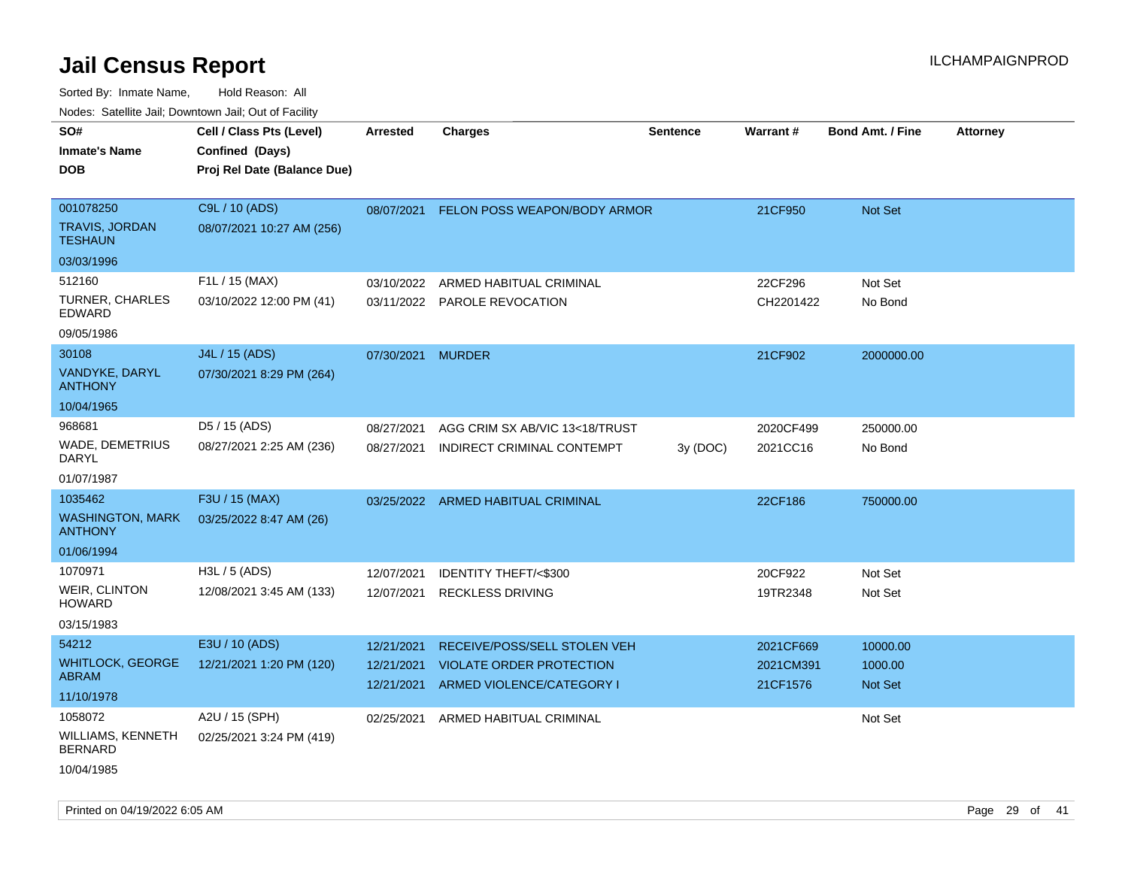| ivouss. Satellite Jali, Downtown Jali, Out of Facility |                                             |                   |                                    |                 |           |                         |                 |
|--------------------------------------------------------|---------------------------------------------|-------------------|------------------------------------|-----------------|-----------|-------------------------|-----------------|
| SO#<br>Inmate's Name                                   | Cell / Class Pts (Level)<br>Confined (Days) | <b>Arrested</b>   | <b>Charges</b>                     | <b>Sentence</b> | Warrant#  | <b>Bond Amt. / Fine</b> | <b>Attorney</b> |
| <b>DOB</b>                                             | Proj Rel Date (Balance Due)                 |                   |                                    |                 |           |                         |                 |
| 001078250                                              | C9L / 10 (ADS)                              | 08/07/2021        | FELON POSS WEAPON/BODY ARMOR       |                 | 21CF950   | Not Set                 |                 |
| TRAVIS, JORDAN<br><b>TESHAUN</b>                       | 08/07/2021 10:27 AM (256)                   |                   |                                    |                 |           |                         |                 |
| 03/03/1996                                             |                                             |                   |                                    |                 |           |                         |                 |
| 512160                                                 | F1L / 15 (MAX)                              | 03/10/2022        | ARMED HABITUAL CRIMINAL            |                 | 22CF296   | Not Set                 |                 |
| TURNER, CHARLES<br>EDWARD                              | 03/10/2022 12:00 PM (41)                    |                   | 03/11/2022 PAROLE REVOCATION       |                 | CH2201422 | No Bond                 |                 |
| 09/05/1986                                             |                                             |                   |                                    |                 |           |                         |                 |
| 30108                                                  | J4L / 15 (ADS)                              | 07/30/2021 MURDER |                                    |                 | 21CF902   | 2000000.00              |                 |
| VANDYKE, DARYL<br><b>ANTHONY</b>                       | 07/30/2021 8:29 PM (264)                    |                   |                                    |                 |           |                         |                 |
| 10/04/1965                                             |                                             |                   |                                    |                 |           |                         |                 |
| 968681                                                 | D5 / 15 (ADS)                               | 08/27/2021        | AGG CRIM SX AB/VIC 13<18/TRUST     |                 | 2020CF499 | 250000.00               |                 |
| WADE, DEMETRIUS<br>DARYL                               | 08/27/2021 2:25 AM (236)                    | 08/27/2021        | INDIRECT CRIMINAL CONTEMPT         | 3y (DOC)        | 2021CC16  | No Bond                 |                 |
| 01/07/1987                                             |                                             |                   |                                    |                 |           |                         |                 |
| 1035462                                                | F3U / 15 (MAX)                              |                   | 03/25/2022 ARMED HABITUAL CRIMINAL |                 | 22CF186   | 750000.00               |                 |
| WASHINGTON, MARK<br><b>ANTHONY</b>                     | 03/25/2022 8:47 AM (26)                     |                   |                                    |                 |           |                         |                 |
| 01/06/1994                                             |                                             |                   |                                    |                 |           |                         |                 |
| 1070971                                                | H3L / 5 (ADS)                               | 12/07/2021        | <b>IDENTITY THEFT/&lt;\$300</b>    |                 | 20CF922   | Not Set                 |                 |
| <b>WEIR, CLINTON</b><br>HOWARD                         | 12/08/2021 3:45 AM (133)                    | 12/07/2021        | <b>RECKLESS DRIVING</b>            |                 | 19TR2348  | Not Set                 |                 |
| 03/15/1983                                             |                                             |                   |                                    |                 |           |                         |                 |
| 54212                                                  | E3U / 10 (ADS)                              | 12/21/2021        | RECEIVE/POSS/SELL STOLEN VEH       |                 | 2021CF669 | 10000.00                |                 |
| <b>WHITLOCK, GEORGE</b>                                | 12/21/2021 1:20 PM (120)                    | 12/21/2021        | <b>VIOLATE ORDER PROTECTION</b>    |                 | 2021CM391 | 1000.00                 |                 |
| ABRAM                                                  |                                             | 12/21/2021        | ARMED VIOLENCE/CATEGORY I          |                 | 21CF1576  | <b>Not Set</b>          |                 |
| 11/10/1978                                             |                                             |                   |                                    |                 |           |                         |                 |
| 1058072                                                | A2U / 15 (SPH)                              | 02/25/2021        | ARMED HABITUAL CRIMINAL            |                 |           | Not Set                 |                 |
| WILLIAMS, KENNETH<br><b>BERNARD</b>                    | 02/25/2021 3:24 PM (419)                    |                   |                                    |                 |           |                         |                 |
| 10/04/1985                                             |                                             |                   |                                    |                 |           |                         |                 |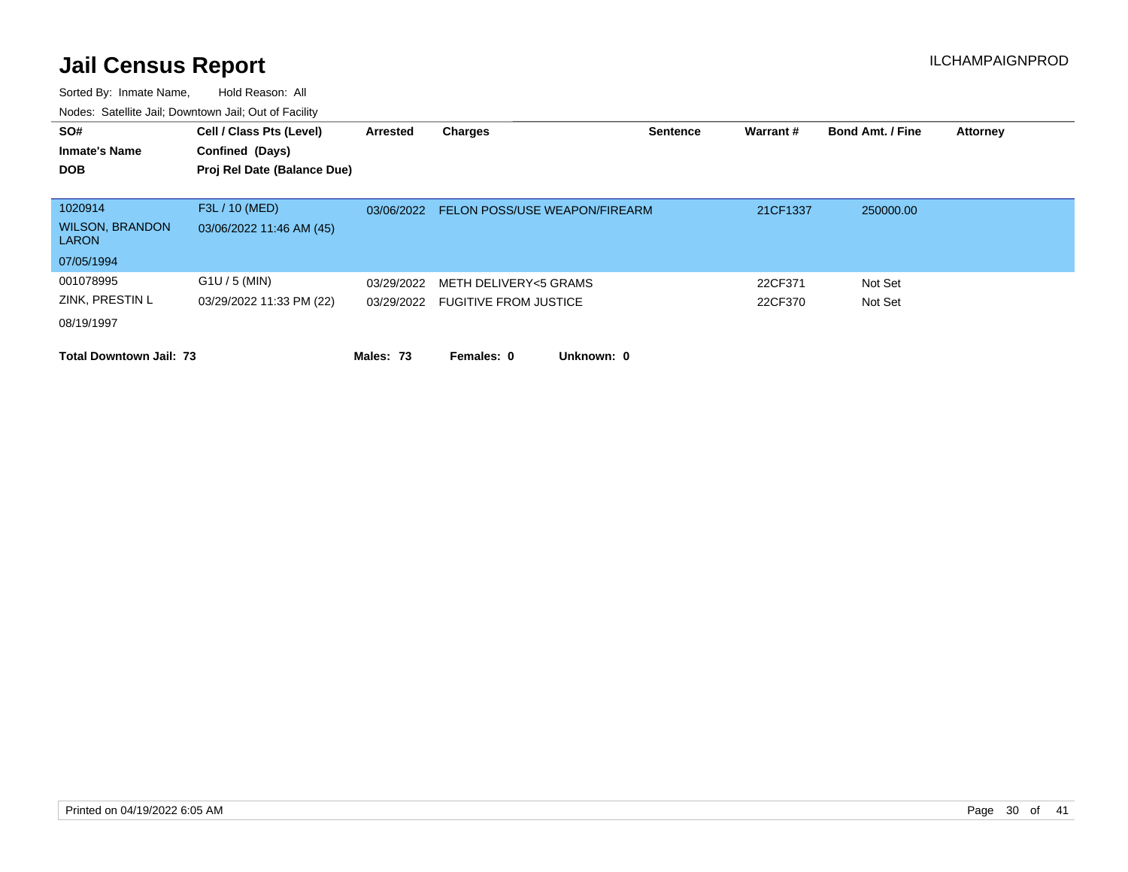| SO#<br><b>Inmate's Name</b><br><b>DOB</b>                       | Cell / Class Pts (Level)<br>Confined (Days)<br>Proj Rel Date (Balance Due) | Arrested   | Charges                                                   | <b>Sentence</b> | Warrant #          | <b>Bond Amt. / Fine</b> | <b>Attorney</b> |
|-----------------------------------------------------------------|----------------------------------------------------------------------------|------------|-----------------------------------------------------------|-----------------|--------------------|-------------------------|-----------------|
| 1020914<br><b>WILSON, BRANDON</b><br><b>LARON</b><br>07/05/1994 | F3L / 10 (MED)<br>03/06/2022 11:46 AM (45)                                 | 03/06/2022 | <b>FELON POSS/USE WEAPON/FIREARM</b>                      |                 | 21CF1337           | 250000.00               |                 |
| 001078995<br>ZINK, PRESTIN L<br>08/19/1997                      | $G1U / 5$ (MIN)<br>03/29/2022 11:33 PM (22)                                | 03/29/2022 | METH DELIVERY<5 GRAMS<br>03/29/2022 FUGITIVE FROM JUSTICE |                 | 22CF371<br>22CF370 | Not Set<br>Not Set      |                 |
| <b>Total Downtown Jail: 73</b>                                  |                                                                            | Males: 73  | Females: 0<br>Unknown: 0                                  |                 |                    |                         |                 |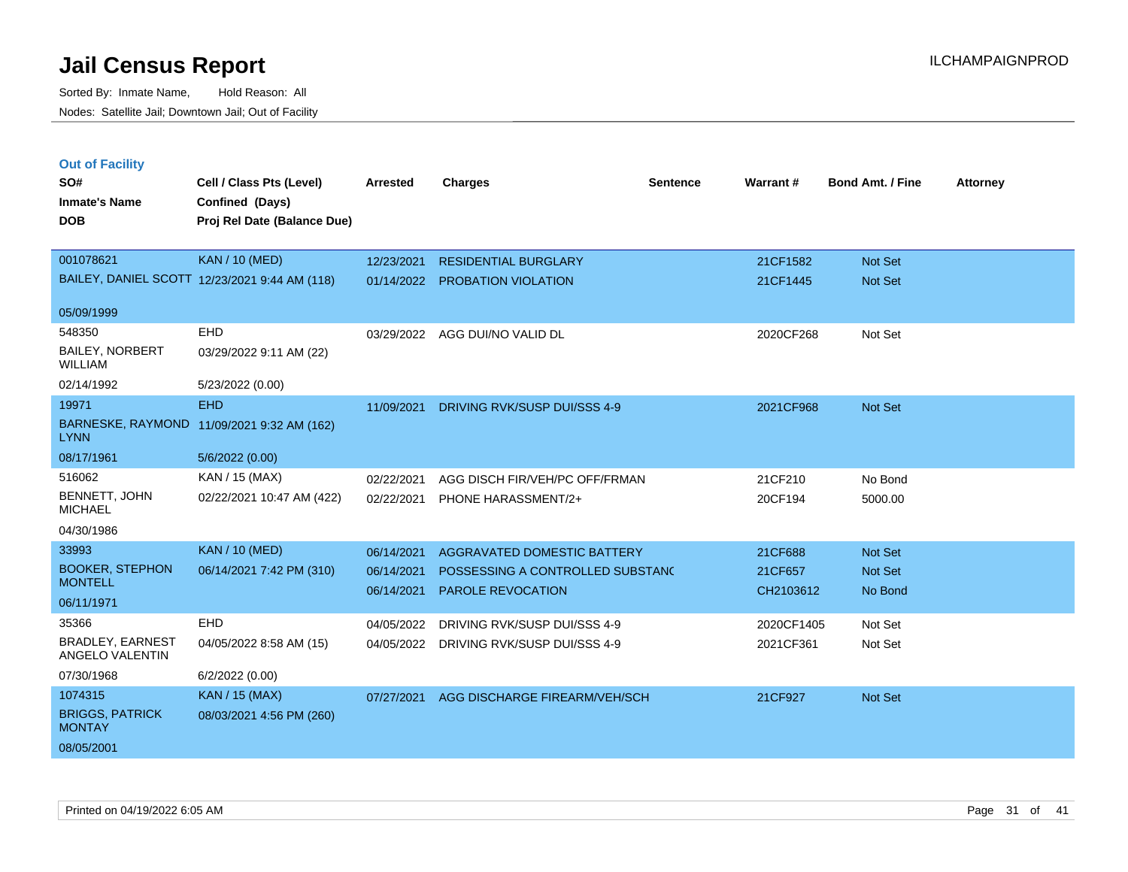| <b>Out of Facility</b><br>SO#<br><b>Inmate's Name</b><br><b>DOB</b> | Cell / Class Pts (Level)<br>Confined (Days)<br>Proj Rel Date (Balance Due) | <b>Arrested</b> | <b>Charges</b>                          | <b>Sentence</b> | Warrant#   | Bond Amt. / Fine | <b>Attorney</b> |
|---------------------------------------------------------------------|----------------------------------------------------------------------------|-----------------|-----------------------------------------|-----------------|------------|------------------|-----------------|
| 001078621                                                           | <b>KAN / 10 (MED)</b>                                                      | 12/23/2021      | <b>RESIDENTIAL BURGLARY</b>             |                 | 21CF1582   | Not Set          |                 |
|                                                                     | BAILEY, DANIEL SCOTT 12/23/2021 9:44 AM (118)                              | 01/14/2022      | PROBATION VIOLATION                     |                 | 21CF1445   | Not Set          |                 |
| 05/09/1999                                                          |                                                                            |                 |                                         |                 |            |                  |                 |
| 548350                                                              | <b>EHD</b>                                                                 | 03/29/2022      | AGG DUI/NO VALID DL                     |                 | 2020CF268  | Not Set          |                 |
| <b>BAILEY, NORBERT</b><br><b>WILLIAM</b>                            | 03/29/2022 9:11 AM (22)                                                    |                 |                                         |                 |            |                  |                 |
| 02/14/1992                                                          | 5/23/2022 (0.00)                                                           |                 |                                         |                 |            |                  |                 |
| 19971                                                               | <b>EHD</b>                                                                 | 11/09/2021      | DRIVING RVK/SUSP DUI/SSS 4-9            |                 | 2021CF968  | Not Set          |                 |
| <b>LYNN</b>                                                         | BARNESKE, RAYMOND 11/09/2021 9:32 AM (162)                                 |                 |                                         |                 |            |                  |                 |
| 08/17/1961                                                          | 5/6/2022 (0.00)                                                            |                 |                                         |                 |            |                  |                 |
| 516062                                                              | KAN / 15 (MAX)                                                             | 02/22/2021      | AGG DISCH FIR/VEH/PC OFF/FRMAN          |                 | 21CF210    | No Bond          |                 |
| BENNETT, JOHN<br><b>MICHAEL</b>                                     | 02/22/2021 10:47 AM (422)                                                  | 02/22/2021      | PHONE HARASSMENT/2+                     |                 | 20CF194    | 5000.00          |                 |
| 04/30/1986                                                          |                                                                            |                 |                                         |                 |            |                  |                 |
| 33993                                                               | <b>KAN / 10 (MED)</b>                                                      | 06/14/2021      | <b>AGGRAVATED DOMESTIC BATTERY</b>      |                 | 21CF688    | Not Set          |                 |
| <b>BOOKER, STEPHON</b><br><b>MONTELL</b>                            | 06/14/2021 7:42 PM (310)                                                   | 06/14/2021      | POSSESSING A CONTROLLED SUBSTANC        |                 | 21CF657    | Not Set          |                 |
| 06/11/1971                                                          |                                                                            | 06/14/2021      | <b>PAROLE REVOCATION</b>                |                 | CH2103612  | No Bond          |                 |
| 35366                                                               | EHD                                                                        | 04/05/2022      | DRIVING RVK/SUSP DUI/SSS 4-9            |                 | 2020CF1405 | Not Set          |                 |
| <b>BRADLEY, EARNEST</b><br>ANGELO VALENTIN                          | 04/05/2022 8:58 AM (15)                                                    |                 | 04/05/2022 DRIVING RVK/SUSP DUI/SSS 4-9 |                 | 2021CF361  | Not Set          |                 |
| 07/30/1968                                                          | 6/2/2022 (0.00)                                                            |                 |                                         |                 |            |                  |                 |
| 1074315                                                             | <b>KAN / 15 (MAX)</b>                                                      | 07/27/2021      | AGG DISCHARGE FIREARM/VEH/SCH           |                 | 21CF927    | Not Set          |                 |
| <b>BRIGGS, PATRICK</b><br><b>MONTAY</b>                             | 08/03/2021 4:56 PM (260)                                                   |                 |                                         |                 |            |                  |                 |
| 08/05/2001                                                          |                                                                            |                 |                                         |                 |            |                  |                 |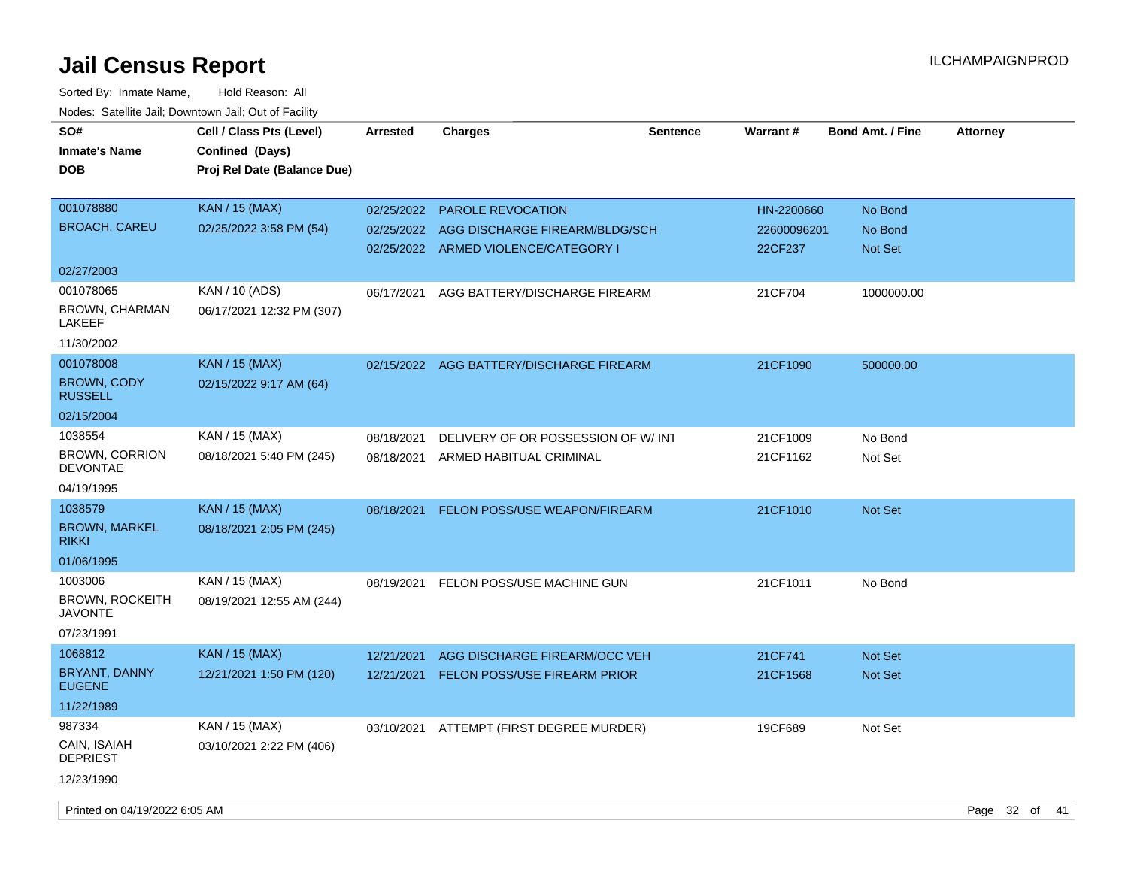| rougs. Calcing Jan, Downtown Jan, Out of Facinty                  |                                                                            |                          |                                                                                                    |          |                                      |                                      |                 |
|-------------------------------------------------------------------|----------------------------------------------------------------------------|--------------------------|----------------------------------------------------------------------------------------------------|----------|--------------------------------------|--------------------------------------|-----------------|
| SO#<br><b>Inmate's Name</b><br><b>DOB</b>                         | Cell / Class Pts (Level)<br>Confined (Days)<br>Proj Rel Date (Balance Due) | <b>Arrested</b>          | <b>Charges</b>                                                                                     | Sentence | Warrant#                             | Bond Amt. / Fine                     | <b>Attorney</b> |
| 001078880<br><b>BROACH, CAREU</b>                                 | KAN / 15 (MAX)<br>02/25/2022 3:58 PM (54)                                  | 02/25/2022<br>02/25/2022 | <b>PAROLE REVOCATION</b><br>AGG DISCHARGE FIREARM/BLDG/SCH<br>02/25/2022 ARMED VIOLENCE/CATEGORY I |          | HN-2200660<br>22600096201<br>22CF237 | No Bond<br>No Bond<br><b>Not Set</b> |                 |
| 02/27/2003                                                        |                                                                            |                          |                                                                                                    |          |                                      |                                      |                 |
| 001078065<br>BROWN, CHARMAN<br>LAKEEF<br>11/30/2002               | KAN / 10 (ADS)<br>06/17/2021 12:32 PM (307)                                | 06/17/2021               | AGG BATTERY/DISCHARGE FIREARM                                                                      |          | 21CF704                              | 1000000.00                           |                 |
| 001078008<br><b>BROWN, CODY</b><br><b>RUSSELL</b>                 | <b>KAN / 15 (MAX)</b><br>02/15/2022 9:17 AM (64)                           |                          | 02/15/2022 AGG BATTERY/DISCHARGE FIREARM                                                           |          | 21CF1090                             | 500000.00                            |                 |
| 02/15/2004                                                        |                                                                            |                          |                                                                                                    |          |                                      |                                      |                 |
| 1038554<br><b>BROWN, CORRION</b><br><b>DEVONTAE</b>               | KAN / 15 (MAX)<br>08/18/2021 5:40 PM (245)                                 | 08/18/2021<br>08/18/2021 | DELIVERY OF OR POSSESSION OF W/ INT<br>ARMED HABITUAL CRIMINAL                                     |          | 21CF1009<br>21CF1162                 | No Bond<br>Not Set                   |                 |
| 04/19/1995                                                        |                                                                            |                          |                                                                                                    |          |                                      |                                      |                 |
| 1038579<br><b>BROWN, MARKEL</b><br><b>RIKKI</b><br>01/06/1995     | <b>KAN</b> / 15 (MAX)<br>08/18/2021 2:05 PM (245)                          | 08/18/2021               | <b>FELON POSS/USE WEAPON/FIREARM</b>                                                               |          | 21CF1010                             | <b>Not Set</b>                       |                 |
| 1003006<br><b>BROWN, ROCKEITH</b><br><b>JAVONTE</b><br>07/23/1991 | KAN / 15 (MAX)<br>08/19/2021 12:55 AM (244)                                | 08/19/2021               | FELON POSS/USE MACHINE GUN                                                                         |          | 21CF1011                             | No Bond                              |                 |
| 1068812                                                           | <b>KAN / 15 (MAX)</b>                                                      | 12/21/2021               | AGG DISCHARGE FIREARM/OCC VEH                                                                      |          | 21CF741                              | Not Set                              |                 |
| BRYANT, DANNY<br><b>EUGENE</b>                                    | 12/21/2021 1:50 PM (120)                                                   | 12/21/2021               | <b>FELON POSS/USE FIREARM PRIOR</b>                                                                |          | 21CF1568                             | Not Set                              |                 |
| 11/22/1989                                                        |                                                                            |                          |                                                                                                    |          |                                      |                                      |                 |
| 987334<br>CAIN, ISAIAH<br><b>DEPRIEST</b><br>12/23/1990           | KAN / 15 (MAX)<br>03/10/2021 2:22 PM (406)                                 | 03/10/2021               | ATTEMPT (FIRST DEGREE MURDER)                                                                      |          | 19CF689                              | Not Set                              |                 |
|                                                                   |                                                                            |                          |                                                                                                    |          |                                      |                                      |                 |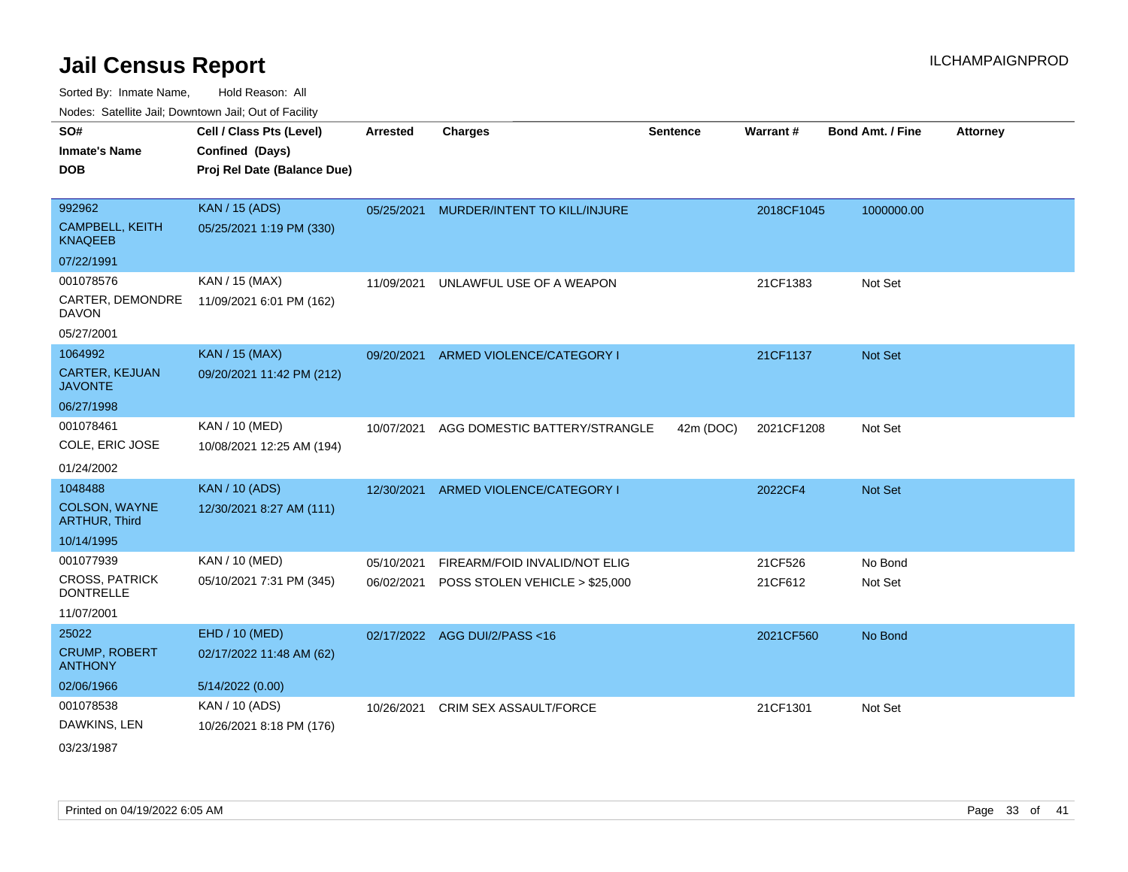Sorted By: Inmate Name, Hold Reason: All Nodes: Satellite Jail; Downtown Jail; Out of Facility

| <u>Houcs.</u> Outchne Juli, Downtown Juli, Out of Facility |                             |                 |                                |                 |            |                         |                 |
|------------------------------------------------------------|-----------------------------|-----------------|--------------------------------|-----------------|------------|-------------------------|-----------------|
| SO#                                                        | Cell / Class Pts (Level)    | <b>Arrested</b> | <b>Charges</b>                 | <b>Sentence</b> | Warrant#   | <b>Bond Amt. / Fine</b> | <b>Attorney</b> |
| <b>Inmate's Name</b>                                       | Confined (Days)             |                 |                                |                 |            |                         |                 |
| <b>DOB</b>                                                 | Proj Rel Date (Balance Due) |                 |                                |                 |            |                         |                 |
|                                                            |                             |                 |                                |                 |            |                         |                 |
| 992962                                                     | <b>KAN / 15 (ADS)</b>       | 05/25/2021      | MURDER/INTENT TO KILL/INJURE   |                 | 2018CF1045 | 1000000.00              |                 |
| <b>CAMPBELL, KEITH</b><br><b>KNAQEEB</b>                   | 05/25/2021 1:19 PM (330)    |                 |                                |                 |            |                         |                 |
| 07/22/1991                                                 |                             |                 |                                |                 |            |                         |                 |
| 001078576                                                  | KAN / 15 (MAX)              | 11/09/2021      | UNLAWFUL USE OF A WEAPON       |                 | 21CF1383   | Not Set                 |                 |
| CARTER, DEMONDRE<br><b>DAVON</b>                           | 11/09/2021 6:01 PM (162)    |                 |                                |                 |            |                         |                 |
| 05/27/2001                                                 |                             |                 |                                |                 |            |                         |                 |
| 1064992                                                    | <b>KAN / 15 (MAX)</b>       | 09/20/2021      | ARMED VIOLENCE/CATEGORY I      |                 | 21CF1137   | <b>Not Set</b>          |                 |
| <b>CARTER, KEJUAN</b><br><b>JAVONTE</b>                    | 09/20/2021 11:42 PM (212)   |                 |                                |                 |            |                         |                 |
| 06/27/1998                                                 |                             |                 |                                |                 |            |                         |                 |
| 001078461                                                  | KAN / 10 (MED)              | 10/07/2021      | AGG DOMESTIC BATTERY/STRANGLE  | 42m (DOC)       | 2021CF1208 | Not Set                 |                 |
| COLE, ERIC JOSE                                            | 10/08/2021 12:25 AM (194)   |                 |                                |                 |            |                         |                 |
| 01/24/2002                                                 |                             |                 |                                |                 |            |                         |                 |
| 1048488                                                    | <b>KAN / 10 (ADS)</b>       | 12/30/2021      | ARMED VIOLENCE/CATEGORY I      |                 | 2022CF4    | <b>Not Set</b>          |                 |
| <b>COLSON, WAYNE</b><br><b>ARTHUR, Third</b>               | 12/30/2021 8:27 AM (111)    |                 |                                |                 |            |                         |                 |
| 10/14/1995                                                 |                             |                 |                                |                 |            |                         |                 |
| 001077939                                                  | KAN / 10 (MED)              | 05/10/2021      | FIREARM/FOID INVALID/NOT ELIG  |                 | 21CF526    | No Bond                 |                 |
| <b>CROSS, PATRICK</b><br><b>DONTRELLE</b>                  | 05/10/2021 7:31 PM (345)    | 06/02/2021      | POSS STOLEN VEHICLE > \$25,000 |                 | 21CF612    | Not Set                 |                 |
| 11/07/2001                                                 |                             |                 |                                |                 |            |                         |                 |
| 25022                                                      | EHD / 10 (MED)              |                 | 02/17/2022 AGG DUI/2/PASS<16   |                 | 2021CF560  | No Bond                 |                 |
| <b>CRUMP, ROBERT</b><br><b>ANTHONY</b>                     | 02/17/2022 11:48 AM (62)    |                 |                                |                 |            |                         |                 |
| 02/06/1966                                                 | 5/14/2022 (0.00)            |                 |                                |                 |            |                         |                 |
| 001078538                                                  | KAN / 10 (ADS)              | 10/26/2021      | <b>CRIM SEX ASSAULT/FORCE</b>  |                 | 21CF1301   | Not Set                 |                 |
| DAWKINS, LEN                                               | 10/26/2021 8:18 PM (176)    |                 |                                |                 |            |                         |                 |
| 00/00/4007                                                 |                             |                 |                                |                 |            |                         |                 |

03/23/1987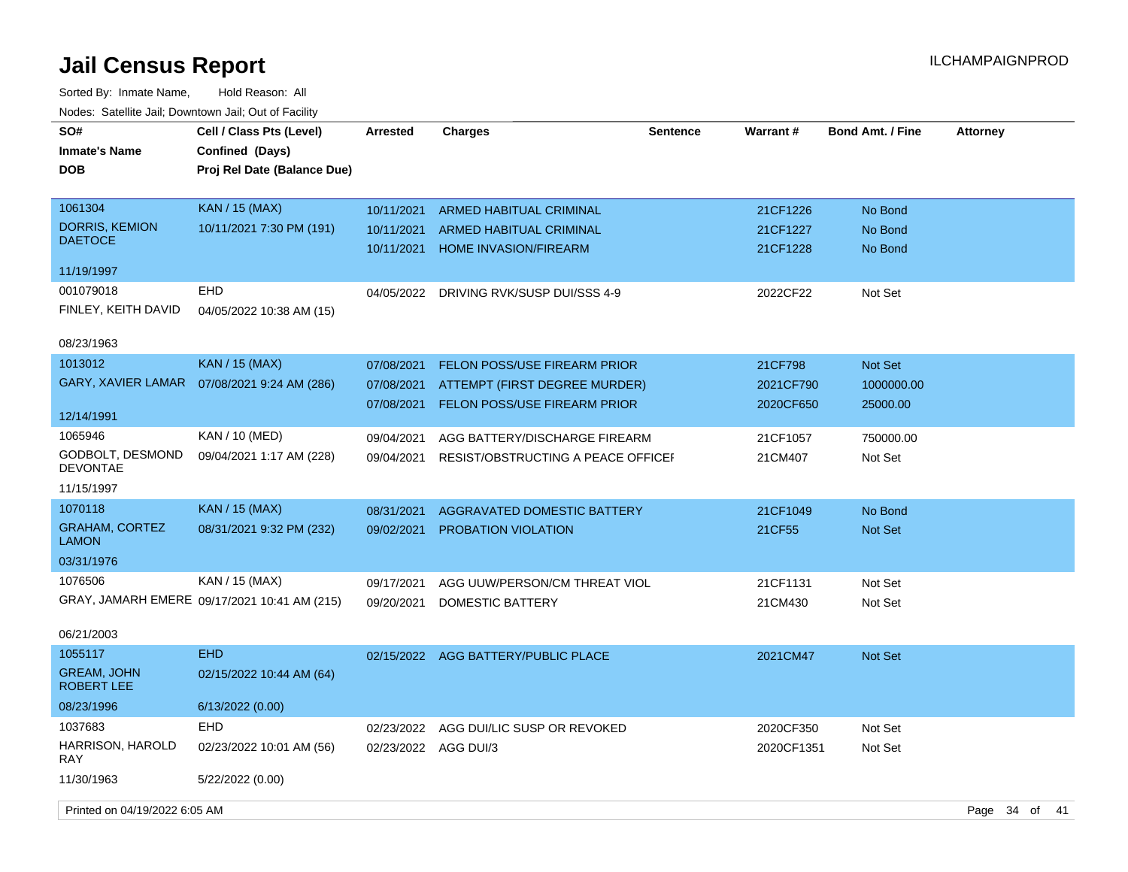| SO#<br><b>Inmate's Name</b><br><b>DOB</b>                      | Cell / Class Pts (Level)<br>Confined (Days)<br>Proj Rel Date (Balance Due) | <b>Arrested</b>                        | <b>Charges</b>                                                                                | <b>Sentence</b> | <b>Warrant#</b>                   | <b>Bond Amt. / Fine</b>                  | <b>Attorney</b> |      |
|----------------------------------------------------------------|----------------------------------------------------------------------------|----------------------------------------|-----------------------------------------------------------------------------------------------|-----------------|-----------------------------------|------------------------------------------|-----------------|------|
| 1061304<br><b>DORRIS, KEMION</b><br><b>DAETOCE</b>             | <b>KAN / 15 (MAX)</b><br>10/11/2021 7:30 PM (191)                          | 10/11/2021<br>10/11/2021               | ARMED HABITUAL CRIMINAL<br><b>ARMED HABITUAL CRIMINAL</b>                                     |                 | 21CF1226<br>21CF1227              | No Bond<br>No Bond                       |                 |      |
| 11/19/1997                                                     |                                                                            | 10/11/2021                             | <b>HOME INVASION/FIREARM</b>                                                                  |                 | 21CF1228                          | No Bond                                  |                 |      |
| 001079018<br>FINLEY, KEITH DAVID                               | <b>EHD</b><br>04/05/2022 10:38 AM (15)                                     | 04/05/2022                             | DRIVING RVK/SUSP DUI/SSS 4-9                                                                  |                 | 2022CF22                          | Not Set                                  |                 |      |
| 08/23/1963                                                     |                                                                            |                                        |                                                                                               |                 |                                   |                                          |                 |      |
| 1013012<br><b>GARY, XAVIER LAMAR</b>                           | <b>KAN / 15 (MAX)</b><br>07/08/2021 9:24 AM (286)                          | 07/08/2021<br>07/08/2021<br>07/08/2021 | FELON POSS/USE FIREARM PRIOR<br>ATTEMPT (FIRST DEGREE MURDER)<br>FELON POSS/USE FIREARM PRIOR |                 | 21CF798<br>2021CF790<br>2020CF650 | <b>Not Set</b><br>1000000.00<br>25000.00 |                 |      |
| 12/14/1991                                                     |                                                                            |                                        |                                                                                               |                 |                                   |                                          |                 |      |
| 1065946<br>GODBOLT, DESMOND<br><b>DEVONTAE</b>                 | KAN / 10 (MED)<br>09/04/2021 1:17 AM (228)                                 | 09/04/2021<br>09/04/2021               | AGG BATTERY/DISCHARGE FIREARM<br>RESIST/OBSTRUCTING A PEACE OFFICEF                           |                 | 21CF1057<br>21CM407               | 750000.00<br>Not Set                     |                 |      |
| 11/15/1997                                                     |                                                                            |                                        |                                                                                               |                 |                                   |                                          |                 |      |
| 1070118<br><b>GRAHAM, CORTEZ</b><br><b>LAMON</b><br>03/31/1976 | <b>KAN</b> / 15 (MAX)<br>08/31/2021 9:32 PM (232)                          | 08/31/2021<br>09/02/2021               | <b>AGGRAVATED DOMESTIC BATTERY</b><br>PROBATION VIOLATION                                     |                 | 21CF1049<br>21CF55                | No Bond<br>Not Set                       |                 |      |
| 1076506                                                        | KAN / 15 (MAX)                                                             | 09/17/2021                             | AGG UUW/PERSON/CM THREAT VIOL                                                                 |                 | 21CF1131                          | Not Set                                  |                 |      |
|                                                                | GRAY, JAMARH EMERE 09/17/2021 10:41 AM (215)                               | 09/20/2021                             | DOMESTIC BATTERY                                                                              |                 | 21CM430                           | Not Set                                  |                 |      |
| 06/21/2003                                                     |                                                                            |                                        |                                                                                               |                 |                                   |                                          |                 |      |
| 1055117<br><b>GREAM, JOHN</b><br>ROBERT LEE                    | <b>EHD</b><br>02/15/2022 10:44 AM (64)                                     |                                        | 02/15/2022 AGG BATTERY/PUBLIC PLACE                                                           |                 | 2021CM47                          | Not Set                                  |                 |      |
| 08/23/1996                                                     | 6/13/2022 (0.00)                                                           |                                        |                                                                                               |                 |                                   |                                          |                 |      |
| 1037683<br>HARRISON, HAROLD<br>RAY                             | EHD<br>02/23/2022 10:01 AM (56)                                            | 02/23/2022<br>02/23/2022 AGG DUI/3     | AGG DUI/LIC SUSP OR REVOKED                                                                   |                 | 2020CF350<br>2020CF1351           | Not Set<br>Not Set                       |                 |      |
| 11/30/1963                                                     | 5/22/2022 (0.00)                                                           |                                        |                                                                                               |                 |                                   |                                          |                 |      |
| Printed on 04/19/2022 6:05 AM                                  |                                                                            |                                        |                                                                                               |                 |                                   |                                          | Page 34 of      | - 41 |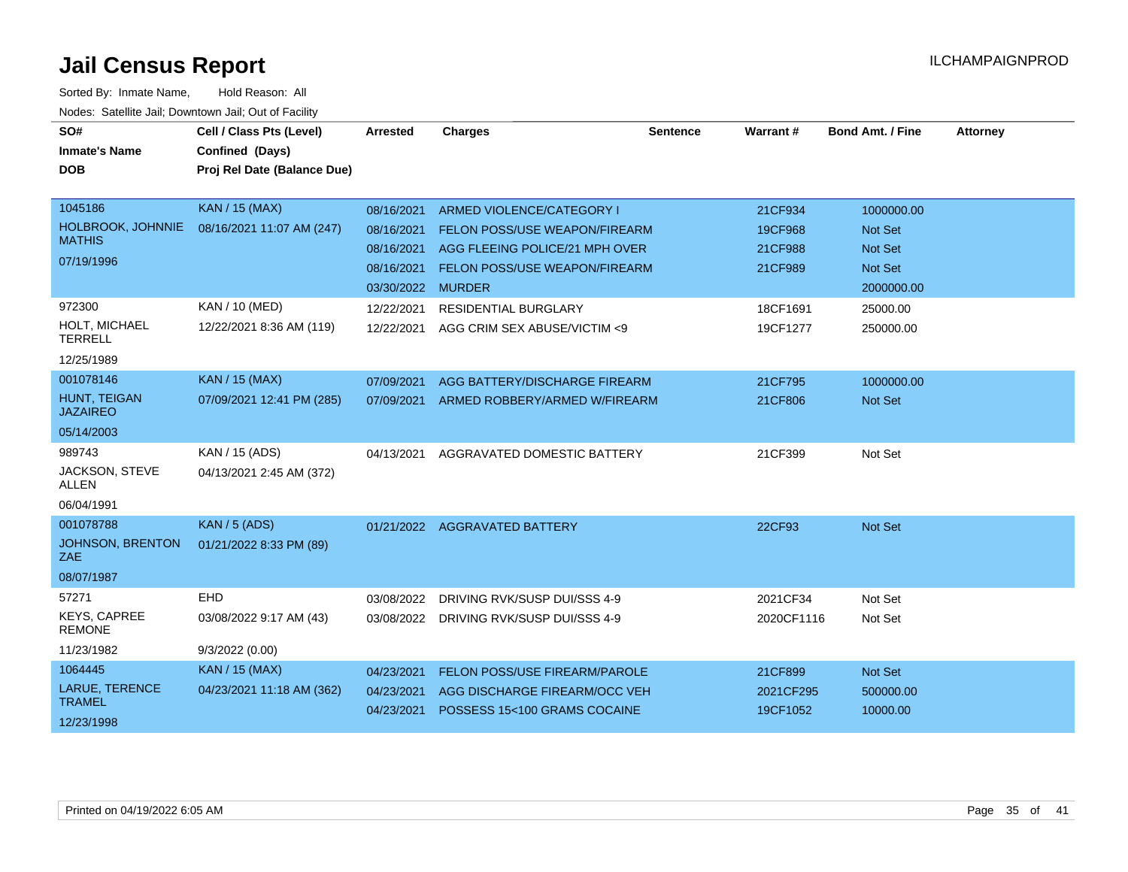| SO#<br><b>Inmate's Name</b><br><b>DOB</b>                         | Cell / Class Pts (Level)<br>Confined (Days)<br>Proj Rel Date (Balance Due) | <b>Arrested</b>                                                           | <b>Charges</b>                                                                                                                       | <b>Sentence</b> | Warrant#                                 | <b>Bond Amt. / Fine</b>                                                 | <b>Attorney</b> |
|-------------------------------------------------------------------|----------------------------------------------------------------------------|---------------------------------------------------------------------------|--------------------------------------------------------------------------------------------------------------------------------------|-----------------|------------------------------------------|-------------------------------------------------------------------------|-----------------|
| 1045186<br>HOLBROOK, JOHNNIE<br><b>MATHIS</b><br>07/19/1996       | <b>KAN / 15 (MAX)</b><br>08/16/2021 11:07 AM (247)                         | 08/16/2021<br>08/16/2021<br>08/16/2021<br>08/16/2021<br>03/30/2022 MURDER | ARMED VIOLENCE/CATEGORY I<br>FELON POSS/USE WEAPON/FIREARM<br>AGG FLEEING POLICE/21 MPH OVER<br><b>FELON POSS/USE WEAPON/FIREARM</b> |                 | 21CF934<br>19CF968<br>21CF988<br>21CF989 | 1000000.00<br>Not Set<br><b>Not Set</b><br><b>Not Set</b><br>2000000.00 |                 |
| 972300<br>HOLT, MICHAEL<br><b>TERRELL</b><br>12/25/1989           | KAN / 10 (MED)<br>12/22/2021 8:36 AM (119)                                 | 12/22/2021<br>12/22/2021                                                  | <b>RESIDENTIAL BURGLARY</b><br>AGG CRIM SEX ABUSE/VICTIM <9                                                                          |                 | 18CF1691<br>19CF1277                     | 25000.00<br>250000.00                                                   |                 |
| 001078146<br><b>HUNT, TEIGAN</b><br><b>JAZAIREO</b><br>05/14/2003 | <b>KAN / 15 (MAX)</b><br>07/09/2021 12:41 PM (285)                         | 07/09/2021<br>07/09/2021                                                  | AGG BATTERY/DISCHARGE FIREARM<br>ARMED ROBBERY/ARMED W/FIREARM                                                                       |                 | 21CF795<br>21CF806                       | 1000000.00<br><b>Not Set</b>                                            |                 |
| 989743<br>JACKSON, STEVE<br><b>ALLEN</b><br>06/04/1991            | KAN / 15 (ADS)<br>04/13/2021 2:45 AM (372)                                 | 04/13/2021                                                                | AGGRAVATED DOMESTIC BATTERY                                                                                                          |                 | 21CF399                                  | Not Set                                                                 |                 |
| 001078788<br>JOHNSON, BRENTON<br>ZAE<br>08/07/1987                | <b>KAN / 5 (ADS)</b><br>01/21/2022 8:33 PM (89)                            |                                                                           | 01/21/2022 AGGRAVATED BATTERY                                                                                                        |                 | 22CF93                                   | Not Set                                                                 |                 |
| 57271<br><b>KEYS, CAPREE</b><br><b>REMONE</b><br>11/23/1982       | EHD<br>03/08/2022 9:17 AM (43)<br>9/3/2022(0.00)                           | 03/08/2022                                                                | DRIVING RVK/SUSP DUI/SSS 4-9<br>03/08/2022 DRIVING RVK/SUSP DUI/SSS 4-9                                                              |                 | 2021CF34<br>2020CF1116                   | Not Set<br>Not Set                                                      |                 |
| 1064445<br>LARUE, TERENCE<br><b>TRAMEL</b><br>12/23/1998          | <b>KAN / 15 (MAX)</b><br>04/23/2021 11:18 AM (362)                         | 04/23/2021<br>04/23/2021<br>04/23/2021                                    | FELON POSS/USE FIREARM/PAROLE<br>AGG DISCHARGE FIREARM/OCC VEH<br>POSSESS 15<100 GRAMS COCAINE                                       |                 | 21CF899<br>2021CF295<br>19CF1052         | Not Set<br>500000.00<br>10000.00                                        |                 |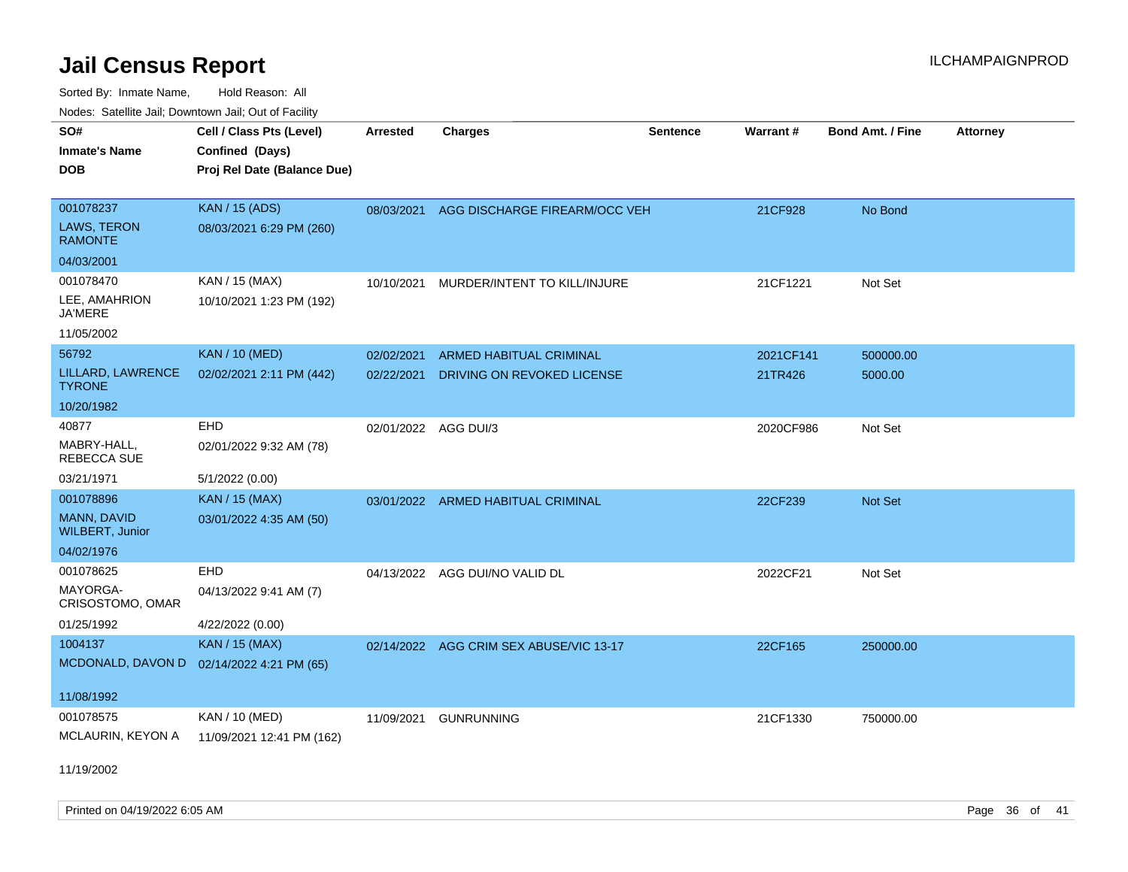Sorted By: Inmate Name, Hold Reason: All Nodes: Satellite Jail; Downtown Jail; Out of Facility

| SO#                                       | Cell / Class Pts (Level)    | <b>Arrested</b>      | <b>Charges</b>                          | <b>Sentence</b> | Warrant#  | <b>Bond Amt. / Fine</b> | <b>Attorney</b> |
|-------------------------------------------|-----------------------------|----------------------|-----------------------------------------|-----------------|-----------|-------------------------|-----------------|
| <b>Inmate's Name</b>                      | Confined (Days)             |                      |                                         |                 |           |                         |                 |
| <b>DOB</b>                                | Proj Rel Date (Balance Due) |                      |                                         |                 |           |                         |                 |
|                                           |                             |                      |                                         |                 |           |                         |                 |
| 001078237                                 | <b>KAN / 15 (ADS)</b>       | 08/03/2021           | AGG DISCHARGE FIREARM/OCC VEH           |                 | 21CF928   | No Bond                 |                 |
| <b>LAWS, TERON</b><br><b>RAMONTE</b>      | 08/03/2021 6:29 PM (260)    |                      |                                         |                 |           |                         |                 |
| 04/03/2001                                |                             |                      |                                         |                 |           |                         |                 |
| 001078470                                 | KAN / 15 (MAX)              |                      | 10/10/2021 MURDER/INTENT TO KILL/INJURE |                 | 21CF1221  | Not Set                 |                 |
| LEE, AMAHRION<br><b>JA'MERE</b>           | 10/10/2021 1:23 PM (192)    |                      |                                         |                 |           |                         |                 |
| 11/05/2002                                |                             |                      |                                         |                 |           |                         |                 |
| 56792                                     | <b>KAN / 10 (MED)</b>       | 02/02/2021           | <b>ARMED HABITUAL CRIMINAL</b>          |                 | 2021CF141 | 500000.00               |                 |
| LILLARD, LAWRENCE<br><b>TYRONE</b>        | 02/02/2021 2:11 PM (442)    | 02/22/2021           | DRIVING ON REVOKED LICENSE              |                 | 21TR426   | 5000.00                 |                 |
| 10/20/1982                                |                             |                      |                                         |                 |           |                         |                 |
| 40877                                     | EHD                         | 02/01/2022 AGG DUI/3 |                                         |                 | 2020CF986 | Not Set                 |                 |
| MABRY-HALL,<br><b>REBECCA SUE</b>         | 02/01/2022 9:32 AM (78)     |                      |                                         |                 |           |                         |                 |
| 03/21/1971                                | 5/1/2022 (0.00)             |                      |                                         |                 |           |                         |                 |
| 001078896                                 | <b>KAN / 15 (MAX)</b>       |                      | 03/01/2022 ARMED HABITUAL CRIMINAL      |                 | 22CF239   | <b>Not Set</b>          |                 |
| MANN, DAVID<br><b>WILBERT, Junior</b>     | 03/01/2022 4:35 AM (50)     |                      |                                         |                 |           |                         |                 |
| 04/02/1976                                |                             |                      |                                         |                 |           |                         |                 |
| 001078625                                 | EHD                         |                      | 04/13/2022 AGG DUI/NO VALID DL          |                 | 2022CF21  | Not Set                 |                 |
| MAYORGA-<br>CRISOSTOMO, OMAR              | 04/13/2022 9:41 AM (7)      |                      |                                         |                 |           |                         |                 |
| 01/25/1992                                | 4/22/2022 (0.00)            |                      |                                         |                 |           |                         |                 |
| 1004137                                   | <b>KAN / 15 (MAX)</b>       |                      | 02/14/2022 AGG CRIM SEX ABUSE/VIC 13-17 |                 | 22CF165   | 250000.00               |                 |
| MCDONALD, DAVON D 02/14/2022 4:21 PM (65) |                             |                      |                                         |                 |           |                         |                 |
| 11/08/1992                                |                             |                      |                                         |                 |           |                         |                 |
| 001078575                                 | KAN / 10 (MED)              |                      |                                         |                 |           |                         |                 |
| MCLAURIN, KEYON A                         | 11/09/2021 12:41 PM (162)   | 11/09/2021           | <b>GUNRUNNING</b>                       |                 | 21CF1330  | 750000.00               |                 |
|                                           |                             |                      |                                         |                 |           |                         |                 |

11/19/2002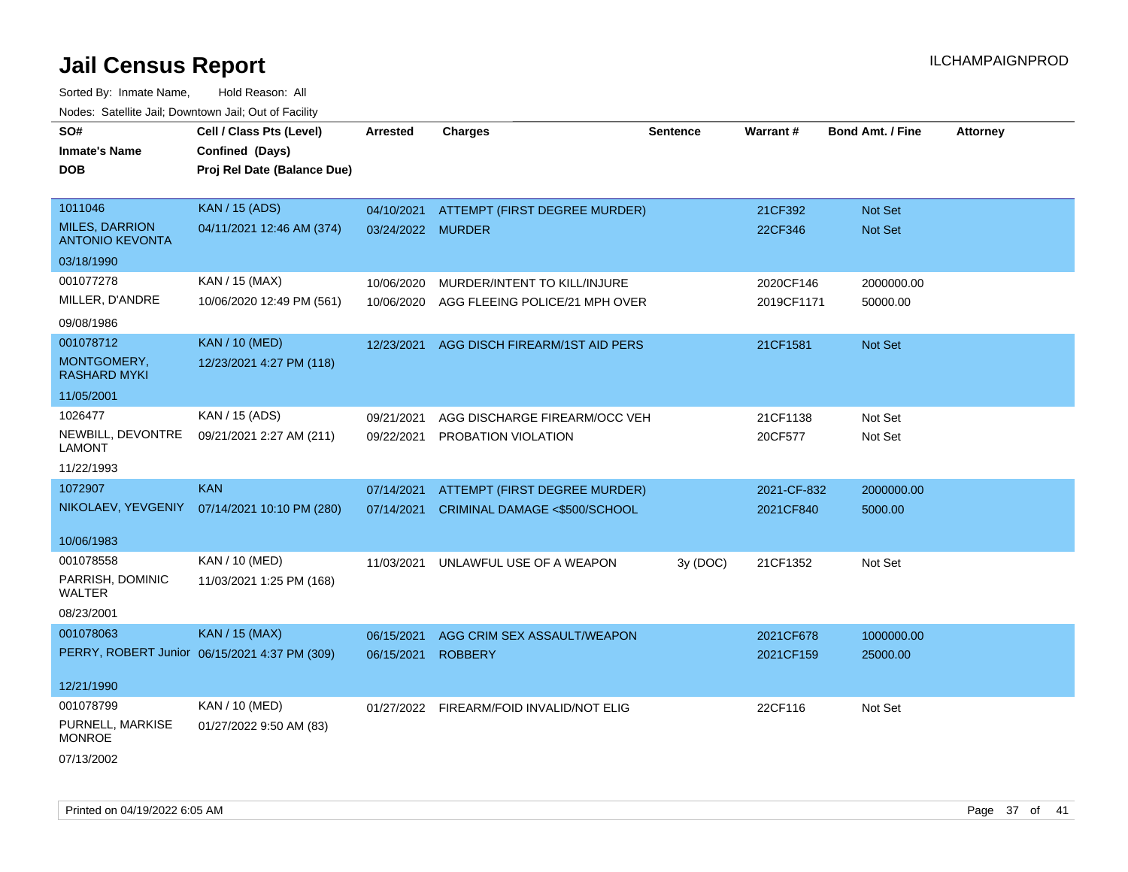| SO#                                             | Cell / Class Pts (Level)                      | <b>Arrested</b>   | <b>Charges</b>                           | <b>Sentence</b> | Warrant#    | <b>Bond Amt. / Fine</b> | <b>Attorney</b> |
|-------------------------------------------------|-----------------------------------------------|-------------------|------------------------------------------|-----------------|-------------|-------------------------|-----------------|
| <b>Inmate's Name</b>                            | Confined (Days)                               |                   |                                          |                 |             |                         |                 |
| <b>DOB</b>                                      | Proj Rel Date (Balance Due)                   |                   |                                          |                 |             |                         |                 |
|                                                 |                                               |                   |                                          |                 |             |                         |                 |
| 1011046                                         | <b>KAN / 15 (ADS)</b>                         | 04/10/2021        | ATTEMPT (FIRST DEGREE MURDER)            |                 | 21CF392     | Not Set                 |                 |
| <b>MILES, DARRION</b><br><b>ANTONIO KEVONTA</b> | 04/11/2021 12:46 AM (374)                     | 03/24/2022 MURDER |                                          |                 | 22CF346     | <b>Not Set</b>          |                 |
| 03/18/1990                                      |                                               |                   |                                          |                 |             |                         |                 |
| 001077278                                       | KAN / 15 (MAX)                                | 10/06/2020        | MURDER/INTENT TO KILL/INJURE             |                 | 2020CF146   | 2000000.00              |                 |
| MILLER, D'ANDRE                                 | 10/06/2020 12:49 PM (561)                     | 10/06/2020        | AGG FLEEING POLICE/21 MPH OVER           |                 | 2019CF1171  | 50000.00                |                 |
| 09/08/1986                                      |                                               |                   |                                          |                 |             |                         |                 |
| 001078712                                       | <b>KAN / 10 (MED)</b>                         | 12/23/2021        | AGG DISCH FIREARM/1ST AID PERS           |                 | 21CF1581    | <b>Not Set</b>          |                 |
| MONTGOMERY,<br><b>RASHARD MYKI</b>              | 12/23/2021 4:27 PM (118)                      |                   |                                          |                 |             |                         |                 |
| 11/05/2001                                      |                                               |                   |                                          |                 |             |                         |                 |
| 1026477                                         | KAN / 15 (ADS)                                | 09/21/2021        | AGG DISCHARGE FIREARM/OCC VEH            |                 | 21CF1138    | Not Set                 |                 |
| NEWBILL, DEVONTRE<br>LAMONT                     | 09/21/2021 2:27 AM (211)                      | 09/22/2021        | PROBATION VIOLATION                      |                 | 20CF577     | Not Set                 |                 |
| 11/22/1993                                      |                                               |                   |                                          |                 |             |                         |                 |
| 1072907                                         | <b>KAN</b>                                    | 07/14/2021        | ATTEMPT (FIRST DEGREE MURDER)            |                 | 2021-CF-832 | 2000000.00              |                 |
| NIKOLAEV, YEVGENIY                              | 07/14/2021 10:10 PM (280)                     | 07/14/2021        | CRIMINAL DAMAGE <\$500/SCHOOL            |                 | 2021CF840   | 5000.00                 |                 |
| 10/06/1983                                      |                                               |                   |                                          |                 |             |                         |                 |
| 001078558                                       | KAN / 10 (MED)                                | 11/03/2021        | UNLAWFUL USE OF A WEAPON                 | 3y (DOC)        | 21CF1352    | Not Set                 |                 |
| PARRISH, DOMINIC<br>WALTER                      | 11/03/2021 1:25 PM (168)                      |                   |                                          |                 |             |                         |                 |
| 08/23/2001                                      |                                               |                   |                                          |                 |             |                         |                 |
| 001078063                                       | <b>KAN / 15 (MAX)</b>                         | 06/15/2021        | AGG CRIM SEX ASSAULT/WEAPON              |                 | 2021CF678   | 1000000.00              |                 |
|                                                 | PERRY, ROBERT Junior 06/15/2021 4:37 PM (309) | 06/15/2021        | <b>ROBBERY</b>                           |                 | 2021CF159   | 25000.00                |                 |
| 12/21/1990                                      |                                               |                   |                                          |                 |             |                         |                 |
| 001078799                                       | KAN / 10 (MED)                                |                   | 01/27/2022 FIREARM/FOID INVALID/NOT ELIG |                 | 22CF116     | Not Set                 |                 |
| PURNELL, MARKISE<br><b>MONROE</b>               | 01/27/2022 9:50 AM (83)                       |                   |                                          |                 |             |                         |                 |
| 07/13/2002                                      |                                               |                   |                                          |                 |             |                         |                 |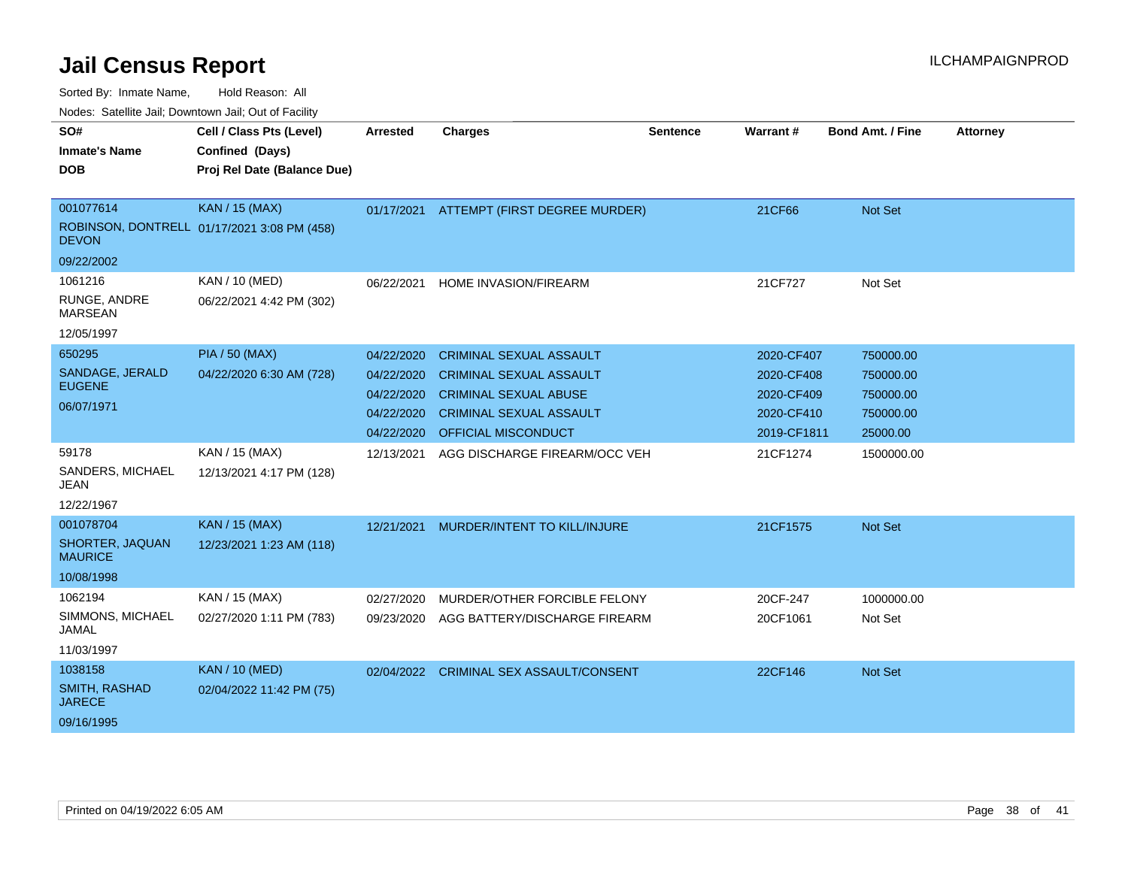| Nuuts. Saltiille Jali, Duwilluwii Jali, Oul of Facility |                                             |                 |                                |                 |             |                         |                 |
|---------------------------------------------------------|---------------------------------------------|-----------------|--------------------------------|-----------------|-------------|-------------------------|-----------------|
| SO#                                                     | Cell / Class Pts (Level)                    | <b>Arrested</b> | <b>Charges</b>                 | <b>Sentence</b> | Warrant#    | <b>Bond Amt. / Fine</b> | <b>Attorney</b> |
| <b>Inmate's Name</b>                                    | Confined (Days)                             |                 |                                |                 |             |                         |                 |
| <b>DOB</b>                                              | Proj Rel Date (Balance Due)                 |                 |                                |                 |             |                         |                 |
|                                                         |                                             |                 |                                |                 |             |                         |                 |
| 001077614                                               | <b>KAN / 15 (MAX)</b>                       | 01/17/2021      | ATTEMPT (FIRST DEGREE MURDER)  |                 | 21CF66      | Not Set                 |                 |
| <b>DEVON</b>                                            | ROBINSON, DONTRELL 01/17/2021 3:08 PM (458) |                 |                                |                 |             |                         |                 |
| 09/22/2002                                              |                                             |                 |                                |                 |             |                         |                 |
| 1061216                                                 | KAN / 10 (MED)                              | 06/22/2021      | HOME INVASION/FIREARM          |                 | 21CF727     | Not Set                 |                 |
| RUNGE, ANDRE<br><b>MARSEAN</b>                          | 06/22/2021 4:42 PM (302)                    |                 |                                |                 |             |                         |                 |
| 12/05/1997                                              |                                             |                 |                                |                 |             |                         |                 |
| 650295                                                  | <b>PIA / 50 (MAX)</b>                       | 04/22/2020      | <b>CRIMINAL SEXUAL ASSAULT</b> |                 | 2020-CF407  | 750000.00               |                 |
| SANDAGE, JERALD                                         | 04/22/2020 6:30 AM (728)                    | 04/22/2020      | <b>CRIMINAL SEXUAL ASSAULT</b> |                 | 2020-CF408  | 750000.00               |                 |
| <b>EUGENE</b>                                           |                                             | 04/22/2020      | <b>CRIMINAL SEXUAL ABUSE</b>   |                 | 2020-CF409  | 750000.00               |                 |
| 06/07/1971                                              |                                             | 04/22/2020      | <b>CRIMINAL SEXUAL ASSAULT</b> |                 | 2020-CF410  | 750000.00               |                 |
|                                                         |                                             | 04/22/2020      | OFFICIAL MISCONDUCT            |                 | 2019-CF1811 | 25000.00                |                 |
| 59178                                                   | KAN / 15 (MAX)                              | 12/13/2021      | AGG DISCHARGE FIREARM/OCC VEH  |                 | 21CF1274    | 1500000.00              |                 |
| SANDERS, MICHAEL<br><b>JEAN</b>                         | 12/13/2021 4:17 PM (128)                    |                 |                                |                 |             |                         |                 |
| 12/22/1967                                              |                                             |                 |                                |                 |             |                         |                 |
| 001078704                                               | <b>KAN / 15 (MAX)</b>                       | 12/21/2021      | MURDER/INTENT TO KILL/INJURE   |                 | 21CF1575    | Not Set                 |                 |
| SHORTER, JAQUAN<br><b>MAURICE</b>                       | 12/23/2021 1:23 AM (118)                    |                 |                                |                 |             |                         |                 |
| 10/08/1998                                              |                                             |                 |                                |                 |             |                         |                 |
| 1062194                                                 | KAN / 15 (MAX)                              | 02/27/2020      | MURDER/OTHER FORCIBLE FELONY   |                 | 20CF-247    | 1000000.00              |                 |
| SIMMONS, MICHAEL<br>JAMAL                               | 02/27/2020 1:11 PM (783)                    | 09/23/2020      | AGG BATTERY/DISCHARGE FIREARM  |                 | 20CF1061    | Not Set                 |                 |
| 11/03/1997                                              |                                             |                 |                                |                 |             |                         |                 |
| 1038158                                                 | <b>KAN / 10 (MED)</b>                       | 02/04/2022      | CRIMINAL SEX ASSAULT/CONSENT   |                 | 22CF146     | Not Set                 |                 |
| <b>SMITH, RASHAD</b><br><b>JARECE</b>                   | 02/04/2022 11:42 PM (75)                    |                 |                                |                 |             |                         |                 |
| 09/16/1995                                              |                                             |                 |                                |                 |             |                         |                 |
|                                                         |                                             |                 |                                |                 |             |                         |                 |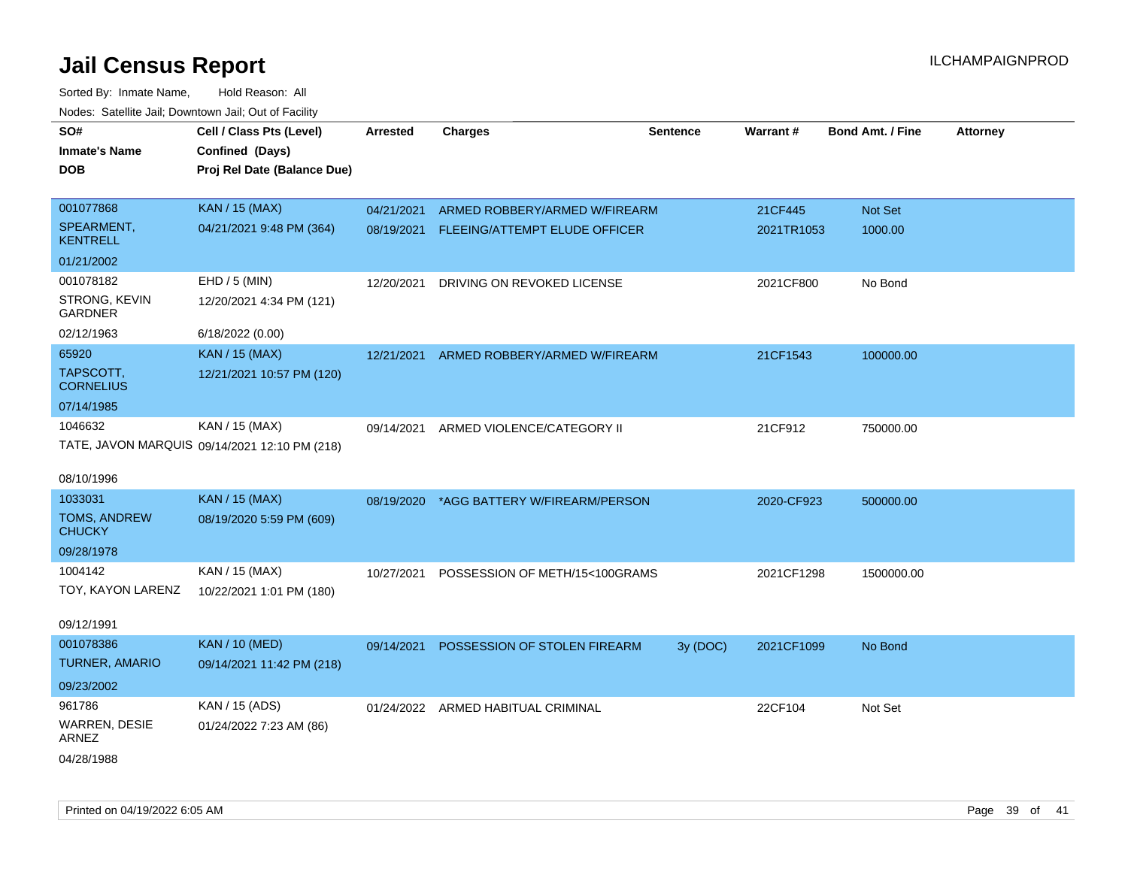| SO#                             | Cell / Class Pts (Level)                      | <b>Arrested</b> | <b>Charges</b>                     | <b>Sentence</b> | Warrant#   | <b>Bond Amt. / Fine</b> | <b>Attorney</b> |
|---------------------------------|-----------------------------------------------|-----------------|------------------------------------|-----------------|------------|-------------------------|-----------------|
| <b>Inmate's Name</b>            | Confined (Days)                               |                 |                                    |                 |            |                         |                 |
| <b>DOB</b>                      | Proj Rel Date (Balance Due)                   |                 |                                    |                 |            |                         |                 |
|                                 |                                               |                 |                                    |                 |            |                         |                 |
| 001077868                       | <b>KAN / 15 (MAX)</b>                         | 04/21/2021      | ARMED ROBBERY/ARMED W/FIREARM      |                 | 21CF445    | Not Set                 |                 |
| SPEARMENT,<br><b>KENTRELL</b>   | 04/21/2021 9:48 PM (364)                      | 08/19/2021      | FLEEING/ATTEMPT ELUDE OFFICER      |                 | 2021TR1053 | 1000.00                 |                 |
| 01/21/2002                      |                                               |                 |                                    |                 |            |                         |                 |
| 001078182                       | EHD / 5 (MIN)                                 | 12/20/2021      | DRIVING ON REVOKED LICENSE         |                 | 2021CF800  | No Bond                 |                 |
| STRONG, KEVIN<br><b>GARDNER</b> | 12/20/2021 4:34 PM (121)                      |                 |                                    |                 |            |                         |                 |
| 02/12/1963                      | 6/18/2022 (0.00)                              |                 |                                    |                 |            |                         |                 |
| 65920                           | <b>KAN / 15 (MAX)</b>                         | 12/21/2021      | ARMED ROBBERY/ARMED W/FIREARM      |                 | 21CF1543   | 100000.00               |                 |
| TAPSCOTT,<br><b>CORNELIUS</b>   | 12/21/2021 10:57 PM (120)                     |                 |                                    |                 |            |                         |                 |
| 07/14/1985                      |                                               |                 |                                    |                 |            |                         |                 |
| 1046632                         | KAN / 15 (MAX)                                | 09/14/2021      | ARMED VIOLENCE/CATEGORY II         |                 | 21CF912    | 750000.00               |                 |
|                                 | TATE, JAVON MARQUIS 09/14/2021 12:10 PM (218) |                 |                                    |                 |            |                         |                 |
|                                 |                                               |                 |                                    |                 |            |                         |                 |
| 08/10/1996                      |                                               |                 |                                    |                 |            |                         |                 |
| 1033031                         | <b>KAN / 15 (MAX)</b>                         | 08/19/2020      | *AGG BATTERY W/FIREARM/PERSON      |                 | 2020-CF923 | 500000.00               |                 |
| TOMS, ANDREW<br><b>CHUCKY</b>   | 08/19/2020 5:59 PM (609)                      |                 |                                    |                 |            |                         |                 |
| 09/28/1978                      |                                               |                 |                                    |                 |            |                         |                 |
| 1004142                         | KAN / 15 (MAX)                                | 10/27/2021      | POSSESSION OF METH/15<100GRAMS     |                 | 2021CF1298 | 1500000.00              |                 |
| TOY, KAYON LARENZ               | 10/22/2021 1:01 PM (180)                      |                 |                                    |                 |            |                         |                 |
|                                 |                                               |                 |                                    |                 |            |                         |                 |
| 09/12/1991                      |                                               |                 |                                    |                 |            |                         |                 |
| 001078386                       | <b>KAN / 10 (MED)</b>                         | 09/14/2021      | POSSESSION OF STOLEN FIREARM       | 3y (DOC)        | 2021CF1099 | No Bond                 |                 |
| <b>TURNER, AMARIO</b>           | 09/14/2021 11:42 PM (218)                     |                 |                                    |                 |            |                         |                 |
| 09/23/2002                      |                                               |                 |                                    |                 |            |                         |                 |
| 961786                          | KAN / 15 (ADS)                                |                 | 01/24/2022 ARMED HABITUAL CRIMINAL |                 | 22CF104    | Not Set                 |                 |
| WARREN, DESIE<br>ARNEZ          | 01/24/2022 7:23 AM (86)                       |                 |                                    |                 |            |                         |                 |
| 04/28/1988                      |                                               |                 |                                    |                 |            |                         |                 |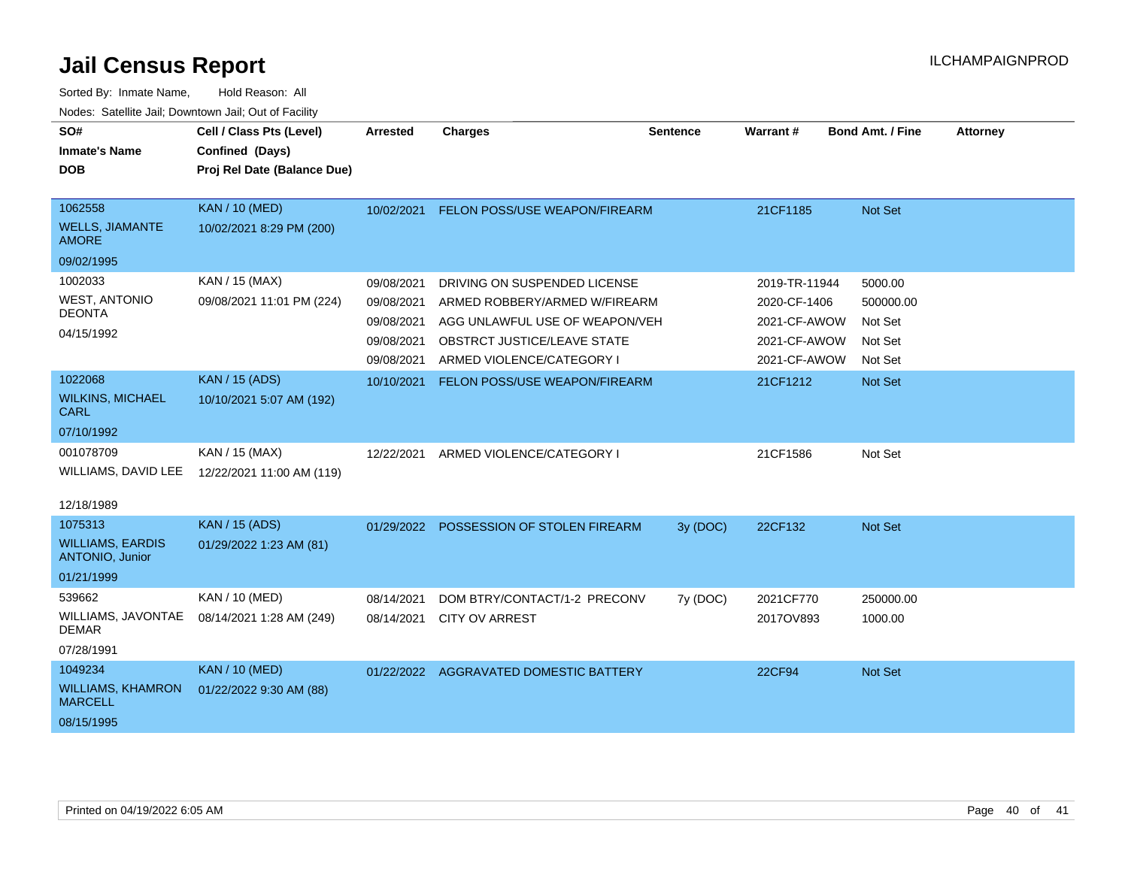| SO#                                        | Cell / Class Pts (Level)    | <b>Arrested</b> | <b>Charges</b>                         | <b>Sentence</b> | Warrant#      | <b>Bond Amt. / Fine</b> | <b>Attorney</b> |
|--------------------------------------------|-----------------------------|-----------------|----------------------------------------|-----------------|---------------|-------------------------|-----------------|
| <b>Inmate's Name</b>                       | Confined (Days)             |                 |                                        |                 |               |                         |                 |
| <b>DOB</b>                                 | Proj Rel Date (Balance Due) |                 |                                        |                 |               |                         |                 |
|                                            |                             |                 |                                        |                 |               |                         |                 |
| 1062558                                    | <b>KAN / 10 (MED)</b>       | 10/02/2021      | FELON POSS/USE WEAPON/FIREARM          |                 | 21CF1185      | Not Set                 |                 |
| <b>WELLS, JIAMANTE</b><br><b>AMORE</b>     | 10/02/2021 8:29 PM (200)    |                 |                                        |                 |               |                         |                 |
| 09/02/1995                                 |                             |                 |                                        |                 |               |                         |                 |
| 1002033                                    | KAN / 15 (MAX)              | 09/08/2021      | DRIVING ON SUSPENDED LICENSE           |                 | 2019-TR-11944 | 5000.00                 |                 |
| <b>WEST, ANTONIO</b>                       | 09/08/2021 11:01 PM (224)   | 09/08/2021      | ARMED ROBBERY/ARMED W/FIREARM          |                 | 2020-CF-1406  | 500000.00               |                 |
| <b>DEONTA</b>                              |                             | 09/08/2021      | AGG UNLAWFUL USE OF WEAPON/VEH         |                 | 2021-CF-AWOW  | Not Set                 |                 |
| 04/15/1992                                 |                             | 09/08/2021      | <b>OBSTRCT JUSTICE/LEAVE STATE</b>     |                 | 2021-CF-AWOW  | Not Set                 |                 |
|                                            |                             | 09/08/2021      | ARMED VIOLENCE/CATEGORY I              |                 | 2021-CF-AWOW  | Not Set                 |                 |
| 1022068                                    | <b>KAN / 15 (ADS)</b>       | 10/10/2021      | FELON POSS/USE WEAPON/FIREARM          |                 | 21CF1212      | Not Set                 |                 |
| <b>WILKINS, MICHAEL</b><br><b>CARL</b>     | 10/10/2021 5:07 AM (192)    |                 |                                        |                 |               |                         |                 |
| 07/10/1992                                 |                             |                 |                                        |                 |               |                         |                 |
| 001078709                                  | KAN / 15 (MAX)              | 12/22/2021      | ARMED VIOLENCE/CATEGORY I              |                 | 21CF1586      | Not Set                 |                 |
| WILLIAMS, DAVID LEE                        | 12/22/2021 11:00 AM (119)   |                 |                                        |                 |               |                         |                 |
|                                            |                             |                 |                                        |                 |               |                         |                 |
| 12/18/1989                                 |                             |                 |                                        |                 |               |                         |                 |
| 1075313                                    | <b>KAN / 15 (ADS)</b>       | 01/29/2022      | POSSESSION OF STOLEN FIREARM           | 3y (DOC)        | 22CF132       | Not Set                 |                 |
| <b>WILLIAMS, EARDIS</b><br>ANTONIO, Junior | 01/29/2022 1:23 AM (81)     |                 |                                        |                 |               |                         |                 |
| 01/21/1999                                 |                             |                 |                                        |                 |               |                         |                 |
| 539662                                     | KAN / 10 (MED)              | 08/14/2021      | DOM BTRY/CONTACT/1-2 PRECONV           | 7y (DOC)        | 2021CF770     | 250000.00               |                 |
| WILLIAMS, JAVONTAE<br><b>DEMAR</b>         | 08/14/2021 1:28 AM (249)    | 08/14/2021      | <b>CITY OV ARREST</b>                  |                 | 2017OV893     | 1000.00                 |                 |
| 07/28/1991                                 |                             |                 |                                        |                 |               |                         |                 |
| 1049234                                    | <b>KAN / 10 (MED)</b>       |                 | 01/22/2022 AGGRAVATED DOMESTIC BATTERY |                 | <b>22CF94</b> | Not Set                 |                 |
| <b>WILLIAMS, KHAMRON</b><br><b>MARCELL</b> | 01/22/2022 9:30 AM (88)     |                 |                                        |                 |               |                         |                 |
| 08/15/1995                                 |                             |                 |                                        |                 |               |                         |                 |